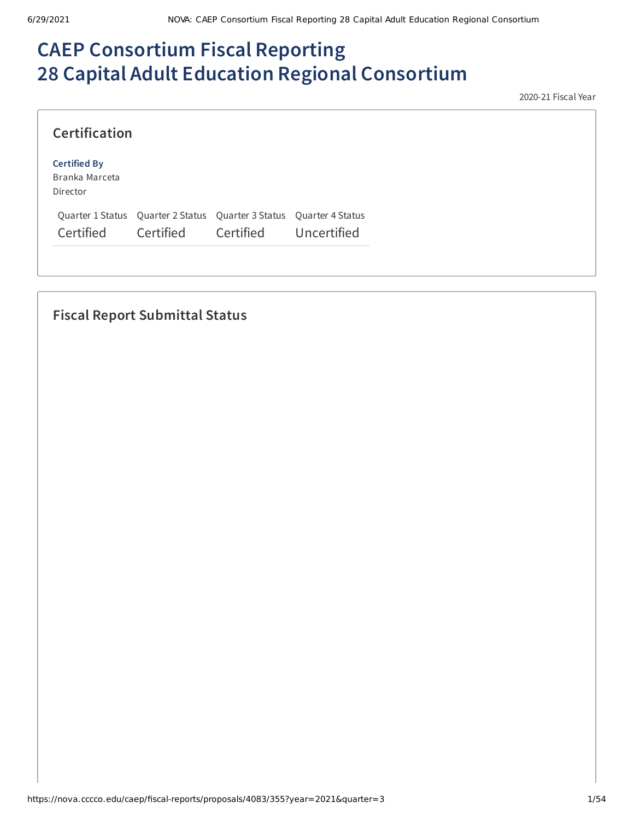# **CAEP Consortium Fiscal Reporting 28 Capital Adult Education Regional Consortium**

2020-21 Fiscal Year

| <b>Certification</b>                              |                                                                                  |           |             |
|---------------------------------------------------|----------------------------------------------------------------------------------|-----------|-------------|
| <b>Certified By</b><br>Branka Marceta<br>Director |                                                                                  |           |             |
| Certified                                         | Quarter 1 Status Quarter 2 Status Quarter 3 Status Quarter 4 Status<br>Certified | Certified | Uncertified |

# **Fiscal Report Submittal Status**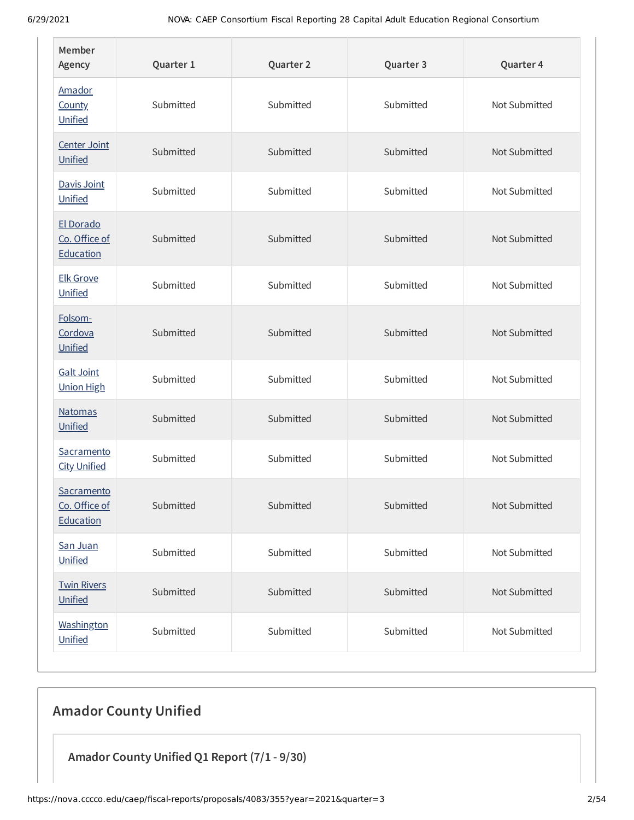| Member<br>Agency                         | Quarter 1 | Quarter 2 | Quarter 3 | Quarter 4     |
|------------------------------------------|-----------|-----------|-----------|---------------|
| Amador<br><b>County</b><br>Unified       | Submitted | Submitted | Submitted | Not Submitted |
| Center Joint<br>Unified                  | Submitted | Submitted | Submitted | Not Submitted |
| Davis Joint<br>Unified                   | Submitted | Submitted | Submitted | Not Submitted |
| El Dorado<br>Co. Office of<br>Education  | Submitted | Submitted | Submitted | Not Submitted |
| <b>Elk Grove</b><br>Unified              | Submitted | Submitted | Submitted | Not Submitted |
| Folsom-<br>Cordova<br>Unified            | Submitted | Submitted | Submitted | Not Submitted |
| <b>Galt Joint</b><br><b>Union High</b>   | Submitted | Submitted | Submitted | Not Submitted |
| <b>Natomas</b><br>Unified                | Submitted | Submitted | Submitted | Not Submitted |
| Sacramento<br><b>City Unified</b>        | Submitted | Submitted | Submitted | Not Submitted |
| Sacramento<br>Co. Office of<br>Education | Submitted | Submitted | Submitted | Not Submitted |
| San Juan<br>Unified                      | Submitted | Submitted | Submitted | Not Submitted |
| <b>Twin Rivers</b><br>Unified            | Submitted | Submitted | Submitted | Not Submitted |
| Washington<br>Unified                    | Submitted | Submitted | Submitted | Not Submitted |

# **Amador County Unified**

**Amador County Unified Q1 Report (7/1 - 9/30)**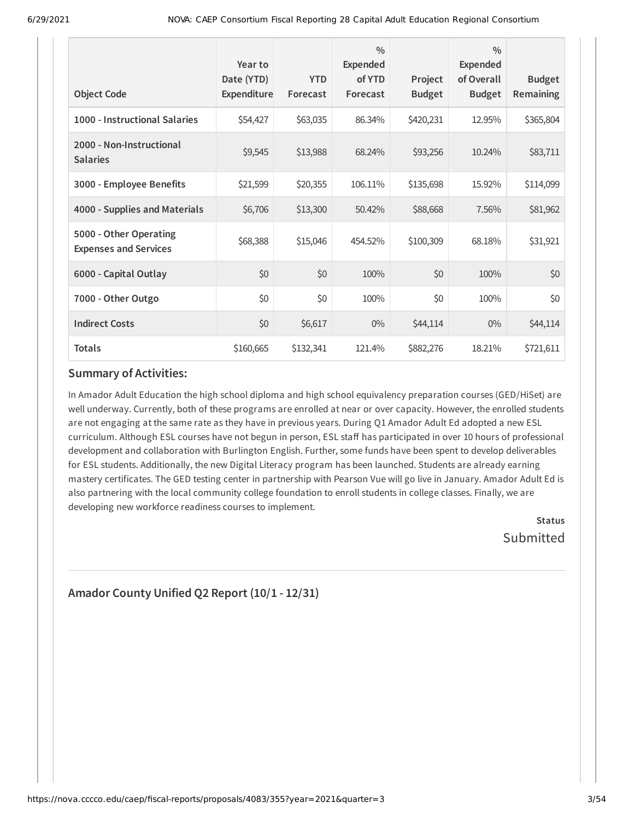| <b>Object Code</b>                                     | Year to<br>Date (YTD)<br>Expenditure | <b>YTD</b><br>Forecast | $\frac{0}{0}$<br>Expended<br>of YTD<br>Forecast | Project<br><b>Budget</b> | $\frac{0}{0}$<br><b>Expended</b><br>of Overall<br><b>Budget</b> | <b>Budget</b><br>Remaining |
|--------------------------------------------------------|--------------------------------------|------------------------|-------------------------------------------------|--------------------------|-----------------------------------------------------------------|----------------------------|
| 1000 - Instructional Salaries                          | \$54,427                             | \$63,035               | 86.34%                                          | \$420,231                | 12.95%                                                          | \$365,804                  |
| 2000 - Non-Instructional<br><b>Salaries</b>            | \$9,545                              | \$13,988               | 68.24%                                          | \$93,256                 | 10.24%                                                          | \$83,711                   |
| 3000 - Employee Benefits                               | \$21,599                             | \$20,355               | 106.11%                                         | \$135,698                | 15.92%                                                          | \$114,099                  |
| 4000 - Supplies and Materials                          | \$6,706                              | \$13,300               | 50.42%                                          | \$88,668                 | 7.56%                                                           | \$81,962                   |
| 5000 - Other Operating<br><b>Expenses and Services</b> | \$68,388                             | \$15,046               | 454.52%                                         | \$100,309                | 68.18%                                                          | \$31,921                   |
| 6000 - Capital Outlay                                  | \$0                                  | \$0                    | 100%                                            | \$0                      | 100%                                                            | \$0                        |
| 7000 - Other Outgo                                     | \$0                                  | \$0                    | 100%                                            | \$0                      | 100%                                                            | \$0                        |
| <b>Indirect Costs</b>                                  | \$0                                  | \$6,617                | $0\%$                                           | \$44,114                 | $0\%$                                                           | \$44,114                   |
| <b>Totals</b>                                          | \$160,665                            | \$132,341              | 121.4%                                          | \$882,276                | 18.21%                                                          | \$721,611                  |

In Amador Adult Education the high school diploma and high school equivalency preparation courses (GED/HiSet) are well underway. Currently, both of these programs are enrolled at near or over capacity. However, the enrolled students are not engaging at the same rate as they have in previous years. During Q1 Amador Adult Ed adopted a new ESL curriculum. Although ESL courses have not begun in person, ESL staff has participated in over 10 hours of professional development and collaboration with Burlington English. Further, some funds have been spent to develop deliverables for ESL students. Additionally, the new Digital Literacy program has been launched. Students are already earning mastery certificates. The GED testing center in partnership with Pearson Vue will go live in January. Amador Adult Ed is also partnering with the local community college foundation to enroll students in college classes. Finally, we are developing new workforce readiness courses to implement.

**Status** Submitted

# **Amador County Unified Q2 Report (10/1 - 12/31)**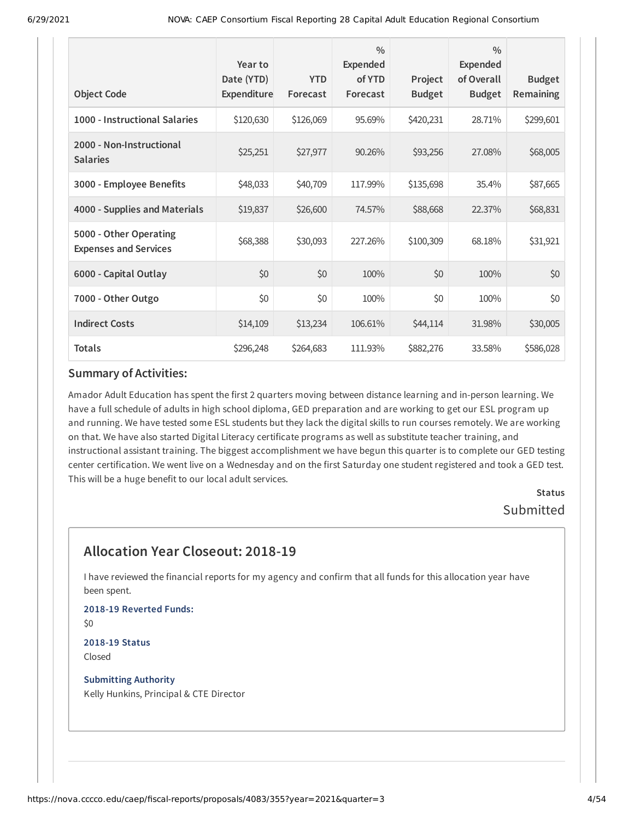| <b>Object Code</b>                                     | Year to<br>Date (YTD)<br>Expenditure | <b>YTD</b><br>Forecast | $\frac{0}{0}$<br><b>Expended</b><br>of YTD<br>Forecast | Project<br><b>Budget</b> | $\frac{0}{0}$<br><b>Expended</b><br>of Overall<br><b>Budget</b> | <b>Budget</b><br>Remaining |
|--------------------------------------------------------|--------------------------------------|------------------------|--------------------------------------------------------|--------------------------|-----------------------------------------------------------------|----------------------------|
| 1000 - Instructional Salaries                          | \$120,630                            | \$126,069              | 95.69%                                                 | \$420,231                | 28.71%                                                          | \$299,601                  |
| 2000 - Non-Instructional<br><b>Salaries</b>            | \$25,251                             | \$27,977               | 90.26%                                                 | \$93,256                 | 27.08%                                                          | \$68,005                   |
| 3000 - Employee Benefits                               | \$48,033                             | \$40,709               | 117.99%                                                | \$135,698                | 35.4%                                                           | \$87,665                   |
| 4000 - Supplies and Materials                          | \$19,837                             | \$26,600               | 74.57%                                                 | \$88,668                 | 22.37%                                                          | \$68,831                   |
| 5000 - Other Operating<br><b>Expenses and Services</b> | \$68,388                             | \$30,093               | 227.26%                                                | \$100,309                | 68.18%                                                          | \$31,921                   |
| 6000 - Capital Outlay                                  | \$0                                  | \$0                    | 100%                                                   | \$0                      | 100%                                                            | \$0                        |
| 7000 - Other Outgo                                     | \$0                                  | \$0                    | 100%                                                   | \$0                      | 100%                                                            | \$0                        |
| <b>Indirect Costs</b>                                  | \$14,109                             | \$13,234               | 106.61%                                                | \$44,114                 | 31.98%                                                          | \$30,005                   |
| <b>Totals</b>                                          | \$296,248                            | \$264,683              | 111.93%                                                | \$882,276                | 33.58%                                                          | \$586,028                  |

Amador Adult Education has spent the first 2 quarters moving between distance learning and in-person learning. We have a full schedule of adults in high school diploma, GED preparation and are working to get our ESL program up and running. We have tested some ESL students but they lack the digital skills to run courses remotely. We are working on that. We have also started Digital Literacy certificate programs as well as substitute teacher training, and instructional assistant training. The biggest accomplishment we have begun this quarter is to complete our GED testing center certification. We went live on a Wednesday and on the first Saturday one student registered and took a GED test. This will be a huge benefit to our local adult services.

> **Status** Submitted

# **Allocation Year Closeout: 2018-19**

I have reviewed the financial reports for my agency and confirm that all funds for this allocation year have been spent.

**2018-19 Reverted Funds:** \$0

**2018-19 Status** Closed

**Submitting Authority** Kelly Hunkins, Principal & CTE Director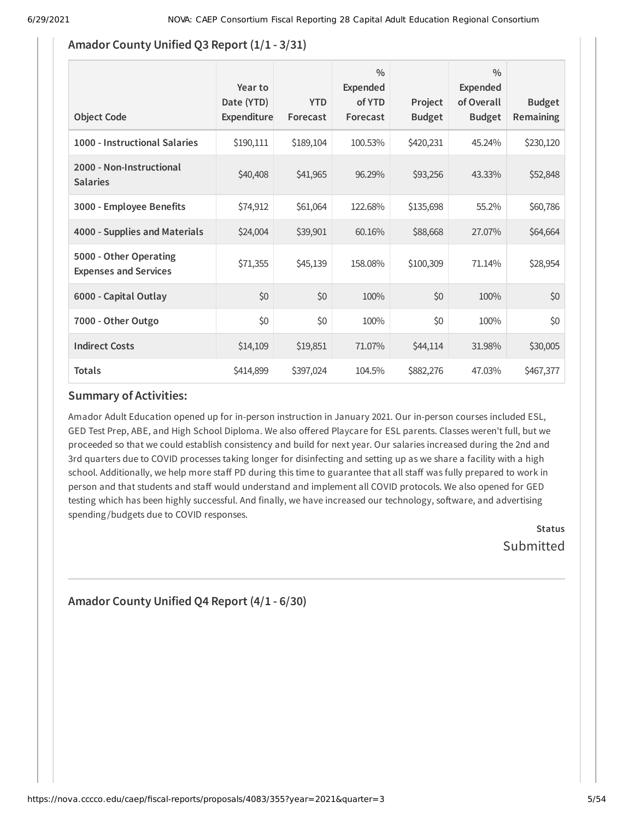### **Amador County Unified Q3 Report (1/1 - 3/31)**

| <b>Object Code</b>                                     | Year to<br>Date (YTD)<br>Expenditure | <b>YTD</b><br>Forecast | $\frac{0}{0}$<br>Expended<br>of YTD<br>Forecast | Project<br><b>Budget</b> | $\frac{0}{0}$<br>Expended<br>of Overall<br><b>Budget</b> | <b>Budget</b><br>Remaining |
|--------------------------------------------------------|--------------------------------------|------------------------|-------------------------------------------------|--------------------------|----------------------------------------------------------|----------------------------|
| 1000 - Instructional Salaries                          | \$190,111                            | \$189,104              | 100.53%                                         | \$420,231                | 45.24%                                                   | \$230,120                  |
| 2000 - Non-Instructional<br><b>Salaries</b>            | \$40,408                             | \$41,965               | 96.29%                                          | \$93,256                 | 43.33%                                                   | \$52,848                   |
| 3000 - Employee Benefits                               | \$74,912                             | \$61,064               | 122.68%                                         | \$135,698                | 55.2%                                                    | \$60,786                   |
| 4000 - Supplies and Materials                          | \$24,004                             | \$39,901               | 60.16%                                          | \$88,668                 | 27.07%                                                   | \$64,664                   |
| 5000 - Other Operating<br><b>Expenses and Services</b> | \$71,355                             | \$45,139               | 158.08%                                         | \$100,309                | 71.14%                                                   | \$28,954                   |
| 6000 - Capital Outlay                                  | \$0                                  | \$0                    | 100%                                            | \$0                      | 100%                                                     | \$0                        |
| 7000 - Other Outgo                                     | \$0                                  | \$0                    | 100%                                            | \$0                      | 100%                                                     | \$0                        |
| <b>Indirect Costs</b>                                  | \$14,109                             | \$19,851               | 71.07%                                          | \$44,114                 | 31.98%                                                   | \$30,005                   |
| <b>Totals</b>                                          | \$414,899                            | \$397,024              | 104.5%                                          | \$882,276                | 47.03%                                                   | \$467,377                  |

### **Summary of Activities:**

Amador Adult Education opened up for in-person instruction in January 2021. Our in-person courses included ESL, GED Test Prep, ABE, and High School Diploma. We also offered Playcare for ESL parents. Classes weren't full, but we proceeded so that we could establish consistency and build for next year. Our salaries increased during the 2nd and 3rd quarters due to COVID processes taking longer for disinfecting and setting up as we share a facility with a high school. Additionally, we help more staff PD during this time to guarantee that all staff was fully prepared to work in person and that students and staff would understand and implement all COVID protocols. We also opened for GED testing which has been highly successful. And finally, we have increased our technology, software, and advertising spending /budgets due to COVID responses.

> **Status Submitted**

# **Amador County Unified Q4 Report (4/1 - 6/30)**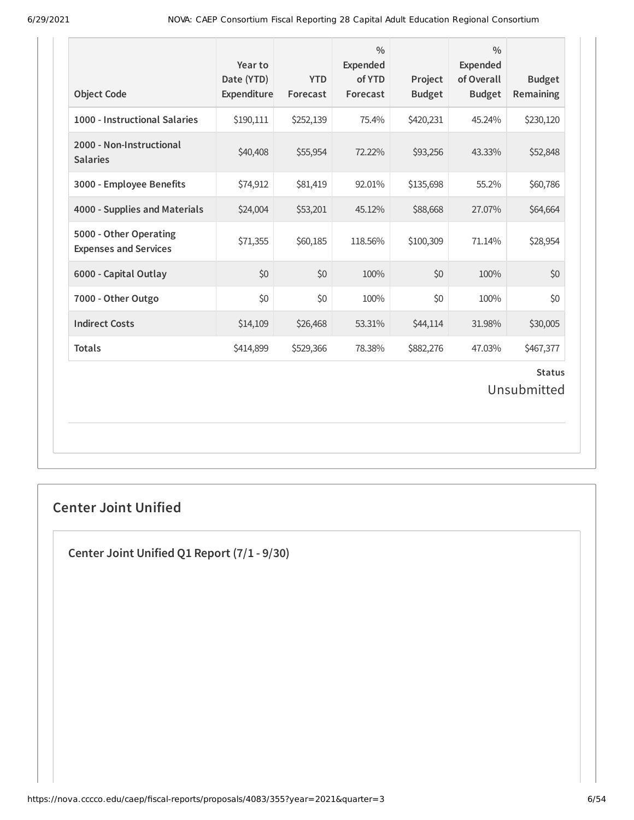| <b>Object Code</b>                                     | Year to<br>Date (YTD)<br>Expenditure | <b>YTD</b><br>Forecast | $\frac{0}{0}$<br>Expended<br>of YTD<br>Forecast | Project<br><b>Budget</b> | $\frac{0}{0}$<br><b>Expended</b><br>of Overall<br><b>Budget</b> | <b>Budget</b><br>Remaining   |
|--------------------------------------------------------|--------------------------------------|------------------------|-------------------------------------------------|--------------------------|-----------------------------------------------------------------|------------------------------|
| 1000 - Instructional Salaries                          | \$190,111                            | \$252,139              | 75.4%                                           | \$420,231                | 45.24%                                                          | \$230,120                    |
| 2000 - Non-Instructional<br><b>Salaries</b>            | \$40,408                             | \$55,954               | 72.22%                                          | \$93,256                 | 43.33%                                                          | \$52,848                     |
| 3000 - Employee Benefits                               | \$74,912                             | \$81,419               | 92.01%                                          | \$135,698                | 55.2%                                                           | \$60,786                     |
| 4000 - Supplies and Materials                          | \$24,004                             | \$53,201               | 45.12%                                          | \$88,668                 | 27.07%                                                          | \$64,664                     |
| 5000 - Other Operating<br><b>Expenses and Services</b> | \$71,355                             | \$60,185               | 118.56%                                         | \$100,309                | 71.14%                                                          | \$28,954                     |
| 6000 - Capital Outlay                                  | \$0                                  | \$0                    | 100%                                            | \$0                      | 100%                                                            | \$0                          |
| 7000 - Other Outgo                                     | \$0                                  | \$0                    | 100%                                            | \$0                      | 100%                                                            | \$0                          |
| <b>Indirect Costs</b>                                  | \$14,109                             | \$26,468               | 53.31%                                          | \$44,114                 | 31.98%                                                          | \$30,005                     |
| <b>Totals</b>                                          | \$414,899                            | \$529,366              | 78.38%                                          | \$882,276                | 47.03%                                                          | \$467,377                    |
|                                                        |                                      |                        |                                                 |                          |                                                                 | <b>Status</b><br>Unsubmitted |

# **Center Joint Unified**

**Center Joint Unified Q1 Report (7/1 - 9/30)**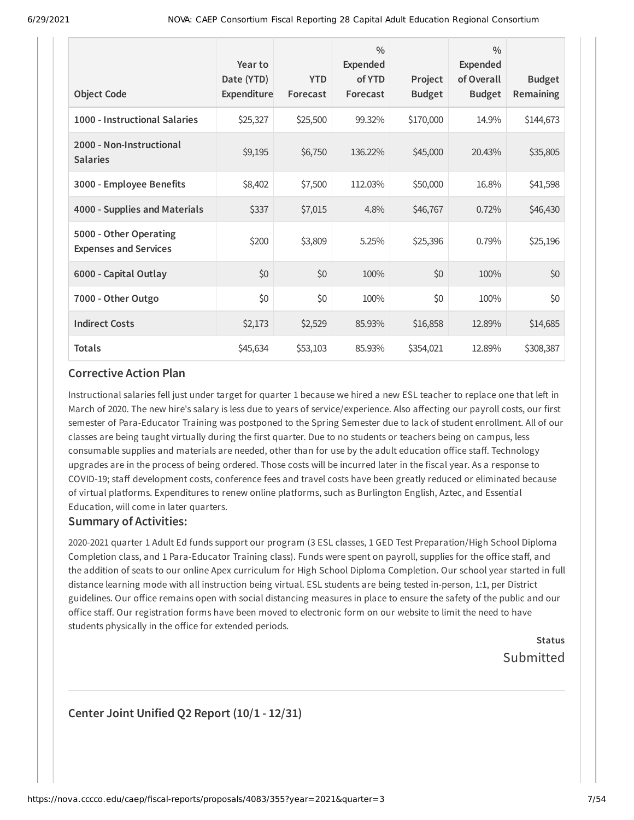| <b>Object Code</b>                                     | Year to<br>Date (YTD)<br>Expenditure | <b>YTD</b><br>Forecast | $\frac{0}{0}$<br>Expended<br>of YTD<br>Forecast | Project<br><b>Budget</b> | $\frac{0}{0}$<br>Expended<br>of Overall<br><b>Budget</b> | <b>Budget</b><br>Remaining |
|--------------------------------------------------------|--------------------------------------|------------------------|-------------------------------------------------|--------------------------|----------------------------------------------------------|----------------------------|
| 1000 - Instructional Salaries                          | \$25,327                             | \$25,500               | 99.32%                                          | \$170,000                | 14.9%                                                    | \$144,673                  |
| 2000 - Non-Instructional<br><b>Salaries</b>            | \$9,195                              | \$6,750                | 136.22%                                         | \$45,000                 | 20.43%                                                   | \$35,805                   |
| 3000 - Employee Benefits                               | \$8,402                              | \$7,500                | 112.03%                                         | \$50,000                 | 16.8%                                                    | \$41,598                   |
| 4000 - Supplies and Materials                          | \$337                                | \$7,015                | 4.8%                                            | \$46,767                 | 0.72%                                                    | \$46,430                   |
| 5000 - Other Operating<br><b>Expenses and Services</b> | \$200                                | \$3,809                | 5.25%                                           | \$25,396                 | 0.79%                                                    | \$25,196                   |
| 6000 - Capital Outlay                                  | \$0                                  | \$0                    | 100%                                            | \$0                      | 100%                                                     | \$0                        |
| 7000 - Other Outgo                                     | \$0                                  | \$0                    | 100%                                            | \$0                      | 100%                                                     | \$0                        |
| <b>Indirect Costs</b>                                  | \$2,173                              | \$2,529                | 85.93%                                          | \$16,858                 | 12.89%                                                   | \$14,685                   |
| <b>Totals</b>                                          | \$45,634                             | \$53,103               | 85.93%                                          | \$354,021                | 12.89%                                                   | \$308,387                  |

Instructional salaries fell just under target for quarter 1 because we hired a new ESL teacher to replace one that left in March of 2020. The new hire's salary is less due to years of service/experience. Also affecting our payroll costs, our first semester of Para-Educator Training was postponed to the Spring Semester due to lack of student enrollment. All of our classes are being taught virtually during the first quarter. Due to no students or teachers being on campus, less consumable supplies and materials are needed, other than for use by the adult education office staff. Technology upgrades are in the process of being ordered. Those costs will be incurred later in the fiscal year. As a response to COVID-19; staff development costs, conference fees and travel costs have been greatly reduced or eliminated because of virtual platforms. Expenditures to renew online platforms, such as Burlington English, Aztec, and Essential Education, will come in later quarters.

#### **Summary of Activities:**

2020-2021 quarter 1 Adult Ed funds support our program (3 ESL classes, 1 GED Test Preparation/High School Diploma Completion class, and 1 Para-Educator Training class). Funds were spent on payroll, supplies for the office staff, and the addition of seats to our online Apex curriculum for High School Diploma Completion. Our school year started in full distance learning mode with all instruction being virtual. ESL students are being tested in-person, 1:1, per District guidelines. Our office remains open with social distancing measures in place to ensure the safety of the public and our office staff. Our registration forms have been moved to electronic form on our website to limit the need to have students physically in the office for extended periods.

> **Status** Submitted

### **Center Joint Unified Q2 Report (10/1 - 12/31)**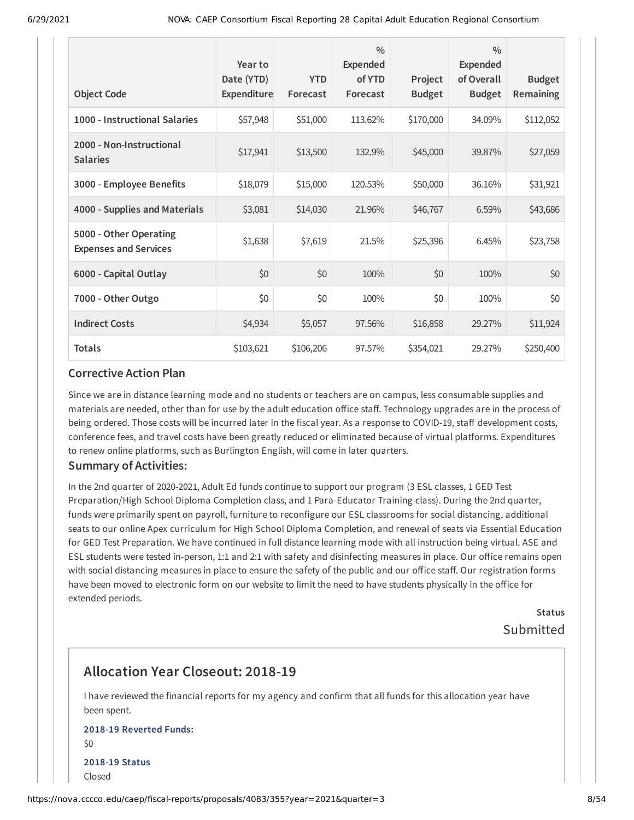| <b>Object Code</b>                                     | Year to<br>Date (YTD)<br>Expenditure | <b>YTD</b><br>Forecast | $\frac{0}{0}$<br><b>Expended</b><br>of YTD<br>Forecast | Project<br><b>Budget</b> | $\frac{0}{0}$<br><b>Expended</b><br>of Overall<br><b>Budget</b> | <b>Budget</b><br>Remaining |
|--------------------------------------------------------|--------------------------------------|------------------------|--------------------------------------------------------|--------------------------|-----------------------------------------------------------------|----------------------------|
| 1000 - Instructional Salaries                          | \$57,948                             | \$51,000               | 113.62%                                                | \$170,000                | 34.09%                                                          | \$112,052                  |
| 2000 - Non-Instructional<br><b>Salaries</b>            | \$17,941                             | \$13,500               | 132.9%                                                 | \$45,000                 | 39.87%                                                          | \$27,059                   |
| 3000 - Employee Benefits                               | \$18,079                             | \$15,000               | 120.53%                                                | \$50,000                 | 36.16%                                                          | \$31,921                   |
| 4000 - Supplies and Materials                          | \$3,081                              | \$14,030               | 21.96%                                                 | \$46,767                 | 6.59%                                                           | \$43,686                   |
| 5000 - Other Operating<br><b>Expenses and Services</b> | \$1,638                              | \$7,619                | 21.5%                                                  | \$25,396                 | 6.45%                                                           | \$23,758                   |
| 6000 - Capital Outlay                                  | \$0                                  | \$0                    | 100%                                                   | \$0                      | 100%                                                            | \$0                        |
| 7000 - Other Outgo                                     | \$0                                  | \$0                    | 100%                                                   | \$0                      | 100%                                                            | \$0                        |
| <b>Indirect Costs</b>                                  | \$4,934                              | \$5,057                | 97.56%                                                 | \$16,858                 | 29.27%                                                          | \$11,924                   |
| <b>Totals</b>                                          | \$103,621                            | \$106,206              | 97.57%                                                 | \$354,021                | 29.27%                                                          | \$250,400                  |

Since we are in distance learning mode and no students or teachers are on campus, less consumable supplies and materials are needed, other than for use by the adult education office staff. Technology upgrades are in the process of being ordered. Those costs will be incurred later in the fiscal year. As a response to COVID-19, staff development costs, conference fees, and travel costs have been greatly reduced or eliminated because of virtual platforms. Expenditures to renew online platforms, such as Burlington English, will come in later quarters.

#### **Summary of Activities:**

In the 2nd quarter of 2020-2021, Adult Ed funds continue to support our program (3 ESL classes, 1 GED Test Preparation/High School Diploma Completion class, and 1 Para-Educator Training class). During the 2nd quarter, funds were primarily spent on payroll, furniture to reconfigure our ESL classrooms for social distancing, additional seats to our online Apex curriculum for High School Diploma Completion, and renewal of seats via Essential Education for GED Test Preparation. We have continued in full distance learning mode with all instruction being virtual. ASE and ESL students were tested in-person, 1:1 and 2:1 with safety and disinfecting measures in place. Our office remains open with social distancing measures in place to ensure the safety of the public and our office staff. Our registration forms have been moved to electronic form on our website to limit the need to have students physically in the office for extended periods.

> **Status** Submitted

# **Allocation Year Closeout: 2018-19**

I have reviewed the financial reports for my agency and confirm that all funds for this allocation year have been spent.

### **2018-19 Reverted Funds:** \$0 **2018-19 Status** Closed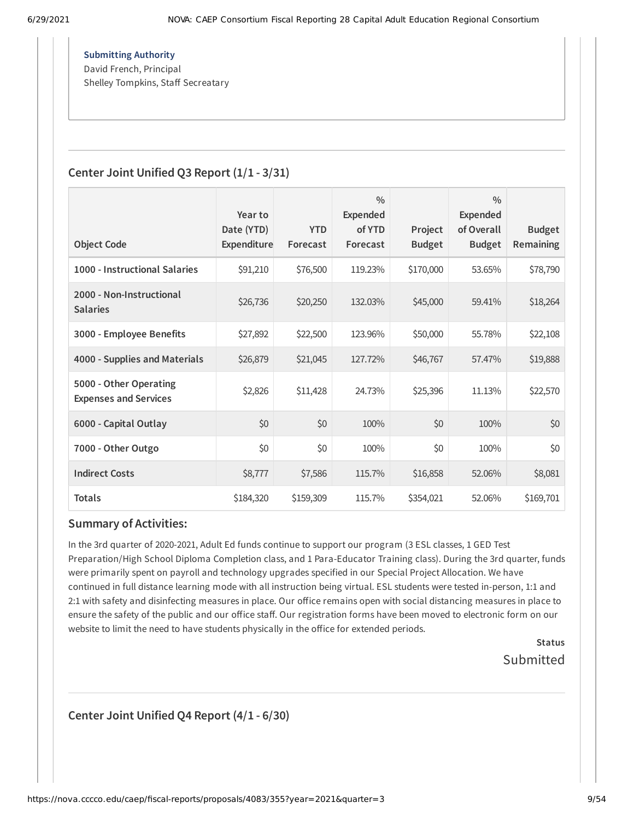**Submitting Authority** David French, Principal Shelley Tompkins, Staff Secreatary

### **Center Joint Unified Q3 Report (1/1 - 3/31)**

|                                                        | Year to<br>Date (YTD) | <b>YTD</b> | $\frac{0}{0}$<br><b>Expended</b><br>of YTD | Project       | $\frac{0}{0}$<br>Expended<br>of Overall | <b>Budget</b>    |
|--------------------------------------------------------|-----------------------|------------|--------------------------------------------|---------------|-----------------------------------------|------------------|
| <b>Object Code</b>                                     | Expenditure           | Forecast   | Forecast                                   | <b>Budget</b> | <b>Budget</b>                           | <b>Remaining</b> |
| 1000 - Instructional Salaries                          | \$91,210              | \$76,500   | 119.23%                                    | \$170,000     | 53.65%                                  | \$78,790         |
| 2000 - Non-Instructional<br><b>Salaries</b>            | \$26,736              | \$20,250   | 132.03%                                    | \$45,000      | 59.41%                                  | \$18,264         |
| 3000 - Employee Benefits                               | \$27,892              | \$22,500   | 123.96%                                    | \$50,000      | 55.78%                                  | \$22,108         |
| 4000 - Supplies and Materials                          | \$26,879              | \$21,045   | 127.72%                                    | \$46,767      | 57.47%                                  | \$19,888         |
| 5000 - Other Operating<br><b>Expenses and Services</b> | \$2,826               | \$11,428   | 24.73%                                     | \$25,396      | 11.13%                                  | \$22,570         |
| 6000 - Capital Outlay                                  | \$0                   | \$0        | 100%                                       | \$0           | 100%                                    | \$0              |
| 7000 - Other Outgo                                     | \$0                   | \$0        | 100%                                       | \$0           | 100%                                    | \$0              |
| <b>Indirect Costs</b>                                  | \$8,777               | \$7,586    | 115.7%                                     | \$16,858      | 52.06%                                  | \$8,081          |
| <b>Totals</b>                                          | \$184,320             | \$159,309  | 115.7%                                     | \$354,021     | 52.06%                                  | \$169,701        |

### **Summary of Activities:**

In the 3rd quarter of 2020-2021, Adult Ed funds continue to support our program (3 ESL classes, 1 GED Test Preparation/High School Diploma Completion class, and 1 Para-Educator Training class). During the 3rd quarter, funds were primarily spent on payroll and technology upgrades specified in our Special Project Allocation. We have continued in full distance learning mode with all instruction being virtual. ESL students were tested in-person, 1:1 and 2:1 with safety and disinfecting measures in place. Our office remains open with social distancing measures in place to ensure the safety of the public and our office staff. Our registration forms have been moved to electronic form on our website to limit the need to have students physically in the office for extended periods.

> **Status** Submitted

**Center Joint Unified Q4 Report (4/1 - 6/30)**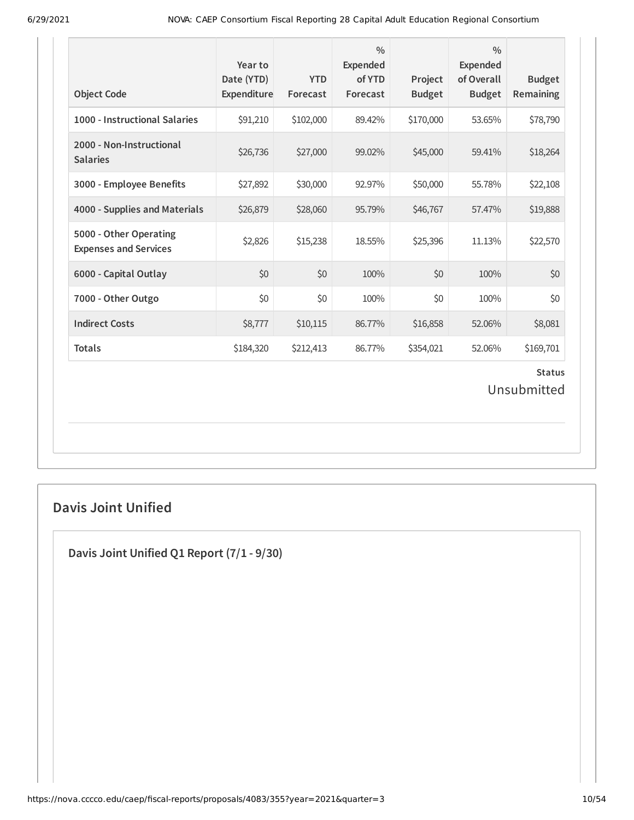| <b>Object Code</b>                                     | Year to<br>Date (YTD)<br>Expenditure | <b>YTD</b><br>Forecast | $\frac{0}{0}$<br>Expended<br>of YTD<br>Forecast | Project<br><b>Budget</b> | $\frac{0}{0}$<br><b>Expended</b><br>of Overall<br><b>Budget</b> | <b>Budget</b><br>Remaining   |
|--------------------------------------------------------|--------------------------------------|------------------------|-------------------------------------------------|--------------------------|-----------------------------------------------------------------|------------------------------|
| 1000 - Instructional Salaries                          | \$91,210                             | \$102,000              | 89.42%                                          | \$170,000                | 53.65%                                                          | \$78,790                     |
| 2000 - Non-Instructional<br><b>Salaries</b>            | \$26,736                             | \$27,000               | 99.02%                                          | \$45,000                 | 59.41%                                                          | \$18,264                     |
| 3000 - Employee Benefits                               | \$27,892                             | \$30,000               | 92.97%                                          | \$50,000                 | 55.78%                                                          | \$22,108                     |
| 4000 - Supplies and Materials                          | \$26,879                             | \$28,060               | 95.79%                                          | \$46,767                 | 57.47%                                                          | \$19,888                     |
| 5000 - Other Operating<br><b>Expenses and Services</b> | \$2,826                              | \$15,238               | 18.55%                                          | \$25,396                 | 11.13%                                                          | \$22,570                     |
| 6000 - Capital Outlay                                  | \$0                                  | \$0                    | 100%                                            | \$0                      | 100%                                                            | \$0                          |
| 7000 - Other Outgo                                     | \$0                                  | \$0                    | 100%                                            | \$0                      | 100%                                                            | \$0                          |
| <b>Indirect Costs</b>                                  | \$8,777                              | \$10,115               | 86.77%                                          | \$16,858                 | 52.06%                                                          | \$8,081                      |
| <b>Totals</b>                                          | \$184,320                            | \$212,413              | 86.77%                                          | \$354,021                | 52.06%                                                          | \$169,701                    |
|                                                        |                                      |                        |                                                 |                          |                                                                 | <b>Status</b><br>Unsubmitted |

# **Davis Joint Unified**

**Davis Joint Unified Q1 Report (7/1 - 9/30)**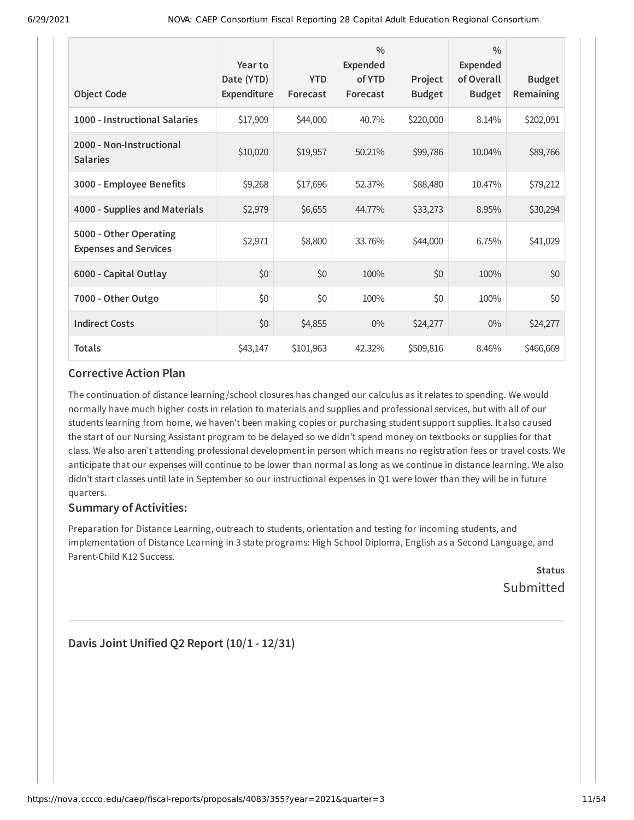| <b>Object Code</b>                                     | Year to<br>Date (YTD)<br><b>Expenditure</b> | <b>YTD</b><br>Forecast | $\frac{0}{0}$<br><b>Expended</b><br>of YTD<br>Forecast | Project<br><b>Budget</b> | $\frac{0}{0}$<br>Expended<br>of Overall<br><b>Budget</b> | <b>Budget</b><br>Remaining |
|--------------------------------------------------------|---------------------------------------------|------------------------|--------------------------------------------------------|--------------------------|----------------------------------------------------------|----------------------------|
| 1000 - Instructional Salaries                          | \$17,909                                    | \$44,000               | 40.7%                                                  | \$220,000                | 8.14%                                                    | \$202,091                  |
| 2000 - Non-Instructional<br><b>Salaries</b>            | \$10,020                                    | \$19,957               | 50.21%                                                 | \$99,786                 | 10.04%                                                   | \$89,766                   |
| 3000 - Employee Benefits                               | \$9,268                                     | \$17,696               | 52.37%                                                 | \$88,480                 | 10.47%                                                   | \$79,212                   |
| 4000 - Supplies and Materials                          | \$2,979                                     | \$6,655                | 44.77%                                                 | \$33,273                 | 8.95%                                                    | \$30,294                   |
| 5000 - Other Operating<br><b>Expenses and Services</b> | \$2,971                                     | \$8,800                | 33.76%                                                 | \$44,000                 | 6.75%                                                    | \$41,029                   |
| 6000 - Capital Outlay                                  | \$0                                         | \$0                    | 100%                                                   | \$0                      | 100%                                                     | \$0                        |
| 7000 - Other Outgo                                     | \$0                                         | \$0                    | 100%                                                   | \$0                      | 100%                                                     | \$0                        |
| <b>Indirect Costs</b>                                  | \$0                                         | \$4,855                | $0\%$                                                  | \$24,277                 | $0\%$                                                    | \$24,277                   |
| <b>Totals</b>                                          | \$43,147                                    | \$101,963              | 42.32%                                                 | \$509,816                | 8.46%                                                    | \$466,669                  |

The continuation of distance learning /school closures has changed our calculus as it relates to spending. We would normally have much higher costs in relation to materials and supplies and professional services, but with all of our students learning from home, we haven't been making copies or purchasing student support supplies. It also caused the start of our Nursing Assistant program to be delayed so we didn't spend money on textbooks or supplies for that class. We also aren't attending professional development in person which means no registration fees or travel costs. We anticipate that our expenses will continue to be lower than normal as long as we continue in distance learning. We also didn't start classes until late in September so our instructional expenses in Q1 were lower than they will be in future quarters.

### **Summary of Activities:**

Preparation for Distance Learning, outreach to students, orientation and testing for incoming students, and implementation of Distance Learning in 3 state programs: High School Diploma, English as a Second Language, and Parent-Child K12 Success.

**Status** Submitted

**Davis Joint Unified Q2 Report (10/1 - 12/31)**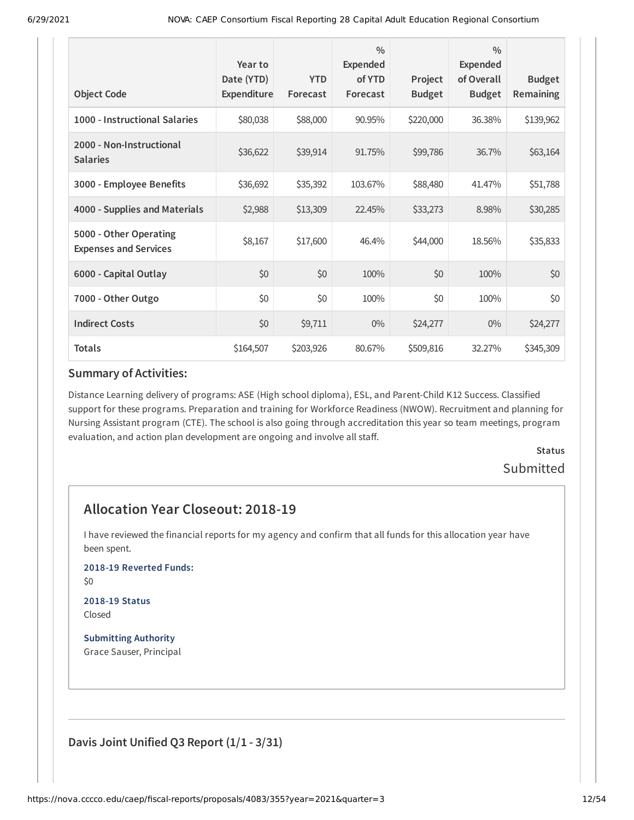| <b>Object Code</b>                                     | Year to<br>Date (YTD)<br>Expenditure | <b>YTD</b><br>Forecast | $\frac{0}{0}$<br><b>Expended</b><br>of YTD<br>Forecast | Project<br><b>Budget</b> | $\frac{0}{0}$<br><b>Expended</b><br>of Overall<br><b>Budget</b> | <b>Budget</b><br>Remaining |
|--------------------------------------------------------|--------------------------------------|------------------------|--------------------------------------------------------|--------------------------|-----------------------------------------------------------------|----------------------------|
| 1000 - Instructional Salaries                          | \$80,038                             | \$88,000               | 90.95%                                                 | \$220,000                | 36.38%                                                          | \$139,962                  |
| 2000 - Non-Instructional<br><b>Salaries</b>            | \$36,622                             | \$39,914               | 91.75%                                                 | \$99,786                 | 36.7%                                                           | \$63,164                   |
| 3000 - Employee Benefits                               | \$36,692                             | \$35,392               | 103.67%                                                | \$88,480                 | 41.47%                                                          | \$51,788                   |
| 4000 - Supplies and Materials                          | \$2,988                              | \$13,309               | 22.45%                                                 | \$33,273                 | 8.98%                                                           | \$30,285                   |
| 5000 - Other Operating<br><b>Expenses and Services</b> | \$8,167                              | \$17,600               | 46.4%                                                  | \$44,000                 | 18.56%                                                          | \$35,833                   |
| 6000 - Capital Outlay                                  | \$0                                  | \$0                    | 100%                                                   | \$0                      | 100%                                                            | \$0                        |
| 7000 - Other Outgo                                     | \$0                                  | \$0                    | 100%                                                   | \$0                      | 100%                                                            | \$0                        |
| <b>Indirect Costs</b>                                  | \$0                                  | \$9,711                | $0\%$                                                  | \$24,277                 | $0\%$                                                           | \$24,277                   |
| <b>Totals</b>                                          | \$164,507                            | \$203,926              | 80.67%                                                 | \$509,816                | 32.27%                                                          | \$345,309                  |

Distance Learning delivery of programs: ASE (High school diploma), ESL, and Parent-Child K12 Success. Classified support for these programs. Preparation and training for Workforce Readiness (NWOW). Recruitment and planning for Nursing Assistant program (CTE). The school is also going through accreditation this year so team meetings, program evaluation, and action plan development are ongoing and involve all staff.

# **Status** Submitted

# **Allocation Year Closeout: 2018-19**

I have reviewed the financial reports for my agency and confirm that all funds for this allocation year have been spent.

**2018-19 Reverted Funds:**

\$0

#### **2018-19 Status** Closed

**Submitting Authority** Grace Sauser, Principal

**Davis Joint Unified Q3 Report (1/1 - 3/31)**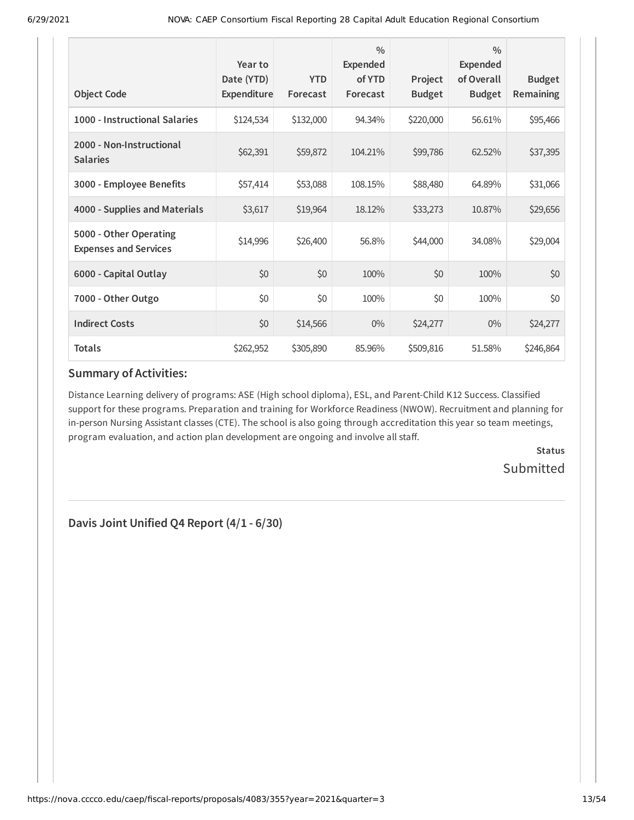| <b>Object Code</b>                                     | Year to<br>Date (YTD)<br>Expenditure | <b>YTD</b><br>Forecast | $\frac{0}{0}$<br><b>Expended</b><br>of YTD<br>Forecast | Project<br><b>Budget</b> | $\frac{0}{0}$<br><b>Expended</b><br>of Overall<br><b>Budget</b> | <b>Budget</b><br>Remaining |
|--------------------------------------------------------|--------------------------------------|------------------------|--------------------------------------------------------|--------------------------|-----------------------------------------------------------------|----------------------------|
|                                                        |                                      |                        |                                                        |                          |                                                                 |                            |
| 1000 - Instructional Salaries                          | \$124,534                            | \$132,000              | 94.34%                                                 | \$220,000                | 56.61%                                                          | \$95,466                   |
| 2000 - Non-Instructional<br><b>Salaries</b>            | \$62,391                             | \$59,872               | 104.21%                                                | \$99,786                 | 62.52%                                                          | \$37,395                   |
| 3000 - Employee Benefits                               | \$57,414                             | \$53,088               | 108.15%                                                | \$88,480                 | 64.89%                                                          | \$31,066                   |
| 4000 - Supplies and Materials                          | \$3,617                              | \$19,964               | 18.12%                                                 | \$33,273                 | 10.87%                                                          | \$29,656                   |
| 5000 - Other Operating<br><b>Expenses and Services</b> | \$14,996                             | \$26,400               | 56.8%                                                  | \$44,000                 | 34.08%                                                          | \$29,004                   |
| 6000 - Capital Outlay                                  | \$0                                  | \$0                    | 100%                                                   | \$0                      | 100%                                                            | \$0                        |
| 7000 - Other Outgo                                     | \$0                                  | \$0                    | 100%                                                   | \$0                      | 100%                                                            | \$0                        |
| <b>Indirect Costs</b>                                  | \$0                                  | \$14,566               | $0\%$                                                  | \$24,277                 | $0\%$                                                           | \$24,277                   |
| <b>Totals</b>                                          | \$262,952                            | \$305,890              | 85.96%                                                 | \$509,816                | 51.58%                                                          | \$246,864                  |

Distance Learning delivery of programs: ASE (High school diploma), ESL, and Parent-Child K12 Success. Classified support for these programs. Preparation and training for Workforce Readiness (NWOW). Recruitment and planning for in-person Nursing Assistant classes (CTE). The school is also going through accreditation this year so team meetings, program evaluation, and action plan development are ongoing and involve all staff.

> **Status Submitted**

**Davis Joint Unified Q4 Report (4/1 - 6/30)**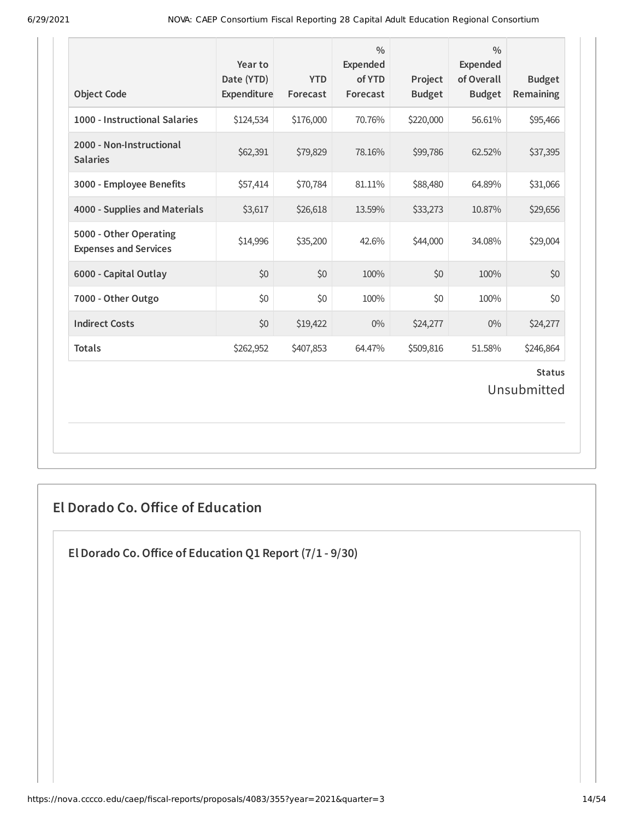| <b>Object Code</b>                                     | Year to<br>Date (YTD)<br>Expenditure | <b>YTD</b><br>Forecast | $\frac{0}{0}$<br><b>Expended</b><br>of YTD<br>Forecast | Project<br><b>Budget</b> | $\frac{0}{0}$<br><b>Expended</b><br>of Overall<br><b>Budget</b> | <b>Budget</b><br>Remaining |  |
|--------------------------------------------------------|--------------------------------------|------------------------|--------------------------------------------------------|--------------------------|-----------------------------------------------------------------|----------------------------|--|
| 1000 - Instructional Salaries                          | \$124,534                            | \$176,000              | 70.76%                                                 | \$220,000                | 56.61%                                                          | \$95,466                   |  |
| 2000 - Non-Instructional<br><b>Salaries</b>            | \$62,391                             | \$79,829               | 78.16%                                                 | \$99,786                 | 62.52%                                                          | \$37,395                   |  |
| 3000 - Employee Benefits                               | \$57,414                             | \$70,784               | 81.11%                                                 | \$88,480                 | 64.89%                                                          | \$31,066                   |  |
| 4000 - Supplies and Materials                          | \$3,617                              | \$26,618               | 13.59%                                                 | \$33,273                 | 10.87%                                                          | \$29,656                   |  |
| 5000 - Other Operating<br><b>Expenses and Services</b> | \$14,996                             | \$35,200               | 42.6%                                                  | \$44,000                 | 34.08%                                                          | \$29,004                   |  |
| 6000 - Capital Outlay                                  | \$0                                  | \$0                    | 100%                                                   | \$0                      | 100%                                                            | \$0                        |  |
| 7000 - Other Outgo                                     | \$0                                  | \$0                    | 100%                                                   | \$0                      | 100%                                                            | \$0                        |  |
| <b>Indirect Costs</b>                                  | \$0                                  | \$19,422               | $0\%$                                                  | \$24,277                 | $0\%$                                                           | \$24,277                   |  |
| <b>Totals</b>                                          | \$262,952                            | \$407,853              | 64.47%                                                 | \$509,816                | 51.58%                                                          | \$246,864                  |  |
| <b>Status</b><br>Unsubmitted                           |                                      |                        |                                                        |                          |                                                                 |                            |  |

# **El Dorado Co. Office of Education**

**El Dorado Co.Office of Education Q1 Report (7/1 - 9/30)**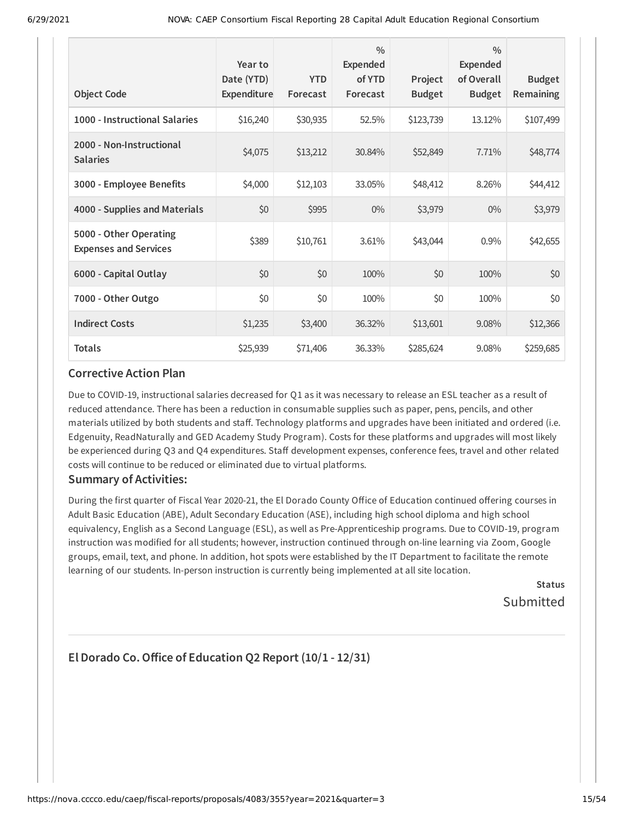| <b>Object Code</b>                                     | Year to<br>Date (YTD)<br>Expenditure | <b>YTD</b><br>Forecast | $\frac{0}{0}$<br>Expended<br>of YTD<br>Forecast | Project<br><b>Budget</b> | $\frac{0}{0}$<br>Expended<br>of Overall<br><b>Budget</b> | <b>Budget</b><br>Remaining |
|--------------------------------------------------------|--------------------------------------|------------------------|-------------------------------------------------|--------------------------|----------------------------------------------------------|----------------------------|
| 1000 - Instructional Salaries                          | \$16,240                             | \$30,935               | 52.5%                                           | \$123,739                | 13.12%                                                   | \$107,499                  |
| 2000 - Non-Instructional<br><b>Salaries</b>            | \$4,075                              | \$13,212               | 30.84%                                          | \$52,849                 | 7.71%                                                    | \$48,774                   |
| 3000 - Employee Benefits                               | \$4,000                              | \$12,103               | 33.05%                                          | \$48,412                 | 8.26%                                                    | \$44,412                   |
| 4000 - Supplies and Materials                          | \$0                                  | \$995                  | $0\%$                                           | \$3,979                  | $0\%$                                                    | \$3,979                    |
| 5000 - Other Operating<br><b>Expenses and Services</b> | \$389                                | \$10,761               | 3.61%                                           | \$43,044                 | 0.9%                                                     | \$42,655                   |
| 6000 - Capital Outlay                                  | \$0                                  | \$0                    | 100%                                            | \$0                      | 100%                                                     | \$0                        |
| 7000 - Other Outgo                                     | \$0                                  | \$0                    | 100%                                            | \$0                      | 100%                                                     | \$0                        |
| <b>Indirect Costs</b>                                  | \$1,235                              | \$3,400                | 36.32%                                          | \$13,601                 | 9.08%                                                    | \$12,366                   |
| <b>Totals</b>                                          | \$25,939                             | \$71,406               | 36.33%                                          | \$285,624                | 9.08%                                                    | \$259,685                  |

Due to COVID-19, instructional salaries decreased for Q1 as it was necessary to release an ESL teacher as a result of reduced attendance. There has been a reduction in consumable supplies such as paper, pens, pencils, and other materials utilized by both students and staff. Technology platforms and upgrades have been initiated and ordered (i.e. Edgenuity, ReadNaturally and GED Academy Study Program). Costs for these platforms and upgrades will most likely be experienced during Q3 and Q4 expenditures. Staff development expenses, conference fees, travel and other related costs will continue to be reduced or eliminated due to virtual platforms.

### **Summary of Activities:**

During the first quarter of Fiscal Year 2020-21, the El Dorado County Office of Education continued offering courses in Adult Basic Education (ABE), Adult Secondary Education (ASE), including high school diploma and high school equivalency, English as a Second Language (ESL), as well as Pre-Apprenticeship programs. Due to COVID-19, program instruction was modified for all students; however, instruction continued through on-line learning via Zoom, Google groups, email, text, and phone. In addition, hot spots were established by the IT Department to facilitate the remote learning of our students. In-person instruction is currently being implemented at all site location.

> **Status** Submitted

# **El Dorado Co.Office of Education Q2 Report (10/1 - 12/31)**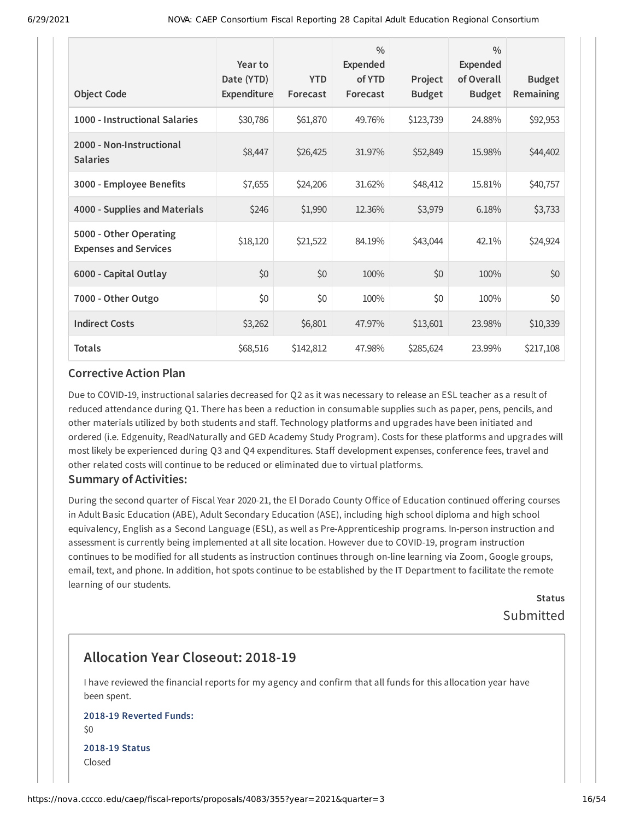| <b>Object Code</b>                                     | Year to<br>Date (YTD)<br>Expenditure | <b>YTD</b><br>Forecast | $\frac{0}{0}$<br>Expended<br>of YTD<br>Forecast | Project<br><b>Budget</b> | $\frac{0}{0}$<br>Expended<br>of Overall<br><b>Budget</b> | <b>Budget</b><br>Remaining |
|--------------------------------------------------------|--------------------------------------|------------------------|-------------------------------------------------|--------------------------|----------------------------------------------------------|----------------------------|
| 1000 - Instructional Salaries                          | \$30,786                             | \$61,870               | 49.76%                                          | \$123,739                | 24.88%                                                   | \$92,953                   |
| 2000 - Non-Instructional<br><b>Salaries</b>            | \$8,447                              | \$26,425               | 31.97%                                          | \$52,849                 | 15.98%                                                   | \$44,402                   |
| 3000 - Employee Benefits                               | \$7,655                              | \$24,206               | 31.62%                                          | \$48,412                 | 15.81%                                                   | \$40,757                   |
| 4000 - Supplies and Materials                          | \$246                                | \$1,990                | 12.36%                                          | \$3,979                  | 6.18%                                                    | \$3,733                    |
| 5000 - Other Operating<br><b>Expenses and Services</b> | \$18,120                             | \$21,522               | 84.19%                                          | \$43,044                 | 42.1%                                                    | \$24,924                   |
| 6000 - Capital Outlay                                  | \$0                                  | \$0                    | 100%                                            | \$0                      | 100%                                                     | \$0                        |
| 7000 - Other Outgo                                     | \$0                                  | \$0                    | 100%                                            | \$0                      | 100%                                                     | \$0                        |
| <b>Indirect Costs</b>                                  | \$3,262                              | \$6,801                | 47.97%                                          | \$13,601                 | 23.98%                                                   | \$10,339                   |
| <b>Totals</b>                                          | \$68,516                             | \$142,812              | 47.98%                                          | \$285,624                | 23.99%                                                   | \$217,108                  |

Due to COVID-19, instructional salaries decreased for Q2 as it was necessary to release an ESL teacher as a result of reduced attendance during Q1. There has been a reduction in consumable supplies such as paper, pens, pencils, and other materials utilized by both students and staff. Technology platforms and upgrades have been initiated and ordered (i.e. Edgenuity, ReadNaturally and GED Academy Study Program). Costs for these platforms and upgrades will most likely be experienced during Q3 and Q4 expenditures. Staff development expenses, conference fees, travel and other related costs will continue to be reduced or eliminated due to virtual platforms.

#### **Summary of Activities:**

During the second quarter of Fiscal Year 2020-21, the El Dorado County Office of Education continued offering courses in Adult Basic Education (ABE), Adult Secondary Education (ASE), including high school diploma and high school equivalency, English as a Second Language (ESL), as well as Pre-Apprenticeship programs. In-person instruction and assessment is currently being implemented at all site location. However due to COVID-19, program instruction continues to be modified for all students as instruction continues through on-line learning via Zoom, Google groups, email, text, and phone. In addition, hot spots continue to be established by the IT Department to facilitate the remote learning of our students.

> **Status** Submitted

# **Allocation Year Closeout: 2018-19**

I have reviewed the financial reports for my agency and confirm that all funds for this allocation year have been spent.

#### **2018-19 Reverted Funds:** \$0

**2018-19 Status** Closed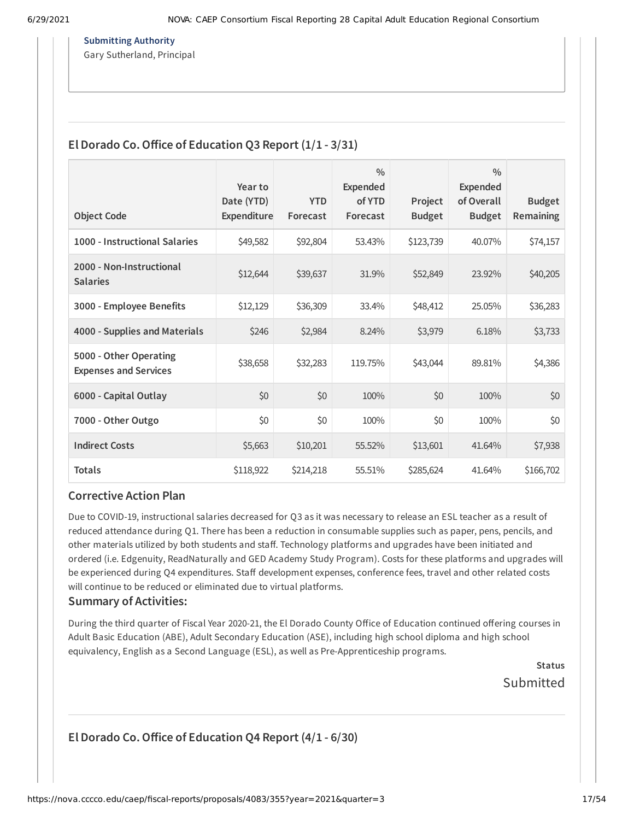#### **Submitting Authority**

Gary Sutherland, Principal

# **El Dorado Co.Office of Education Q3 Report (1/1 - 3/31)**

| <b>Object Code</b>                                     | Year to<br>Date (YTD)<br>Expenditure | <b>YTD</b><br>Forecast | $\frac{0}{0}$<br>Expended<br>of YTD<br>Forecast | Project<br><b>Budget</b> | $\frac{0}{0}$<br>Expended<br>of Overall<br><b>Budget</b> | <b>Budget</b><br><b>Remaining</b> |
|--------------------------------------------------------|--------------------------------------|------------------------|-------------------------------------------------|--------------------------|----------------------------------------------------------|-----------------------------------|
| 1000 - Instructional Salaries                          | \$49,582                             | \$92,804               | 53.43%                                          | \$123,739                | 40.07%                                                   | \$74,157                          |
| 2000 - Non-Instructional<br><b>Salaries</b>            | \$12,644                             | \$39,637               | 31.9%                                           | \$52,849                 | 23.92%                                                   | \$40,205                          |
| 3000 - Employee Benefits                               | \$12,129                             | \$36,309               | 33.4%                                           | \$48,412                 | 25.05%                                                   | \$36,283                          |
| 4000 - Supplies and Materials                          | \$246                                | \$2,984                | 8.24%                                           | \$3,979                  | 6.18%                                                    | \$3,733                           |
| 5000 - Other Operating<br><b>Expenses and Services</b> | \$38,658                             | \$32,283               | 119.75%                                         | \$43,044                 | 89.81%                                                   | \$4,386                           |
| 6000 - Capital Outlay                                  | \$0                                  | \$0                    | 100%                                            | \$0                      | 100%                                                     | \$0                               |
| 7000 - Other Outgo                                     | \$0                                  | \$0                    | 100%                                            | \$0                      | 100%                                                     | \$0                               |
| <b>Indirect Costs</b>                                  | \$5,663                              | \$10,201               | 55.52%                                          | \$13,601                 | 41.64%                                                   | \$7,938                           |
| <b>Totals</b>                                          | \$118,922                            | \$214,218              | 55.51%                                          | \$285,624                | 41.64%                                                   | \$166,702                         |

#### **Corrective Action Plan**

Due to COVID-19, instructional salaries decreased for Q3 as it was necessary to release an ESL teacher as a result of reduced attendance during Q1. There has been a reduction in consumable supplies such as paper, pens, pencils, and other materials utilized by both students and staff. Technology platforms and upgrades have been initiated and ordered (i.e. Edgenuity, ReadNaturally and GED Academy Study Program). Costs for these platforms and upgrades will be experienced during Q4 expenditures. Staff development expenses, conference fees, travel and other related costs will continue to be reduced or eliminated due to virtual platforms.

### **Summary of Activities:**

During the third quarter of Fiscal Year 2020-21, the El Dorado County Office of Education continued offering courses in Adult Basic Education (ABE), Adult Secondary Education (ASE), including high school diploma and high school equivalency, English as a Second Language (ESL), as well as Pre-Apprenticeship programs.

> **Status** Submitted

# **El Dorado Co.Office of Education Q4 Report (4/1 - 6/30)**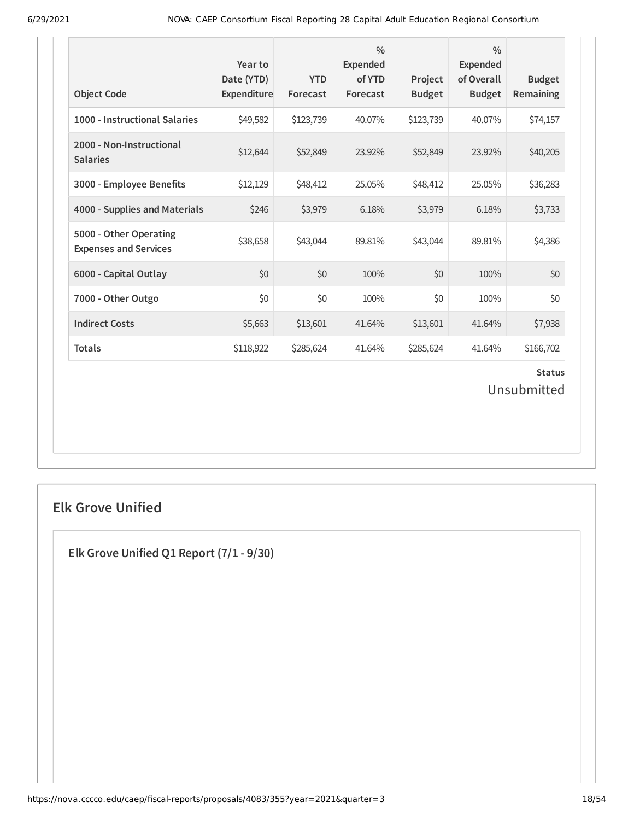| <b>Object Code</b>                                     | Year to<br>Date (YTD)<br>Expenditure | <b>YTD</b><br>Forecast | $\frac{0}{0}$<br><b>Expended</b><br>of YTD<br>Forecast | Project<br><b>Budget</b> | $\frac{0}{0}$<br><b>Expended</b><br>of Overall<br><b>Budget</b> | <b>Budget</b><br>Remaining |  |
|--------------------------------------------------------|--------------------------------------|------------------------|--------------------------------------------------------|--------------------------|-----------------------------------------------------------------|----------------------------|--|
| 1000 - Instructional Salaries                          | \$49,582                             | \$123,739              | 40.07%                                                 | \$123,739                | 40.07%                                                          | \$74,157                   |  |
| 2000 - Non-Instructional<br><b>Salaries</b>            | \$12,644                             | \$52,849               | 23.92%                                                 | \$52,849                 | 23.92%                                                          | \$40,205                   |  |
| 3000 - Employee Benefits                               | \$12,129                             | \$48,412               | 25.05%                                                 | \$48,412                 | 25.05%                                                          | \$36,283                   |  |
| 4000 - Supplies and Materials                          | \$246                                | \$3,979                | 6.18%                                                  | \$3,979                  | 6.18%                                                           | \$3,733                    |  |
| 5000 - Other Operating<br><b>Expenses and Services</b> | \$38,658                             | \$43,044               | 89.81%                                                 | \$43,044                 | 89.81%                                                          | \$4,386                    |  |
| 6000 - Capital Outlay                                  | \$0                                  | \$0                    | 100%                                                   | \$0                      | 100%                                                            | \$0                        |  |
| 7000 - Other Outgo                                     | \$0                                  | \$0                    | 100%                                                   | \$0                      | 100%                                                            | \$0                        |  |
| <b>Indirect Costs</b>                                  | \$5,663                              | \$13,601               | 41.64%                                                 | \$13,601                 | 41.64%                                                          | \$7,938                    |  |
| <b>Totals</b>                                          | \$118,922                            | \$285,624              | 41.64%                                                 | \$285,624                | 41.64%                                                          | \$166,702                  |  |
| <b>Status</b><br>Unsubmitted                           |                                      |                        |                                                        |                          |                                                                 |                            |  |

# **Elk Grove Unified**

**Elk Grove Unified Q1 Report (7/1 - 9/30)**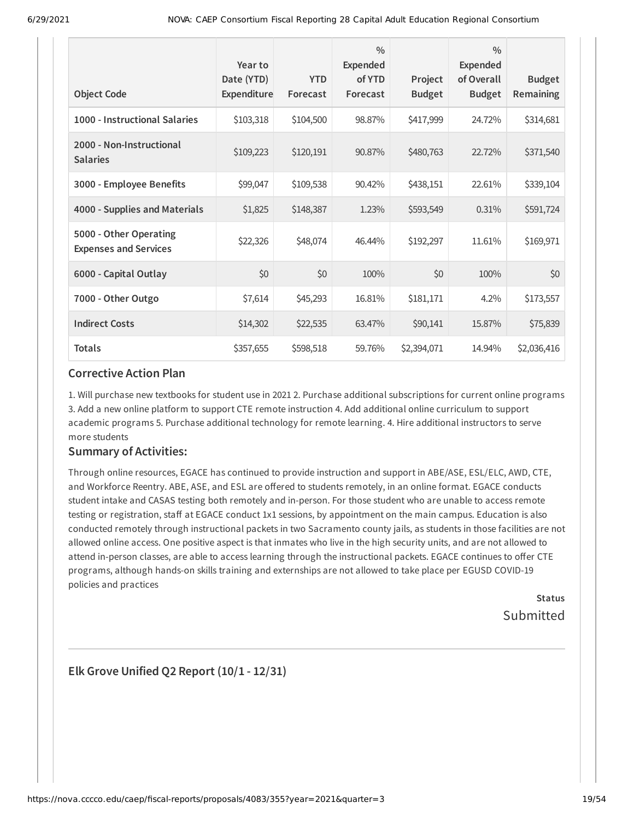| <b>Object Code</b>                                     | Year to<br>Date (YTD)<br>Expenditure | <b>YTD</b><br>Forecast | $\frac{0}{0}$<br><b>Expended</b><br>of YTD<br>Forecast | Project<br><b>Budget</b> | $\frac{0}{0}$<br>Expended<br>of Overall<br><b>Budget</b> | <b>Budget</b><br>Remaining |
|--------------------------------------------------------|--------------------------------------|------------------------|--------------------------------------------------------|--------------------------|----------------------------------------------------------|----------------------------|
| 1000 - Instructional Salaries                          | \$103,318                            | \$104,500              | 98.87%                                                 | \$417,999                | 24.72%                                                   | \$314,681                  |
| 2000 - Non-Instructional<br><b>Salaries</b>            | \$109,223                            | \$120,191              | 90.87%                                                 | \$480,763                | 22.72%                                                   | \$371,540                  |
| 3000 - Employee Benefits                               | \$99,047                             | \$109,538              | 90.42%                                                 | \$438,151                | 22.61%                                                   | \$339,104                  |
| 4000 - Supplies and Materials                          | \$1,825                              | \$148,387              | 1.23%                                                  | \$593,549                | 0.31%                                                    | \$591,724                  |
| 5000 - Other Operating<br><b>Expenses and Services</b> | \$22,326                             | \$48,074               | 46.44%                                                 | \$192,297                | 11.61%                                                   | \$169,971                  |
| 6000 - Capital Outlay                                  | \$0                                  | \$0                    | 100%                                                   | \$0                      | 100%                                                     | \$0                        |
| 7000 - Other Outgo                                     | \$7,614                              | \$45,293               | 16.81%                                                 | \$181,171                | 4.2%                                                     | \$173,557                  |
| <b>Indirect Costs</b>                                  | \$14,302                             | \$22,535               | 63.47%                                                 | \$90,141                 | 15.87%                                                   | \$75,839                   |
| <b>Totals</b>                                          | \$357,655                            | \$598,518              | 59.76%                                                 | \$2,394,071              | 14.94%                                                   | \$2,036,416                |

1. Will purchase new textbooks for student use in 2021 2. Purchase additional subscriptions for current online programs 3. Add a new online platform to support CTE remote instruction 4. Add additional online curriculum to support academic programs 5. Purchase additional technology for remote learning. 4. Hire additional instructors to serve more students

### **Summary of Activities:**

Through online resources, EGACE has continued to provide instruction and support in ABE/ASE, ESL/ELC, AWD, CTE, and Workforce Reentry. ABE, ASE, and ESL are offered to students remotely, in an online format. EGACE conducts student intake and CASAS testing both remotely and in-person. For those student who are unable to access remote testing or registration, staff at EGACE conduct 1x1 sessions, by appointment on the main campus. Education is also conducted remotely through instructional packets in two Sacramento county jails, as students in those facilities are not allowed online access. One positive aspect is that inmates who live in the high security units, and are not allowed to attend in-person classes, are able to access learning through the instructional packets. EGACE continues to offer CTE programs, although hands-on skills training and externships are not allowed to take place per EGUSD COVID-19 policies and practices

> **Status** Submitted

**Elk Grove Unified Q2 Report (10/1 - 12/31)**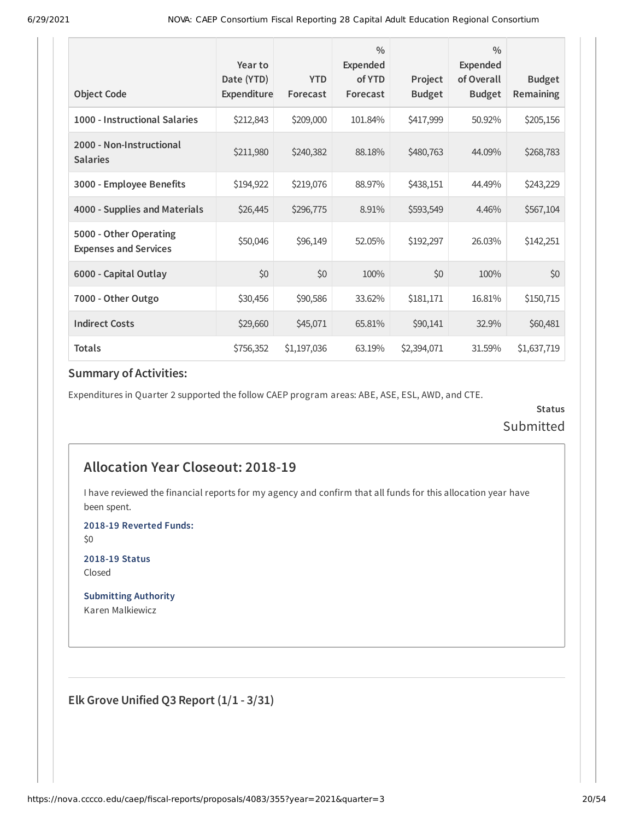|                                                        | Year to                          |                        | $\frac{0}{0}$<br><b>Expended</b> |                          | $\frac{0}{0}$<br><b>Expended</b> |                            |
|--------------------------------------------------------|----------------------------------|------------------------|----------------------------------|--------------------------|----------------------------------|----------------------------|
| <b>Object Code</b>                                     | Date (YTD)<br><b>Expenditure</b> | <b>YTD</b><br>Forecast | of YTD<br>Forecast               | Project<br><b>Budget</b> | of Overall<br><b>Budget</b>      | <b>Budget</b><br>Remaining |
| 1000 - Instructional Salaries                          | \$212,843                        | \$209,000              | 101.84%                          | \$417,999                | 50.92%                           | \$205,156                  |
| 2000 - Non-Instructional<br><b>Salaries</b>            | \$211,980                        | \$240,382              | 88.18%                           | \$480,763                | 44.09%                           | \$268,783                  |
| 3000 - Employee Benefits                               | \$194,922                        | \$219,076              | 88.97%                           | \$438,151                | 44.49%                           | \$243,229                  |
| 4000 - Supplies and Materials                          | \$26,445                         | \$296,775              | 8.91%                            | \$593,549                | 4.46%                            | \$567,104                  |
| 5000 - Other Operating<br><b>Expenses and Services</b> | \$50,046                         | \$96,149               | 52.05%                           | \$192,297                | 26.03%                           | \$142,251                  |
| 6000 - Capital Outlay                                  | \$0                              | \$0                    | 100%                             | \$0                      | 100%                             | \$0                        |
| 7000 - Other Outgo                                     | \$30,456                         | \$90,586               | 33.62%                           | \$181,171                | 16.81%                           | \$150,715                  |
| <b>Indirect Costs</b>                                  | \$29,660                         | \$45,071               | 65.81%                           | \$90,141                 | 32.9%                            | \$60,481                   |
| <b>Totals</b>                                          | \$756,352                        | \$1,197,036            | 63.19%                           | \$2,394,071              | 31.59%                           | \$1,637,719                |

Expenditures in Quarter 2 supported the follow CAEP program areas: ABE, ASE, ESL, AWD, and CTE.

**Status** Submitted

# **Allocation Year Closeout: 2018-19**

I have reviewed the financial reports for my agency and confirm that all funds for this allocation year have been spent.

**2018-19 Reverted Funds:**

\$0

**2018-19 Status** Closed

**Submitting Authority** Karen Malkiewicz

**Elk Grove Unified Q3 Report (1/1 - 3/31)**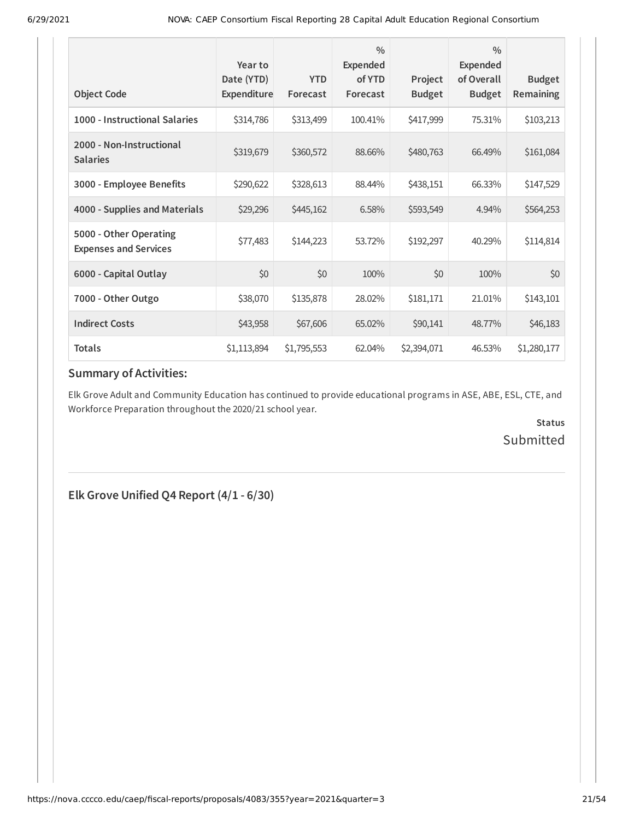| <b>Object Code</b>                                     | Year to<br>Date (YTD)<br>Expenditure | <b>YTD</b><br>Forecast | $\frac{0}{0}$<br><b>Expended</b><br>of YTD<br>Forecast | Project<br><b>Budget</b> | $\frac{0}{0}$<br><b>Expended</b><br>of Overall<br><b>Budget</b> | <b>Budget</b><br><b>Remaining</b> |
|--------------------------------------------------------|--------------------------------------|------------------------|--------------------------------------------------------|--------------------------|-----------------------------------------------------------------|-----------------------------------|
| 1000 - Instructional Salaries                          | \$314,786                            | \$313,499              | 100.41%                                                | \$417,999                | 75.31%                                                          | \$103,213                         |
| 2000 - Non-Instructional<br><b>Salaries</b>            | \$319,679                            | \$360,572              | 88.66%                                                 | \$480,763                | 66.49%                                                          | \$161,084                         |
| 3000 - Employee Benefits                               | \$290,622                            | \$328,613              | 88.44%                                                 | \$438,151                | 66.33%                                                          | \$147,529                         |
| 4000 - Supplies and Materials                          | \$29,296                             | \$445,162              | 6.58%                                                  | \$593,549                | 4.94%                                                           | \$564,253                         |
| 5000 - Other Operating<br><b>Expenses and Services</b> | \$77,483                             | \$144,223              | 53.72%                                                 | \$192,297                | 40.29%                                                          | \$114,814                         |
| 6000 - Capital Outlay                                  | \$0                                  | \$0                    | 100%                                                   | \$0                      | 100%                                                            | \$0                               |
| 7000 - Other Outgo                                     | \$38,070                             | \$135,878              | 28.02%                                                 | \$181,171                | 21.01%                                                          | \$143,101                         |
| <b>Indirect Costs</b>                                  | \$43,958                             | \$67,606               | 65.02%                                                 | \$90,141                 | 48.77%                                                          | \$46,183                          |
| <b>Totals</b>                                          | \$1,113,894                          | \$1,795,553            | 62.04%                                                 | \$2,394,071              | 46.53%                                                          | \$1,280,177                       |

Elk Grove Adult and Community Education has continued to provide educational programs in ASE, ABE, ESL, CTE, and Workforce Preparation throughout the 2020/21 school year.

> **Status** Submitted

**Elk Grove Unified Q4 Report (4/1 - 6/30)**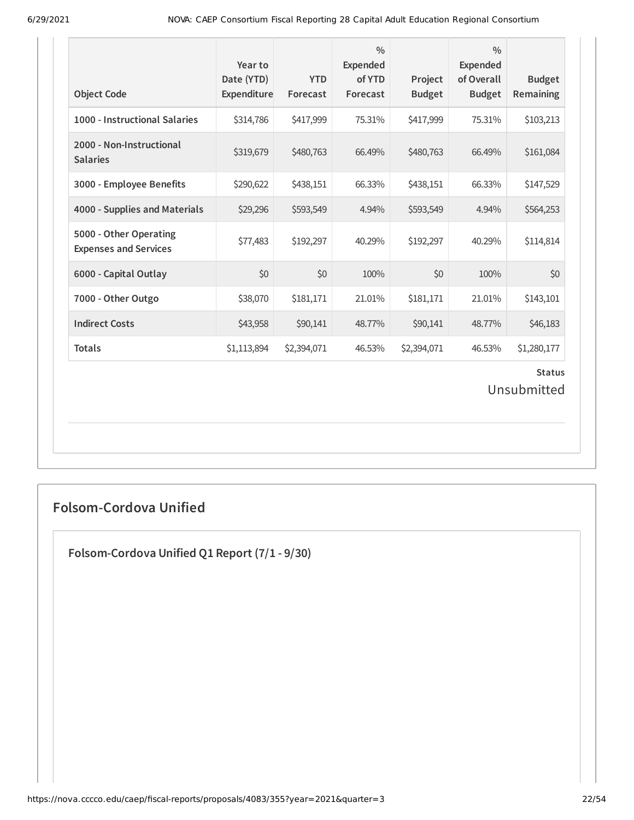| <b>Object Code</b>                                     | Year to<br>Date (YTD)<br>Expenditure | <b>YTD</b><br>Forecast | $\frac{0}{0}$<br>Expended<br>of YTD<br>Forecast | Project<br><b>Budget</b> | $\frac{0}{0}$<br>Expended<br>of Overall<br><b>Budget</b> | <b>Budget</b><br>Remaining   |
|--------------------------------------------------------|--------------------------------------|------------------------|-------------------------------------------------|--------------------------|----------------------------------------------------------|------------------------------|
| 1000 - Instructional Salaries                          | \$314,786                            | \$417,999              | 75.31%                                          | \$417,999                | 75.31%                                                   | \$103,213                    |
| 2000 - Non-Instructional<br><b>Salaries</b>            | \$319,679                            | \$480,763              | 66.49%                                          | \$480,763                | 66.49%                                                   | \$161,084                    |
| 3000 - Employee Benefits                               | \$290,622                            | \$438,151              | 66.33%                                          | \$438,151                | 66.33%                                                   | \$147,529                    |
| 4000 - Supplies and Materials                          | \$29,296                             | \$593,549              | 4.94%                                           | \$593,549                | 4.94%                                                    | \$564,253                    |
| 5000 - Other Operating<br><b>Expenses and Services</b> | \$77,483                             | \$192,297              | 40.29%                                          | \$192,297                | 40.29%                                                   | \$114,814                    |
| 6000 - Capital Outlay                                  | \$0                                  | \$0                    | 100%                                            | \$0                      | 100%                                                     | \$0                          |
| 7000 - Other Outgo                                     | \$38,070                             | \$181,171              | 21.01%                                          | \$181,171                | 21.01%                                                   | \$143,101                    |
| <b>Indirect Costs</b>                                  | \$43,958                             | \$90,141               | 48.77%                                          | \$90,141                 | 48.77%                                                   | \$46,183                     |
| <b>Totals</b>                                          | \$1,113,894                          | \$2,394,071            | 46.53%                                          | \$2,394,071              | 46.53%                                                   | \$1,280,177                  |
|                                                        |                                      |                        |                                                 |                          |                                                          | <b>Status</b><br>Unsubmitted |

# **Folsom-Cordova Unified**

**Folsom-Cordova Unified Q1 Report (7/1 - 9/30)**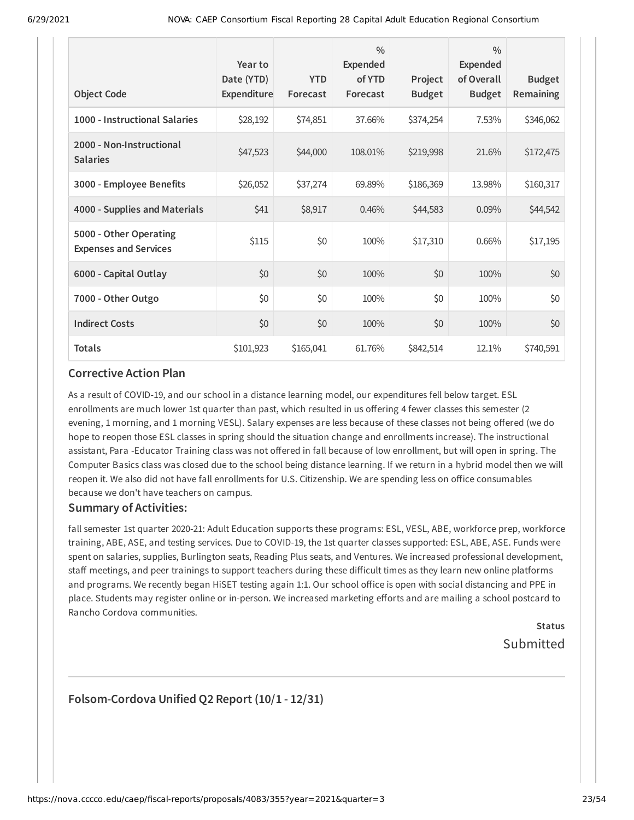|                                                        | Year to<br>Date (YTD) | <b>YTD</b> | $\frac{0}{0}$<br><b>Expended</b><br>of YTD | Project       | $\frac{0}{0}$<br>Expended<br>of Overall | <b>Budget</b>    |
|--------------------------------------------------------|-----------------------|------------|--------------------------------------------|---------------|-----------------------------------------|------------------|
| <b>Object Code</b>                                     | Expenditure           | Forecast   | Forecast                                   | <b>Budget</b> | <b>Budget</b>                           | <b>Remaining</b> |
| 1000 - Instructional Salaries                          | \$28,192              | \$74,851   | 37.66%                                     | \$374,254     | 7.53%                                   | \$346,062        |
| 2000 - Non-Instructional<br><b>Salaries</b>            | \$47,523              | \$44,000   | 108.01%                                    | \$219,998     | 21.6%                                   | \$172,475        |
| 3000 - Employee Benefits                               | \$26,052              | \$37,274   | 69.89%                                     | \$186,369     | 13.98%                                  | \$160,317        |
| 4000 - Supplies and Materials                          | \$41                  | \$8,917    | 0.46%                                      | \$44,583      | 0.09%                                   | \$44,542         |
| 5000 - Other Operating<br><b>Expenses and Services</b> | \$115                 | \$0        | 100%                                       | \$17,310      | 0.66%                                   | \$17,195         |
| 6000 - Capital Outlay                                  | \$0                   | \$0        | 100%                                       | \$0           | 100%                                    | \$0              |
| 7000 - Other Outgo                                     | \$0                   | \$0        | 100%                                       | \$0           | 100%                                    | \$0              |
| <b>Indirect Costs</b>                                  | \$0                   | \$0        | 100%                                       | \$0           | 100%                                    | \$0              |
| <b>Totals</b>                                          | \$101,923             | \$165,041  | 61.76%                                     | \$842,514     | 12.1%                                   | \$740,591        |

As a result of COVID-19, and our school in a distance learning model, our expenditures fell below target. ESL enrollments are much lower 1st quarter than past, which resulted in us offering 4 fewer classes this semester (2 evening, 1 morning, and 1 morning VESL). Salary expenses are less because of these classes not being offered (we do hope to reopen those ESL classes in spring should the situation change and enrollments increase). The instructional assistant, Para -Educator Training class was not offered in fall because of low enrollment, but will open in spring. The Computer Basics class was closed due to the school being distance learning. If we return in a hybrid model then we will reopen it. We also did not have fall enrollments for U.S. Citizenship. We are spending less on office consumables because we don't have teachers on campus.

#### **Summary of Activities:**

fall semester 1st quarter 2020-21: Adult Education supports these programs: ESL, VESL, ABE, workforce prep, workforce training, ABE, ASE, and testing services. Due to COVID-19, the 1st quarter classes supported: ESL, ABE, ASE. Funds were spent on salaries, supplies, Burlington seats, Reading Plus seats, and Ventures. We increased professional development, staff meetings, and peer trainings to support teachers during these difficult times as they learn new online platforms and programs. We recently began HiSET testing again 1:1. Our school office is open with social distancing and PPE in place. Students may register online or in-person. We increased marketing efforts and are mailing a school postcard to Rancho Cordova communities.

# **Status** Submitted

### **Folsom-Cordova Unified Q2 Report (10/1 - 12/31)**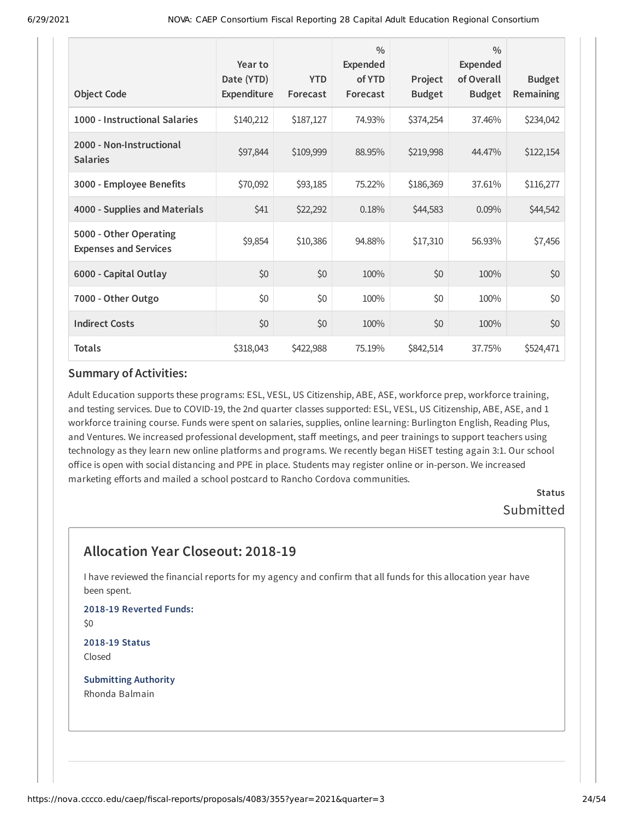| <b>Object Code</b>                                     | Year to<br>Date (YTD)<br>Expenditure | <b>YTD</b><br>Forecast | $\frac{0}{0}$<br><b>Expended</b><br>of YTD<br>Forecast | Project<br><b>Budget</b> | $\frac{0}{0}$<br>Expended<br>of Overall<br><b>Budget</b> | <b>Budget</b><br><b>Remaining</b> |
|--------------------------------------------------------|--------------------------------------|------------------------|--------------------------------------------------------|--------------------------|----------------------------------------------------------|-----------------------------------|
| 1000 - Instructional Salaries                          | \$140,212                            | \$187,127              | 74.93%                                                 | \$374,254                | 37.46%                                                   | \$234,042                         |
| 2000 - Non-Instructional<br><b>Salaries</b>            | \$97,844                             | \$109,999              | 88.95%                                                 | \$219,998                | 44.47%                                                   | \$122,154                         |
| 3000 - Employee Benefits                               | \$70,092                             | \$93,185               | 75.22%                                                 | \$186,369                | 37.61%                                                   | \$116,277                         |
| 4000 - Supplies and Materials                          | \$41                                 | \$22,292               | 0.18%                                                  | \$44,583                 | 0.09%                                                    | \$44,542                          |
| 5000 - Other Operating<br><b>Expenses and Services</b> | \$9,854                              | \$10,386               | 94.88%                                                 | \$17,310                 | 56.93%                                                   | \$7,456                           |
| 6000 - Capital Outlay                                  | \$0                                  | \$0                    | 100%                                                   | \$0                      | 100%                                                     | \$0                               |
| 7000 - Other Outgo                                     | \$0                                  | \$0                    | 100%                                                   | \$0                      | 100%                                                     | \$0                               |
| <b>Indirect Costs</b>                                  | \$0                                  | \$0                    | 100%                                                   | \$0                      | 100%                                                     | \$0                               |
| <b>Totals</b>                                          | \$318,043                            | \$422,988              | 75.19%                                                 | \$842,514                | 37.75%                                                   | \$524,471                         |

Adult Education supports these programs: ESL, VESL, US Citizenship, ABE, ASE, workforce prep, workforce training, and testing services. Due to COVID-19, the 2nd quarter classes supported: ESL, VESL, US Citizenship, ABE, ASE, and 1 workforce training course. Funds were spent on salaries, supplies, online learning: Burlington English, Reading Plus, and Ventures. We increased professional development, staff meetings, and peer trainings to support teachers using technology as they learn new online platforms and programs. We recently began HiSET testing again 3:1. Our school office is open with social distancing and PPE in place. Students may register online or in-person. We increased marketing efforts and mailed a school postcard to Rancho Cordova communities.

> **Status** Submitted

# **Allocation Year Closeout: 2018-19**

I have reviewed the financial reports for my agency and confirm that all funds for this allocation year have been spent.

**2018-19 Reverted Funds:** \$0

**2018-19 Status** Closed

**Submitting Authority** Rhonda Balmain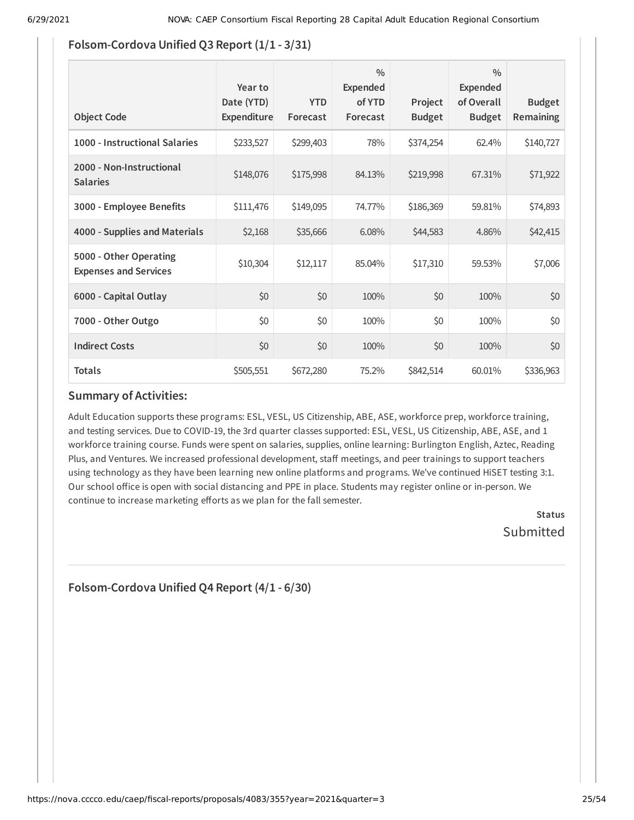### **Folsom-Cordova Unified Q3 Report (1/1 - 3/31)**

| <b>Object Code</b>                                     | Year to<br>Date (YTD)<br><b>Expenditure</b> | <b>YTD</b><br>Forecast | $\frac{0}{0}$<br>Expended<br>of YTD<br>Forecast | Project<br><b>Budget</b> | $\frac{0}{0}$<br>Expended<br>of Overall<br><b>Budget</b> | <b>Budget</b><br><b>Remaining</b> |
|--------------------------------------------------------|---------------------------------------------|------------------------|-------------------------------------------------|--------------------------|----------------------------------------------------------|-----------------------------------|
| 1000 - Instructional Salaries                          | \$233,527                                   | \$299,403              | 78%                                             | \$374,254                | 62.4%                                                    | \$140,727                         |
| 2000 - Non-Instructional<br><b>Salaries</b>            | \$148,076                                   | \$175,998              | 84.13%                                          | \$219,998                | 67.31%                                                   | \$71,922                          |
| 3000 - Employee Benefits                               | \$111,476                                   | \$149,095              | 74.77%                                          | \$186,369                | 59.81%                                                   | \$74,893                          |
| 4000 - Supplies and Materials                          | \$2,168                                     | \$35,666               | 6.08%                                           | \$44,583                 | 4.86%                                                    | \$42,415                          |
| 5000 - Other Operating<br><b>Expenses and Services</b> | \$10,304                                    | \$12,117               | 85.04%                                          | \$17,310                 | 59.53%                                                   | \$7,006                           |
| 6000 - Capital Outlay                                  | \$0                                         | \$0                    | 100%                                            | \$0                      | 100%                                                     | \$0                               |
| 7000 - Other Outgo                                     | \$0                                         | \$0                    | 100%                                            | \$0                      | 100%                                                     | \$0                               |
| <b>Indirect Costs</b>                                  | \$0                                         | \$0                    | 100%                                            | \$0                      | 100%                                                     | \$0                               |
| <b>Totals</b>                                          | \$505,551                                   | \$672,280              | 75.2%                                           | \$842,514                | 60.01%                                                   | \$336,963                         |

### **Summary of Activities:**

Adult Education supports these programs: ESL, VESL, US Citizenship, ABE, ASE, workforce prep, workforce training, and testing services. Due to COVID-19, the 3rd quarter classes supported: ESL, VESL, US Citizenship, ABE, ASE, and 1 workforce training course. Funds were spent on salaries, supplies, online learning: Burlington English, Aztec, Reading Plus, and Ventures. We increased professional development, staff meetings, and peer trainings to support teachers using technology as they have been learning new online platforms and programs. We've continued HiSET testing 3:1. Our school office is open with social distancing and PPE in place. Students may register online or in-person. We continue to increase marketing efforts as we plan for the fall semester.

> **Status** Submitted

**Folsom-Cordova Unified Q4 Report (4/1 - 6/30)**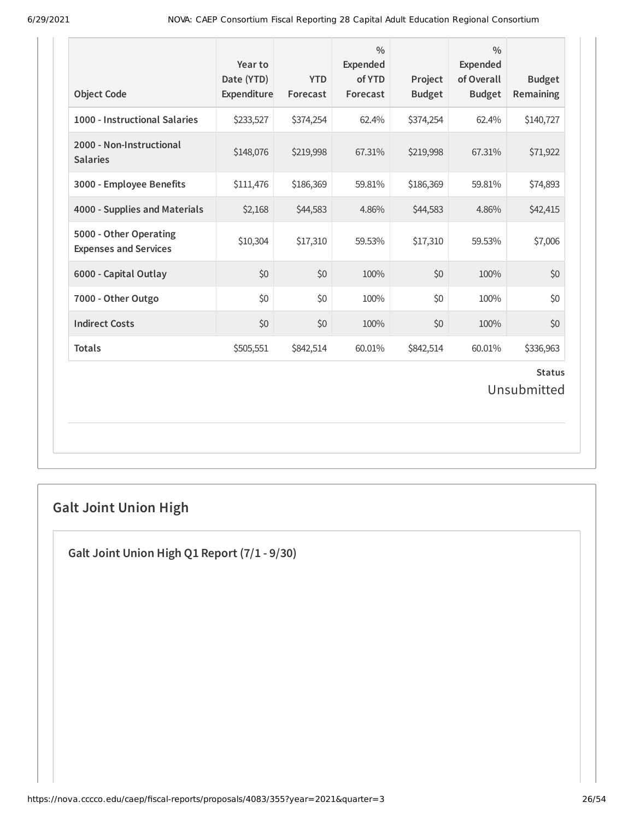| <b>Object Code</b>                                     | Year to<br>Date (YTD)<br>Expenditure | <b>YTD</b><br>Forecast | $\frac{0}{0}$<br><b>Expended</b><br>of YTD<br>Forecast | Project<br><b>Budget</b> | $\frac{0}{0}$<br><b>Expended</b><br>of Overall<br><b>Budget</b> | <b>Budget</b><br>Remaining |  |  |
|--------------------------------------------------------|--------------------------------------|------------------------|--------------------------------------------------------|--------------------------|-----------------------------------------------------------------|----------------------------|--|--|
| 1000 - Instructional Salaries                          | \$233,527                            | \$374,254              | 62.4%                                                  | \$374,254                | 62.4%                                                           | \$140,727                  |  |  |
| 2000 - Non-Instructional<br><b>Salaries</b>            | \$148,076                            | \$219,998              | 67.31%                                                 | \$219,998                | 67.31%                                                          | \$71,922                   |  |  |
| 3000 - Employee Benefits                               | \$111,476                            | \$186,369              | 59.81%                                                 | \$186,369                | 59.81%                                                          | \$74,893                   |  |  |
| 4000 - Supplies and Materials                          | \$2,168                              | \$44,583               | 4.86%                                                  | \$44,583                 | 4.86%                                                           | \$42,415                   |  |  |
| 5000 - Other Operating<br><b>Expenses and Services</b> | \$10,304                             | \$17,310               | 59.53%                                                 | \$17,310                 | 59.53%                                                          | \$7,006                    |  |  |
| 6000 - Capital Outlay                                  | \$0                                  | \$0                    | 100%                                                   | \$0                      | 100%                                                            | \$0                        |  |  |
| 7000 - Other Outgo                                     | \$0                                  | \$0                    | 100%                                                   | \$0                      | 100%                                                            | \$0                        |  |  |
| <b>Indirect Costs</b>                                  | \$0                                  | \$0                    | 100%                                                   | \$0                      | 100%                                                            | \$0                        |  |  |
| <b>Totals</b>                                          | \$505,551                            | \$842,514              | 60.01%                                                 | \$842,514                | 60.01%                                                          | \$336,963                  |  |  |
| <b>Status</b><br>Unsubmitted                           |                                      |                        |                                                        |                          |                                                                 |                            |  |  |

# **Galt Joint Union High**

**Galt Joint Union High Q1 Report (7/1 - 9/30)**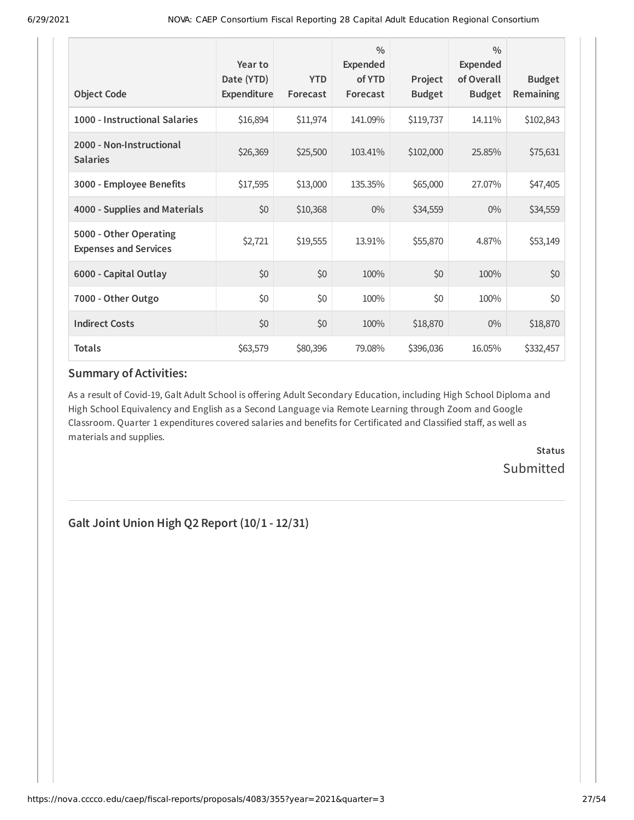| <b>Object Code</b>                                     | Year to<br>Date (YTD)<br><b>Expenditure</b> | <b>YTD</b><br>Forecast | $\frac{0}{0}$<br>Expended<br>of YTD<br>Forecast | Project<br><b>Budget</b> | $\frac{0}{0}$<br><b>Expended</b><br>of Overall<br><b>Budget</b> | <b>Budget</b><br>Remaining |
|--------------------------------------------------------|---------------------------------------------|------------------------|-------------------------------------------------|--------------------------|-----------------------------------------------------------------|----------------------------|
| 1000 - Instructional Salaries                          | \$16,894                                    | \$11,974               | 141.09%                                         | \$119,737                | 14.11%                                                          | \$102,843                  |
| 2000 - Non-Instructional<br><b>Salaries</b>            | \$26,369                                    | \$25,500               | 103.41%                                         | \$102,000                | 25.85%                                                          | \$75,631                   |
| 3000 - Employee Benefits                               | \$17,595                                    | \$13,000               | 135.35%                                         | \$65,000                 | 27.07%                                                          | \$47,405                   |
| 4000 - Supplies and Materials                          | \$0                                         | \$10,368               | $0\%$                                           | \$34,559                 | $0\%$                                                           | \$34,559                   |
| 5000 - Other Operating<br><b>Expenses and Services</b> | \$2,721                                     | \$19,555               | 13.91%                                          | \$55,870                 | 4.87%                                                           | \$53,149                   |
| 6000 - Capital Outlay                                  | \$0                                         | \$0                    | 100%                                            | \$0                      | 100%                                                            | \$0                        |
| 7000 - Other Outgo                                     | \$0                                         | \$0                    | 100%                                            | \$0                      | 100%                                                            | \$0                        |
| <b>Indirect Costs</b>                                  | \$0                                         | \$0                    | 100%                                            | \$18,870                 | $0\%$                                                           | \$18,870                   |
| <b>Totals</b>                                          | \$63,579                                    | \$80,396               | 79.08%                                          | \$396,036                | 16.05%                                                          | \$332,457                  |

As a result of Covid-19, Galt Adult School is offering Adult Secondary Education, including High School Diploma and High School Equivalency and English as a Second Language via Remote Learning through Zoom and Google Classroom. Quarter 1 expenditures covered salaries and benefits for Certificated and Classified staff, as well as materials and supplies.

> **Status Submitted**

**Galt Joint Union High Q2 Report (10/1 - 12/31)**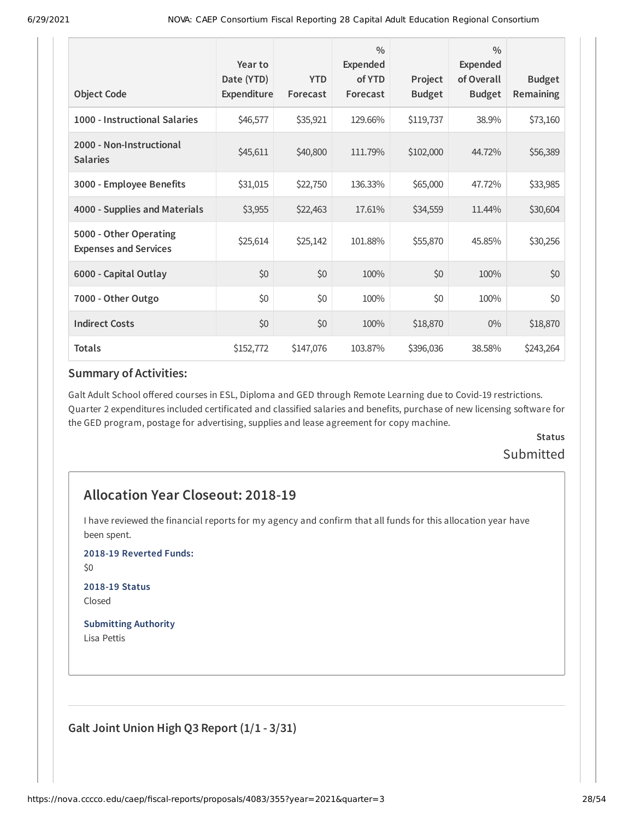| <b>Object Code</b>                                     | Year to<br>Date (YTD)<br>Expenditure | <b>YTD</b><br>Forecast | $\frac{0}{0}$<br><b>Expended</b><br>of YTD<br>Forecast | Project<br><b>Budget</b> | $\frac{0}{0}$<br>Expended<br>of Overall<br><b>Budget</b> | <b>Budget</b><br><b>Remaining</b> |
|--------------------------------------------------------|--------------------------------------|------------------------|--------------------------------------------------------|--------------------------|----------------------------------------------------------|-----------------------------------|
| 1000 - Instructional Salaries                          | \$46,577                             | \$35,921               | 129.66%                                                | \$119,737                | 38.9%                                                    | \$73,160                          |
| 2000 - Non-Instructional<br><b>Salaries</b>            | \$45,611                             | \$40,800               | 111.79%                                                | \$102,000                | 44.72%                                                   | \$56,389                          |
| 3000 - Employee Benefits                               | \$31,015                             | \$22,750               | 136.33%                                                | \$65,000                 | 47.72%                                                   | \$33,985                          |
| 4000 - Supplies and Materials                          | \$3,955                              | \$22,463               | 17.61%                                                 | \$34,559                 | 11.44%                                                   | \$30,604                          |
| 5000 - Other Operating<br><b>Expenses and Services</b> | \$25,614                             | \$25,142               | 101.88%                                                | \$55,870                 | 45.85%                                                   | \$30,256                          |
| 6000 - Capital Outlay                                  | \$0                                  | \$0                    | 100%                                                   | \$0                      | 100%                                                     | \$0                               |
| 7000 - Other Outgo                                     | \$0                                  | \$0                    | 100%                                                   | \$0                      | 100%                                                     | \$0                               |
| <b>Indirect Costs</b>                                  | \$0                                  | \$0                    | 100%                                                   | \$18,870                 | $0\%$                                                    | \$18,870                          |
| <b>Totals</b>                                          | \$152,772                            | \$147,076              | 103.87%                                                | \$396,036                | 38.58%                                                   | \$243,264                         |

Galt Adult School offered courses in ESL, Diploma and GED through Remote Learning due to Covid-19 restrictions. Quarter 2 expenditures included certificated and classified salaries and benefits, purchase of new licensing software for the GED program, postage for advertising, supplies and lease agreement for copy machine.

# **Status Submitted**

# **Allocation Year Closeout: 2018-19**

I have reviewed the financial reports for my agency and confirm that all funds for this allocation year have been spent.

**2018-19 Reverted Funds:**

\$0

**2018-19 Status** Closed

**Submitting Authority** Lisa Pettis

**Galt Joint Union High Q3 Report (1/1 - 3/31)**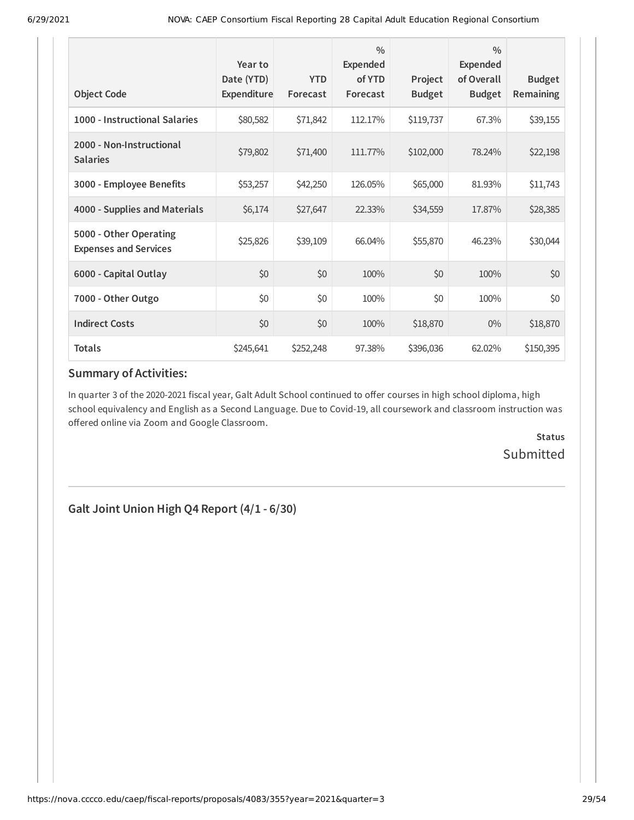| <b>Object Code</b>                                     | Year to<br>Date (YTD)<br>Expenditure | <b>YTD</b><br>Forecast | $\frac{0}{0}$<br>Expended<br>of YTD<br>Forecast | Project<br><b>Budget</b> | $\frac{0}{0}$<br><b>Expended</b><br>of Overall<br><b>Budget</b> | <b>Budget</b><br>Remaining |
|--------------------------------------------------------|--------------------------------------|------------------------|-------------------------------------------------|--------------------------|-----------------------------------------------------------------|----------------------------|
| 1000 - Instructional Salaries                          | \$80,582                             | \$71,842               | 112.17%                                         | \$119,737                | 67.3%                                                           | \$39,155                   |
| 2000 - Non-Instructional<br><b>Salaries</b>            | \$79,802                             | \$71,400               | 111.77%                                         | \$102,000                | 78.24%                                                          | \$22,198                   |
| 3000 - Employee Benefits                               | \$53,257                             | \$42,250               | 126.05%                                         | \$65,000                 | 81.93%                                                          | \$11,743                   |
| 4000 - Supplies and Materials                          | \$6,174                              | \$27,647               | 22.33%                                          | \$34,559                 | 17.87%                                                          | \$28,385                   |
| 5000 - Other Operating<br><b>Expenses and Services</b> | \$25,826                             | \$39,109               | 66.04%                                          | \$55,870                 | 46.23%                                                          | \$30,044                   |
| 6000 - Capital Outlay                                  | \$0                                  | \$0                    | 100%                                            | \$0                      | 100%                                                            | \$0                        |
| 7000 - Other Outgo                                     | \$0                                  | \$0                    | 100%                                            | \$0                      | 100%                                                            | \$0                        |
| <b>Indirect Costs</b>                                  | \$0                                  | \$0                    | 100%                                            | \$18,870                 | $0\%$                                                           | \$18,870                   |
| <b>Totals</b>                                          | \$245,641                            | \$252,248              | 97.38%                                          | \$396,036                | 62.02%                                                          | \$150,395                  |

In quarter 3 of the 2020-2021 fiscal year, Galt Adult School continued to offer courses in high school diploma, high school equivalency and English as a Second Language. Due to Covid-19, all coursework and classroom instruction was offered online via Zoom and Google Classroom.

> **Status** Submitted

**Galt Joint Union High Q4 Report (4/1 - 6/30)**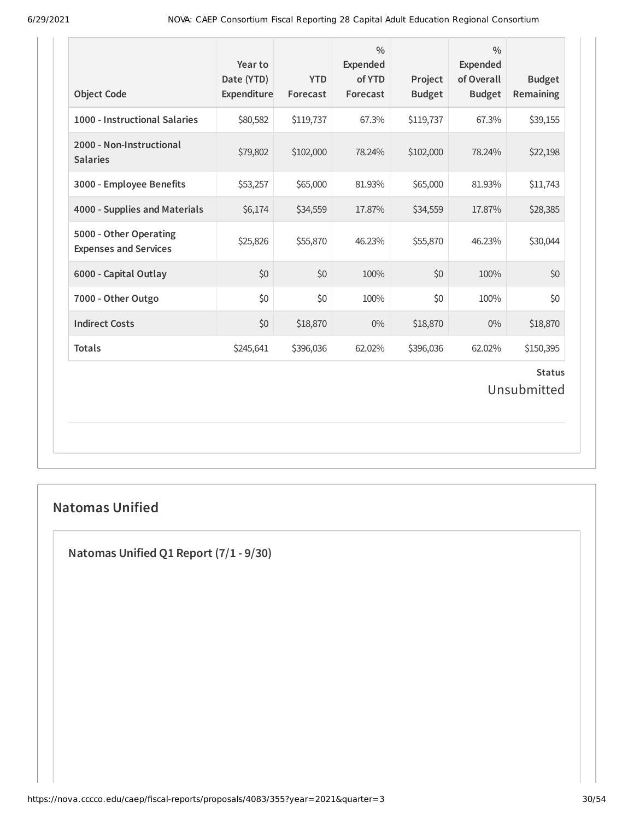| <b>Object Code</b>                                     | Year to<br>Date (YTD)<br>Expenditure | <b>YTD</b><br>Forecast | $\frac{0}{0}$<br><b>Expended</b><br>of YTD<br>Forecast | Project<br><b>Budget</b> | $\frac{0}{0}$<br><b>Expended</b><br>of Overall<br><b>Budget</b> | <b>Budget</b><br>Remaining |  |
|--------------------------------------------------------|--------------------------------------|------------------------|--------------------------------------------------------|--------------------------|-----------------------------------------------------------------|----------------------------|--|
| 1000 - Instructional Salaries                          | \$80,582                             | \$119,737              | 67.3%                                                  | \$119,737                | 67.3%                                                           | \$39,155                   |  |
| 2000 - Non-Instructional<br><b>Salaries</b>            | \$79,802                             | \$102,000              | 78.24%                                                 | \$102,000                | 78.24%                                                          | \$22,198                   |  |
| 3000 - Employee Benefits                               | \$53,257                             | \$65,000               | 81.93%                                                 | \$65,000                 | 81.93%                                                          | \$11,743                   |  |
| 4000 - Supplies and Materials                          | \$6,174                              | \$34,559               | 17.87%                                                 | \$34,559                 | 17.87%                                                          | \$28,385                   |  |
| 5000 - Other Operating<br><b>Expenses and Services</b> | \$25,826                             | \$55,870               | 46.23%                                                 | \$55,870                 | 46.23%                                                          | \$30,044                   |  |
| 6000 - Capital Outlay                                  | \$0                                  | \$0                    | 100%                                                   | \$0                      | 100%                                                            | \$0                        |  |
| 7000 - Other Outgo                                     | \$0                                  | \$0                    | 100%                                                   | \$0                      | 100%                                                            | \$0                        |  |
| <b>Indirect Costs</b>                                  | \$0                                  | \$18,870               | $0\%$                                                  | \$18,870                 | $0\%$                                                           | \$18,870                   |  |
| <b>Totals</b>                                          | \$245,641                            | \$396,036              | 62.02%                                                 | \$396,036                | 62.02%                                                          | \$150,395                  |  |
| <b>Status</b><br>Unsubmitted                           |                                      |                        |                                                        |                          |                                                                 |                            |  |

# **Natomas Unified**

**Natomas Unified Q1 Report (7/1 - 9/30)**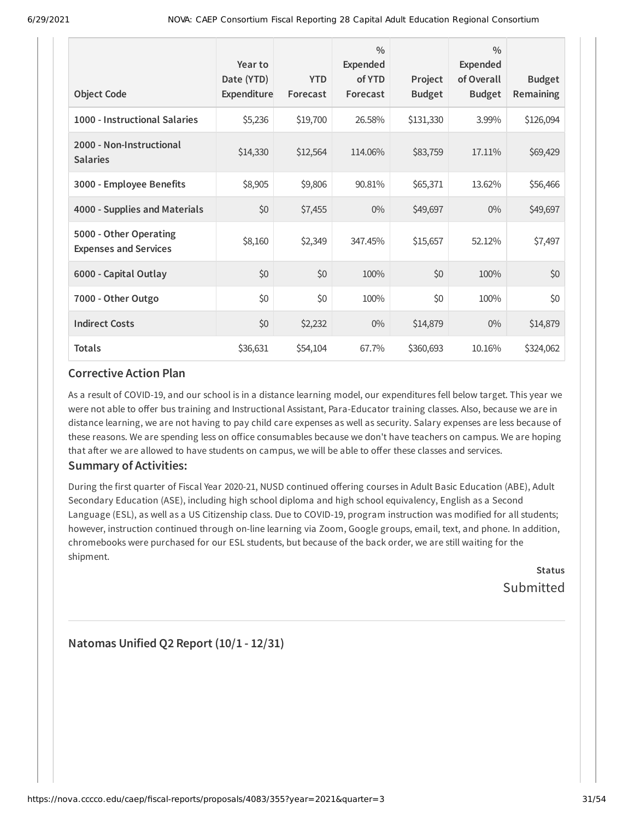| <b>Object Code</b>                                     | Year to<br>Date (YTD)<br>Expenditure | <b>YTD</b><br>Forecast | $\frac{0}{0}$<br><b>Expended</b><br>of YTD<br>Forecast | Project<br><b>Budget</b> | $\frac{0}{0}$<br><b>Expended</b><br>of Overall<br><b>Budget</b> | <b>Budget</b><br>Remaining |
|--------------------------------------------------------|--------------------------------------|------------------------|--------------------------------------------------------|--------------------------|-----------------------------------------------------------------|----------------------------|
| 1000 - Instructional Salaries                          | \$5,236                              | \$19,700               | 26.58%                                                 | \$131,330                | 3.99%                                                           | \$126,094                  |
| 2000 - Non-Instructional<br><b>Salaries</b>            | \$14,330                             | \$12,564               | 114.06%                                                | \$83,759                 | 17.11%                                                          | \$69,429                   |
| 3000 - Employee Benefits                               | \$8,905                              | \$9,806                | 90.81%                                                 | \$65,371                 | 13.62%                                                          | \$56,466                   |
| 4000 - Supplies and Materials                          | \$0                                  | \$7,455                | $0\%$                                                  | \$49,697                 | $0\%$                                                           | \$49,697                   |
| 5000 - Other Operating<br><b>Expenses and Services</b> | \$8,160                              | \$2,349                | 347.45%                                                | \$15,657                 | 52.12%                                                          | \$7,497                    |
| 6000 - Capital Outlay                                  | \$0                                  | \$0                    | 100%                                                   | \$0                      | 100%                                                            | \$0                        |
| 7000 - Other Outgo                                     | \$0                                  | \$0                    | 100%                                                   | \$0                      | 100%                                                            | \$0                        |
| <b>Indirect Costs</b>                                  | \$0                                  | \$2,232                | $0\%$                                                  | \$14,879                 | $0\%$                                                           | \$14,879                   |
| <b>Totals</b>                                          | \$36,631                             | \$54,104               | 67.7%                                                  | \$360,693                | 10.16%                                                          | \$324,062                  |

As a result of COVID-19, and our school is in a distance learning model, our expenditures fell below target. This year we were not able to offer bus training and Instructional Assistant, Para-Educator training classes. Also, because we are in distance learning, we are not having to pay child care expenses as well as security. Salary expenses are less because of these reasons. We are spending less on office consumables because we don't have teachers on campus. We are hoping that after we are allowed to have students on campus, we will be able to offer these classes and services.

### **Summary of Activities:**

During the first quarter of Fiscal Year 2020-21, NUSD continued offering courses in Adult Basic Education (ABE), Adult Secondary Education (ASE), including high school diploma and high school equivalency, English as a Second Language (ESL), as well as a US Citizenship class. Due to COVID-19, program instruction was modified for all students; however, instruction continued through on-line learning via Zoom, Google groups, email, text, and phone. In addition, chromebooks were purchased for our ESL students, but because of the back order, we are still waiting for the shipment.

**Status** Submitted

**Natomas Unified Q2 Report (10/1 - 12/31)**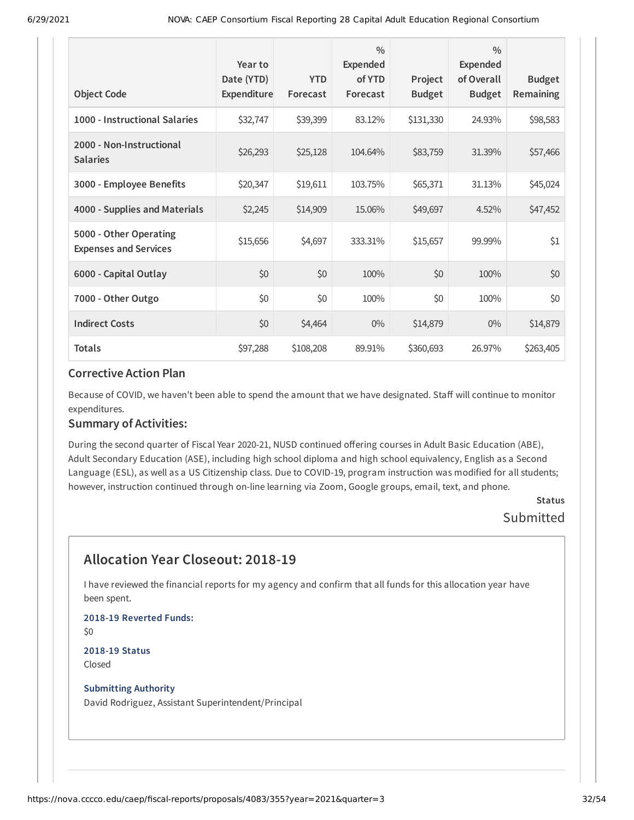|                                                        | Year to<br>Date (YTD) | <b>YTD</b> | $\frac{0}{0}$<br><b>Expended</b><br>of YTD | Project       | $\frac{0}{0}$<br><b>Expended</b><br>of Overall | <b>Budget</b>    |
|--------------------------------------------------------|-----------------------|------------|--------------------------------------------|---------------|------------------------------------------------|------------------|
| <b>Object Code</b>                                     | Expenditure           | Forecast   | Forecast                                   | <b>Budget</b> | <b>Budget</b>                                  | <b>Remaining</b> |
| 1000 - Instructional Salaries                          | \$32,747              | \$39,399   | 83.12%                                     | \$131,330     | 24.93%                                         | \$98,583         |
| 2000 - Non-Instructional<br><b>Salaries</b>            | \$26,293              | \$25,128   | 104.64%                                    | \$83,759      | 31.39%                                         | \$57,466         |
| 3000 - Employee Benefits                               | \$20,347              | \$19,611   | 103.75%                                    | \$65,371      | 31.13%                                         | \$45,024         |
| 4000 - Supplies and Materials                          | \$2,245               | \$14,909   | 15.06%                                     | \$49,697      | 4.52%                                          | \$47,452         |
| 5000 - Other Operating<br><b>Expenses and Services</b> | \$15,656              | \$4,697    | 333.31%                                    | \$15,657      | 99.99%                                         | \$1              |
| 6000 - Capital Outlay                                  | \$0                   | \$0        | 100%                                       | \$0           | 100%                                           | \$0              |
| 7000 - Other Outgo                                     | \$0                   | \$0        | 100%                                       | \$0           | 100%                                           | \$0              |
| <b>Indirect Costs</b>                                  | \$0                   | \$4,464    | $0\%$                                      | \$14,879      | $0\%$                                          | \$14,879         |
| <b>Totals</b>                                          | \$97,288              | \$108,208  | 89.91%                                     | \$360,693     | 26.97%                                         | \$263,405        |

Because of COVID, we haven't been able to spend the amount that we have designated. Staff will continue to monitor expenditures.

#### **Summary of Activities:**

During the second quarter of Fiscal Year 2020-21, NUSD continued offering courses in Adult Basic Education (ABE), Adult Secondary Education (ASE), including high school diploma and high school equivalency, English as a Second Language (ESL), as well as a US Citizenship class. Due to COVID-19, program instruction was modified for all students; however, instruction continued through on-line learning via Zoom, Google groups, email, text, and phone.

### **Status** Submitted

# **Allocation Year Closeout: 2018-19**

I have reviewed the financial reports for my agency and confirm that all funds for this allocation year have been spent.

**2018-19 Reverted Funds:** \$0 **2018-19 Status**

Closed

#### **Submitting Authority**

David Rodriguez, Assistant Superintendent/Principal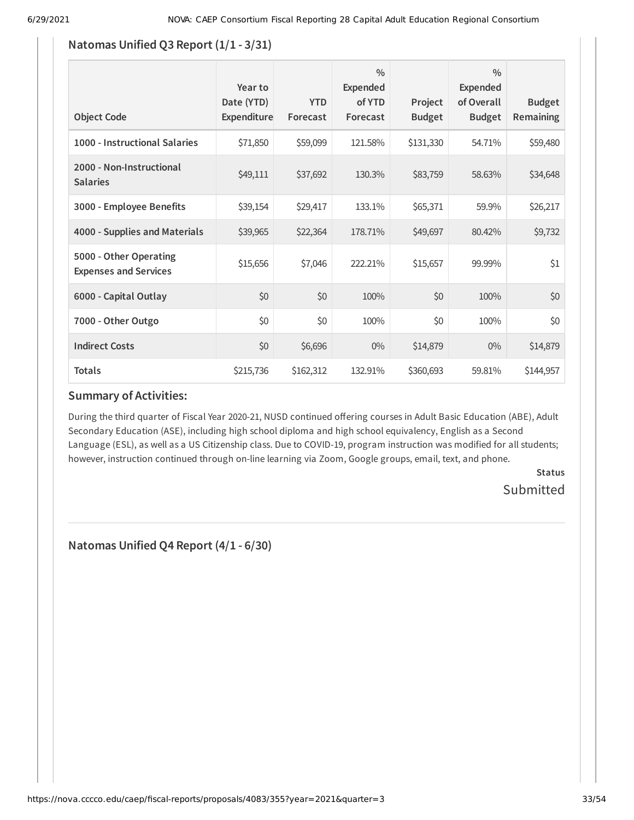### **Natomas Unified Q3 Report (1/1 - 3/31)**

| <b>Object Code</b>                                     | Year to<br>Date (YTD)<br>Expenditure | <b>YTD</b><br>Forecast | $\frac{0}{0}$<br><b>Expended</b><br>of YTD<br>Forecast | Project<br><b>Budget</b> | $\frac{0}{0}$<br><b>Expended</b><br>of Overall<br><b>Budget</b> | <b>Budget</b><br><b>Remaining</b> |
|--------------------------------------------------------|--------------------------------------|------------------------|--------------------------------------------------------|--------------------------|-----------------------------------------------------------------|-----------------------------------|
| 1000 - Instructional Salaries                          | \$71,850                             | \$59,099               | 121.58%                                                | \$131,330                | 54.71%                                                          | \$59,480                          |
| 2000 - Non-Instructional<br><b>Salaries</b>            | \$49,111                             | \$37,692               | 130.3%                                                 | \$83,759                 | 58.63%                                                          | \$34,648                          |
| 3000 - Employee Benefits                               | \$39,154                             | \$29,417               | 133.1%                                                 | \$65,371                 | 59.9%                                                           | \$26,217                          |
| 4000 - Supplies and Materials                          | \$39,965                             | \$22,364               | 178.71%                                                | \$49,697                 | 80.42%                                                          | \$9,732                           |
| 5000 - Other Operating<br><b>Expenses and Services</b> | \$15,656                             | \$7,046                | 222.21%                                                | \$15,657                 | 99.99%                                                          | \$1                               |
| 6000 - Capital Outlay                                  | \$0                                  | \$0                    | 100%                                                   | \$0                      | 100%                                                            | \$0                               |
| 7000 - Other Outgo                                     | \$0                                  | \$0                    | 100%                                                   | \$0                      | 100%                                                            | \$0                               |
| <b>Indirect Costs</b>                                  | \$0                                  | \$6,696                | $0\%$                                                  | \$14,879                 | $0\%$                                                           | \$14,879                          |
| <b>Totals</b>                                          | \$215,736                            | \$162,312              | 132.91%                                                | \$360,693                | 59.81%                                                          | \$144,957                         |

### **Summary of Activities:**

During the third quarter of Fiscal Year 2020-21, NUSD continued offering courses in Adult Basic Education (ABE), Adult Secondary Education (ASE), including high school diploma and high school equivalency, English as a Second Language (ESL), as well as a US Citizenship class. Due to COVID-19, program instruction was modified for all students; however, instruction continued through on-line learning via Zoom, Google groups, email, text, and phone.

> **Status** Submitted

**Natomas Unified Q4 Report (4/1 - 6/30)**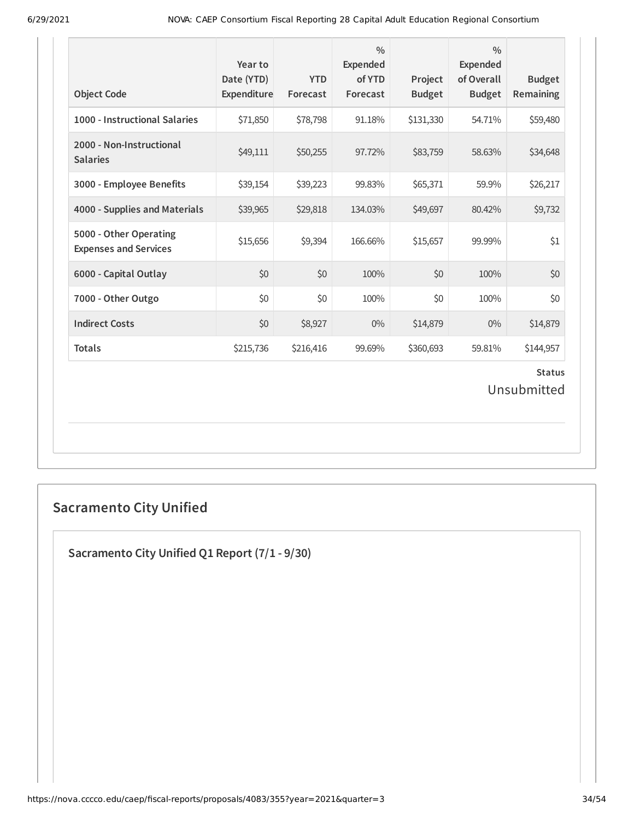| <b>Object Code</b>                                     | Year to<br>Date (YTD)<br>Expenditure | <b>YTD</b><br>Forecast | $\frac{0}{0}$<br><b>Expended</b><br>of YTD<br>Forecast | Project<br><b>Budget</b> | $\frac{0}{0}$<br><b>Expended</b><br>of Overall<br><b>Budget</b> | <b>Budget</b><br>Remaining |  |
|--------------------------------------------------------|--------------------------------------|------------------------|--------------------------------------------------------|--------------------------|-----------------------------------------------------------------|----------------------------|--|
| 1000 - Instructional Salaries                          | \$71,850                             | \$78,798               | 91.18%                                                 | \$131,330                | 54.71%                                                          | \$59,480                   |  |
| 2000 - Non-Instructional<br><b>Salaries</b>            | \$49,111                             | \$50,255               | 97.72%                                                 | \$83,759                 | 58.63%                                                          | \$34,648                   |  |
| 3000 - Employee Benefits                               | \$39,154                             | \$39,223               | 99.83%                                                 | \$65,371                 | 59.9%                                                           | \$26,217                   |  |
| 4000 - Supplies and Materials                          | \$39,965                             | \$29,818               | 134.03%                                                | \$49,697                 | 80.42%                                                          | \$9,732                    |  |
| 5000 - Other Operating<br><b>Expenses and Services</b> | \$15,656                             | \$9,394                | 166.66%                                                | \$15,657                 | 99.99%                                                          | \$1                        |  |
| 6000 - Capital Outlay                                  | \$0                                  | \$0                    | 100%                                                   | \$0                      | 100%                                                            | \$0                        |  |
| 7000 - Other Outgo                                     | \$0                                  | \$0                    | 100%                                                   | \$0                      | 100%                                                            | \$0                        |  |
| <b>Indirect Costs</b>                                  | \$0                                  | \$8,927                | $0\%$                                                  | \$14,879                 | $0\%$                                                           | \$14,879                   |  |
| <b>Totals</b>                                          | \$215,736                            | \$216,416              | 99.69%                                                 | \$360,693                | 59.81%                                                          | \$144,957                  |  |
| <b>Status</b><br>Unsubmitted                           |                                      |                        |                                                        |                          |                                                                 |                            |  |

# **Sacramento City Unified**

**Sacramento City Unified Q1 Report (7/1 - 9/30)**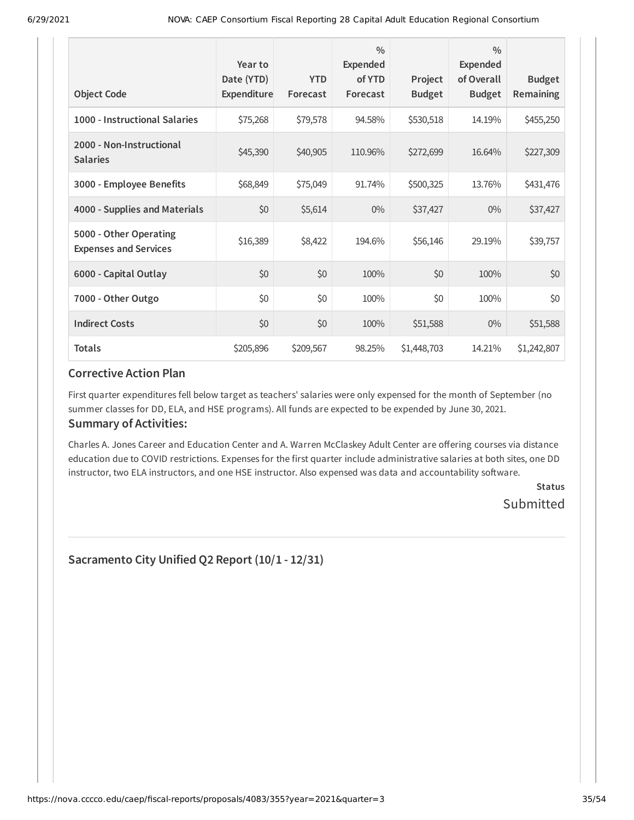| <b>Object Code</b>                                     | Year to<br>Date (YTD)<br>Expenditure | <b>YTD</b><br>Forecast | $\frac{0}{0}$<br><b>Expended</b><br>of YTD<br>Forecast | Project<br><b>Budget</b> | $\frac{0}{0}$<br><b>Expended</b><br>of Overall<br><b>Budget</b> | <b>Budget</b><br>Remaining |
|--------------------------------------------------------|--------------------------------------|------------------------|--------------------------------------------------------|--------------------------|-----------------------------------------------------------------|----------------------------|
| 1000 - Instructional Salaries                          | \$75,268                             | \$79,578               | 94.58%                                                 | \$530,518                | 14.19%                                                          | \$455,250                  |
| 2000 - Non-Instructional<br><b>Salaries</b>            | \$45,390                             | \$40,905               | 110.96%                                                | \$272,699                | 16.64%                                                          | \$227,309                  |
| 3000 - Employee Benefits                               | \$68,849                             | \$75,049               | 91.74%                                                 | \$500,325                | 13.76%                                                          | \$431,476                  |
| 4000 - Supplies and Materials                          | \$0                                  | \$5,614                | $0\%$                                                  | \$37,427                 | $0\%$                                                           | \$37,427                   |
| 5000 - Other Operating<br><b>Expenses and Services</b> | \$16,389                             | \$8,422                | 194.6%                                                 | \$56,146                 | 29.19%                                                          | \$39,757                   |
| 6000 - Capital Outlay                                  | \$0                                  | \$0                    | 100%                                                   | \$0                      | 100%                                                            | \$0                        |
| 7000 - Other Outgo                                     | \$0                                  | \$0                    | 100%                                                   | \$0                      | 100%                                                            | \$0                        |
| <b>Indirect Costs</b>                                  | \$0                                  | \$0                    | 100%                                                   | \$51,588                 | $0\%$                                                           | \$51,588                   |
| <b>Totals</b>                                          | \$205,896                            | \$209,567              | 98.25%                                                 | \$1,448,703              | 14.21%                                                          | \$1,242,807                |

First quarter expenditures fell below target as teachers' salaries were only expensed for the month of September (no summer classes for DD, ELA, and HSE programs). All funds are expected to be expended by June 30, 2021.

### **Summary of Activities:**

Charles A. Jones Career and Education Center and A. Warren McClaskey Adult Center are offering courses via distance education due to COVID restrictions. Expenses for the first quarter include administrative salaries at both sites, one DD instructor, two ELA instructors, and one HSE instructor. Also expensed was data and accountability software.

> **Status** Submitted

**Sacramento City Unified Q2 Report (10/1 - 12/31)**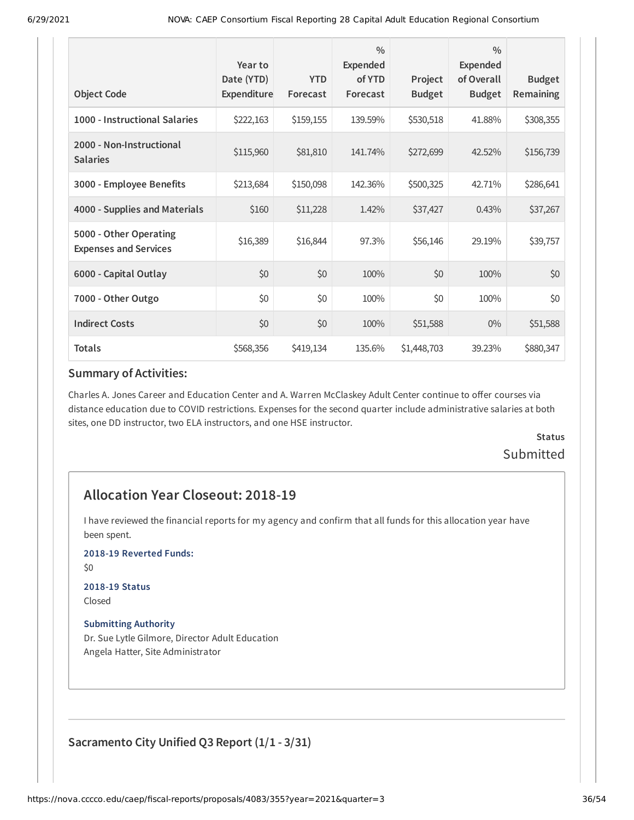| <b>Object Code</b>                                     | Year to<br>Date (YTD)<br>Expenditure | <b>YTD</b><br>Forecast | $\frac{0}{0}$<br><b>Expended</b><br>of YTD<br>Forecast | Project<br><b>Budget</b> | $\frac{0}{0}$<br><b>Expended</b><br>of Overall<br><b>Budget</b> | <b>Budget</b><br><b>Remaining</b> |
|--------------------------------------------------------|--------------------------------------|------------------------|--------------------------------------------------------|--------------------------|-----------------------------------------------------------------|-----------------------------------|
| 1000 - Instructional Salaries                          | \$222,163                            | \$159,155              | 139.59%                                                | \$530,518                | 41.88%                                                          | \$308,355                         |
| 2000 - Non-Instructional<br><b>Salaries</b>            | \$115,960                            | \$81,810               | 141.74%                                                | \$272,699                | 42.52%                                                          | \$156,739                         |
| 3000 - Employee Benefits                               | \$213,684                            | \$150,098              | 142.36%                                                | \$500,325                | 42.71%                                                          | \$286,641                         |
| 4000 - Supplies and Materials                          | \$160                                | \$11,228               | 1.42%                                                  | \$37,427                 | 0.43%                                                           | \$37,267                          |
| 5000 - Other Operating<br><b>Expenses and Services</b> | \$16,389                             | \$16,844               | 97.3%                                                  | \$56,146                 | 29.19%                                                          | \$39,757                          |
| 6000 - Capital Outlay                                  | \$0                                  | \$0                    | 100%                                                   | \$0                      | 100%                                                            | \$0                               |
| 7000 - Other Outgo                                     | \$0                                  | \$0                    | 100%                                                   | \$0                      | 100%                                                            | \$0                               |
| <b>Indirect Costs</b>                                  | \$0                                  | \$0                    | 100%                                                   | \$51,588                 | $0\%$                                                           | \$51,588                          |
| <b>Totals</b>                                          | \$568,356                            | \$419,134              | 135.6%                                                 | \$1,448,703              | 39.23%                                                          | \$880,347                         |

Charles A. Jones Career and Education Center and A. Warren McClaskey Adult Center continue to offer courses via distance education due to COVID restrictions. Expenses for the second quarter include administrative salaries at both sites, one DD instructor, two ELA instructors, and one HSE instructor.

# **Status Submitted**

# **Allocation Year Closeout: 2018-19**

I have reviewed the financial reports for my agency and confirm that all funds for this allocation year have been spent.

**2018-19 Reverted Funds:**

\$0

# **2018-19 Status**

Closed

#### **Submitting Authority**

Dr. Sue Lytle Gilmore, Director Adult Education Angela Hatter, Site Administrator

**Sacramento City Unified Q3 Report (1/1 - 3/31)**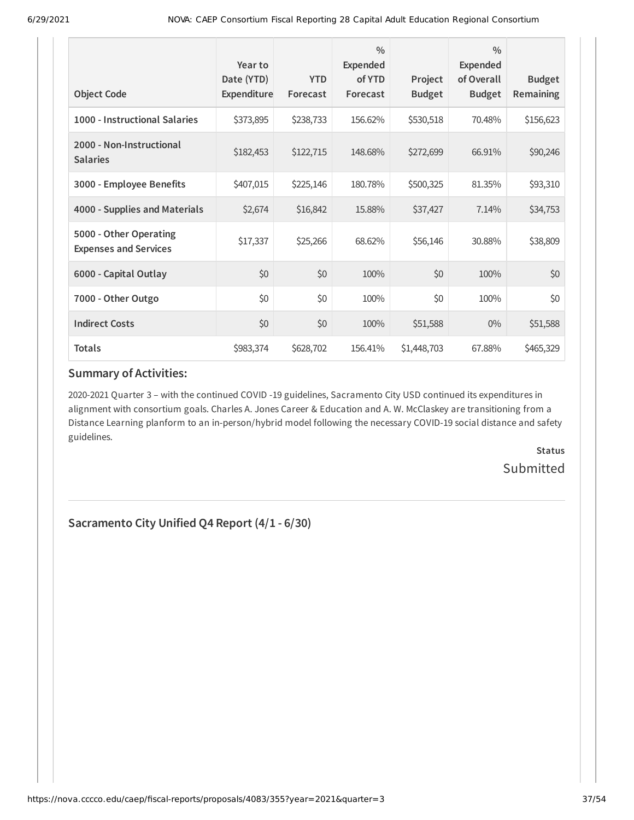| <b>Object Code</b>                                     | Year to<br>Date (YTD)<br>Expenditure | <b>YTD</b><br>Forecast | $\frac{0}{0}$<br>Expended<br>of YTD<br>Forecast | Project<br><b>Budget</b> | $\frac{0}{0}$<br><b>Expended</b><br>of Overall<br><b>Budget</b> | <b>Budget</b><br>Remaining |
|--------------------------------------------------------|--------------------------------------|------------------------|-------------------------------------------------|--------------------------|-----------------------------------------------------------------|----------------------------|
|                                                        |                                      |                        |                                                 |                          |                                                                 |                            |
| 1000 - Instructional Salaries                          | \$373,895                            | \$238,733              | 156.62%                                         | \$530,518                | 70.48%                                                          | \$156,623                  |
| 2000 - Non-Instructional<br><b>Salaries</b>            | \$182,453                            | \$122,715              | 148.68%                                         | \$272,699                | 66.91%                                                          | \$90,246                   |
| 3000 - Employee Benefits                               | \$407,015                            | \$225,146              | 180.78%                                         | \$500,325                | 81.35%                                                          | \$93,310                   |
| 4000 - Supplies and Materials                          | \$2,674                              | \$16,842               | 15.88%                                          | \$37,427                 | 7.14%                                                           | \$34,753                   |
| 5000 - Other Operating<br><b>Expenses and Services</b> | \$17,337                             | \$25,266               | 68.62%                                          | \$56,146                 | 30.88%                                                          | \$38,809                   |
| 6000 - Capital Outlay                                  | \$0                                  | \$0                    | 100%                                            | \$0                      | 100%                                                            | \$0                        |
| 7000 - Other Outgo                                     | \$0                                  | \$0                    | 100%                                            | \$0                      | 100%                                                            | \$0                        |
| <b>Indirect Costs</b>                                  | \$0                                  | \$0                    | 100%                                            | \$51,588                 | $0\%$                                                           | \$51,588                   |
| <b>Totals</b>                                          | \$983,374                            | \$628,702              | 156.41%                                         | \$1,448,703              | 67.88%                                                          | \$465,329                  |

2020-2021 Quarter 3 – with the continued COVID -19 guidelines, Sacramento City USD continued its expenditures in alignment with consortium goals. Charles A. Jones Career & Education and A. W. McClaskey are transitioning from a Distance Learning planform to an in-person/hybrid model following the necessary COVID-19 social distance and safety guidelines.

> **Status Submitted**

**Sacramento City Unified Q4 Report (4/1 - 6/30)**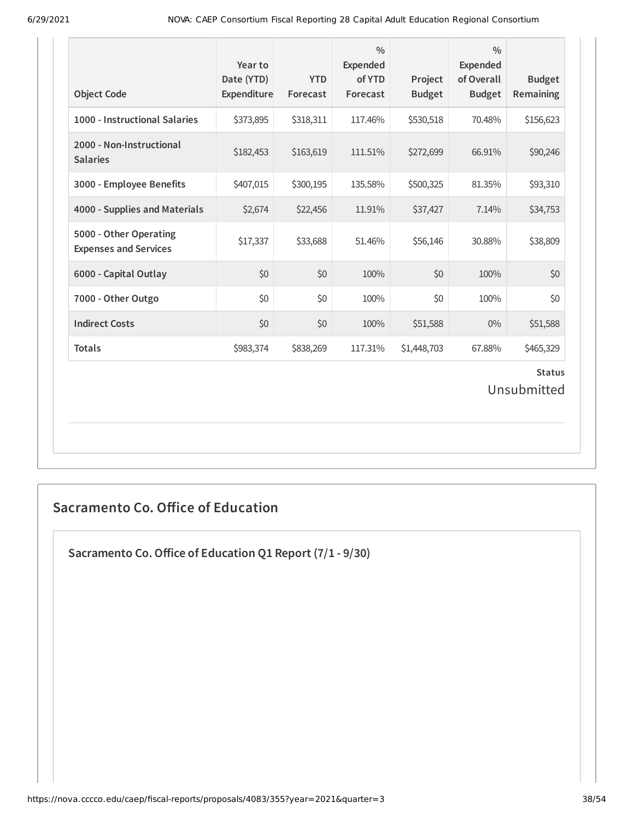| <b>Object Code</b>                                     | Year to<br>Date (YTD)<br>Expenditure | <b>YTD</b><br>Forecast | $\frac{0}{0}$<br><b>Expended</b><br>of YTD<br>Forecast | Project<br><b>Budget</b> | $\frac{0}{0}$<br><b>Expended</b><br>of Overall<br><b>Budget</b> | <b>Budget</b><br>Remaining |  |
|--------------------------------------------------------|--------------------------------------|------------------------|--------------------------------------------------------|--------------------------|-----------------------------------------------------------------|----------------------------|--|
| 1000 - Instructional Salaries                          | \$373,895                            | \$318,311              | 117.46%                                                | \$530,518                | 70.48%                                                          | \$156,623                  |  |
| 2000 - Non-Instructional<br><b>Salaries</b>            | \$182,453                            | \$163,619              | 111.51%                                                | \$272,699                | 66.91%                                                          | \$90,246                   |  |
| 3000 - Employee Benefits                               | \$407,015                            | \$300,195              | 135.58%                                                | \$500,325                | 81.35%                                                          | \$93,310                   |  |
| 4000 - Supplies and Materials                          | \$2,674                              | \$22,456               | 11.91%                                                 | \$37,427                 | 7.14%                                                           | \$34,753                   |  |
| 5000 - Other Operating<br><b>Expenses and Services</b> | \$17,337                             | \$33,688               | 51.46%                                                 | \$56,146                 | 30.88%                                                          | \$38,809                   |  |
| 6000 - Capital Outlay                                  | \$0                                  | \$0                    | 100%                                                   | \$0                      | 100%                                                            | \$0                        |  |
| 7000 - Other Outgo                                     | \$0                                  | \$0                    | 100%                                                   | \$0                      | 100%                                                            | \$0                        |  |
| <b>Indirect Costs</b>                                  | \$0                                  | \$0                    | 100%                                                   | \$51,588                 | $0\%$                                                           | \$51,588                   |  |
| <b>Totals</b>                                          | \$983,374                            | \$838,269              | 117.31%                                                | \$1,448,703              | 67.88%                                                          | \$465,329                  |  |
| <b>Status</b><br>Unsubmitted                           |                                      |                        |                                                        |                          |                                                                 |                            |  |

# **Sacramento Co. Office of Education**

**Sacramento Co.Office of Education Q1 Report (7/1 - 9/30)**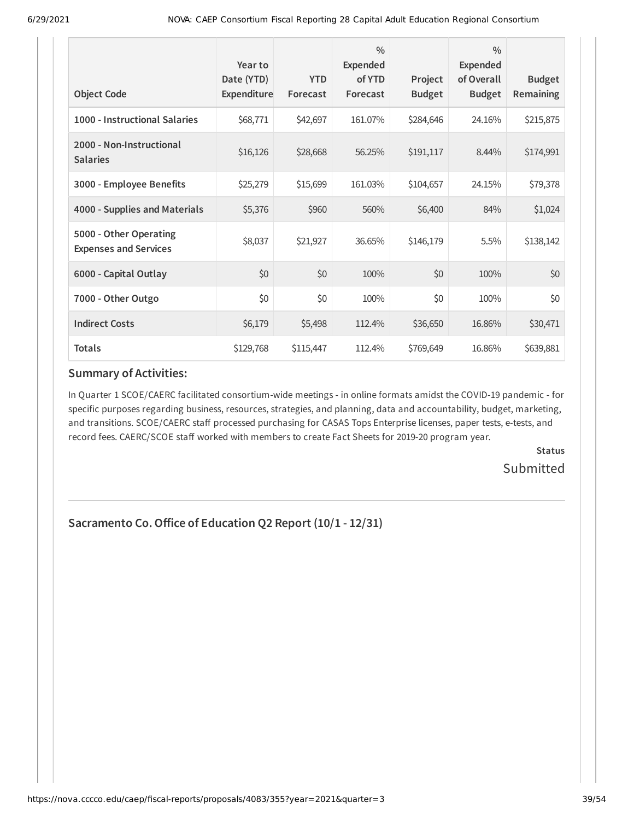| <b>Object Code</b>                                     | Year to<br>Date (YTD)<br>Expenditure | <b>YTD</b><br>Forecast | $\frac{0}{0}$<br><b>Expended</b><br>of YTD<br>Forecast | Project<br><b>Budget</b> | $\frac{0}{0}$<br><b>Expended</b><br>of Overall<br><b>Budget</b> | <b>Budget</b><br>Remaining |
|--------------------------------------------------------|--------------------------------------|------------------------|--------------------------------------------------------|--------------------------|-----------------------------------------------------------------|----------------------------|
| 1000 - Instructional Salaries                          | \$68,771                             | \$42,697               | 161.07%                                                | \$284,646                | 24.16%                                                          | \$215,875                  |
| 2000 - Non-Instructional<br><b>Salaries</b>            | \$16,126                             | \$28,668               | 56.25%                                                 | \$191,117                | 8.44%                                                           | \$174,991                  |
| 3000 - Employee Benefits                               | \$25,279                             | \$15,699               | 161.03%                                                | \$104,657                | 24.15%                                                          | \$79,378                   |
| 4000 - Supplies and Materials                          | \$5,376                              | \$960                  | 560%                                                   | \$6,400                  | 84%                                                             | \$1,024                    |
| 5000 - Other Operating<br><b>Expenses and Services</b> | \$8,037                              | \$21,927               | 36.65%                                                 | \$146,179                | 5.5%                                                            | \$138,142                  |
| 6000 - Capital Outlay                                  | \$0                                  | \$0                    | 100%                                                   | \$0                      | 100%                                                            | \$0                        |
| 7000 - Other Outgo                                     | \$0                                  | \$0                    | 100%                                                   | \$0                      | 100%                                                            | \$0                        |
| <b>Indirect Costs</b>                                  | \$6,179                              | \$5,498                | 112.4%                                                 | \$36,650                 | 16.86%                                                          | \$30,471                   |
| <b>Totals</b>                                          | \$129,768                            | \$115,447              | 112.4%                                                 | \$769,649                | 16.86%                                                          | \$639,881                  |

In Quarter 1 SCOE/CAERC facilitated consortium-wide meetings - in online formats amidst the COVID-19 pandemic - for specific purposes regarding business, resources, strategies, and planning, data and accountability, budget, marketing, and transitions. SCOE/CAERC staff processed purchasing for CASAS Tops Enterprise licenses, paper tests, e-tests, and record fees. CAERC/SCOE staff worked with members to create Fact Sheets for 2019-20 program year.

> **Status Submitted**

# **Sacramento Co.Office of Education Q2 Report (10/1 - 12/31)**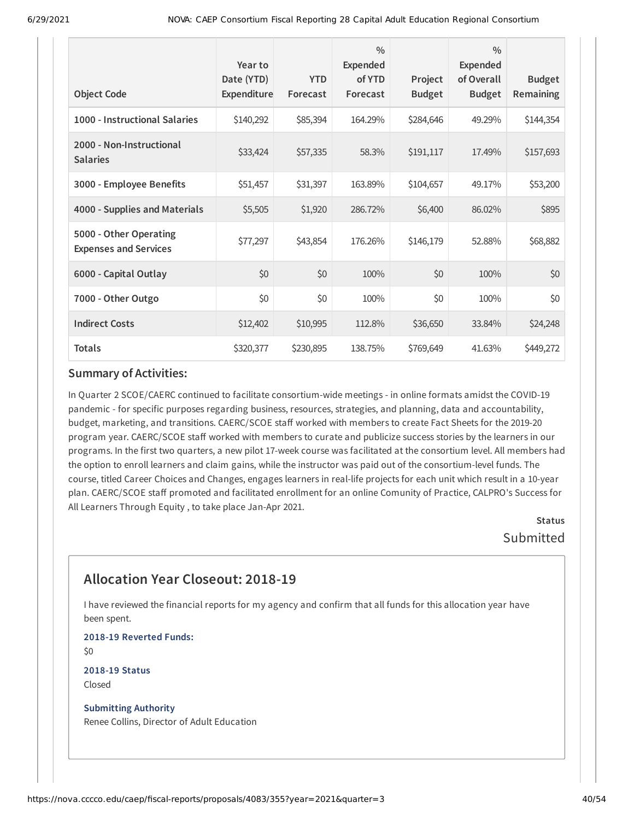| <b>Object Code</b>                                     | Year to<br>Date (YTD)<br>Expenditure | <b>YTD</b><br>Forecast | $\frac{0}{0}$<br><b>Expended</b><br>of YTD<br>Forecast | Project<br><b>Budget</b> | $\frac{0}{0}$<br><b>Expended</b><br>of Overall<br><b>Budget</b> | <b>Budget</b><br>Remaining |
|--------------------------------------------------------|--------------------------------------|------------------------|--------------------------------------------------------|--------------------------|-----------------------------------------------------------------|----------------------------|
| 1000 - Instructional Salaries                          | \$140,292                            | \$85,394               | 164.29%                                                | \$284,646                | 49.29%                                                          | \$144,354                  |
| 2000 - Non-Instructional<br><b>Salaries</b>            | \$33,424                             | \$57,335               | 58.3%                                                  | \$191,117                | 17.49%                                                          | \$157,693                  |
| 3000 - Employee Benefits                               | \$51,457                             | \$31,397               | 163.89%                                                | \$104,657                | 49.17%                                                          | \$53,200                   |
| 4000 - Supplies and Materials                          | \$5,505                              | \$1,920                | 286.72%                                                | \$6,400                  | 86.02%                                                          | \$895                      |
| 5000 - Other Operating<br><b>Expenses and Services</b> | \$77,297                             | \$43,854               | 176.26%                                                | \$146,179                | 52.88%                                                          | \$68,882                   |
| 6000 - Capital Outlay                                  | \$0                                  | \$0                    | 100%                                                   | \$0                      | 100%                                                            | \$0                        |
| 7000 - Other Outgo                                     | \$0                                  | \$0                    | 100%                                                   | \$0                      | 100%                                                            | \$0                        |
| <b>Indirect Costs</b>                                  | \$12,402                             | \$10,995               | 112.8%                                                 | \$36,650                 | 33.84%                                                          | \$24,248                   |
| <b>Totals</b>                                          | \$320,377                            | \$230,895              | 138.75%                                                | \$769,649                | 41.63%                                                          | \$449,272                  |

In Quarter 2 SCOE/CAERC continued to facilitate consortium-wide meetings - in online formats amidst the COVID-19 pandemic - for specific purposes regarding business, resources, strategies, and planning, data and accountability, budget, marketing, and transitions. CAERC/SCOE staff worked with members to create Fact Sheets for the 2019-20 program year. CAERC/SCOE staff worked with members to curate and publicize success stories by the learners in our programs. In the first two quarters, a new pilot 17-week course was facilitated at the consortium level. All members had the option to enroll learners and claim gains, while the instructor was paid out of the consortium-level funds. The course, titled Career Choices and Changes, engages learners in real-life projects for each unit which result in a 10-year plan. CAERC/SCOE staff promoted and facilitated enrollment for an online Comunity of Practice, CALPRO's Success for All Learners Through Equity , to take place Jan-Apr 2021.

**Status** Submitted

# **Allocation Year Closeout: 2018-19**

I have reviewed the financial reports for my agency and confirm that all funds for this allocation year have been spent.

**2018-19 Reverted Funds:** \$0

**2018-19 Status** Closed

**Submitting Authority** Renee Collins, Director of Adult Education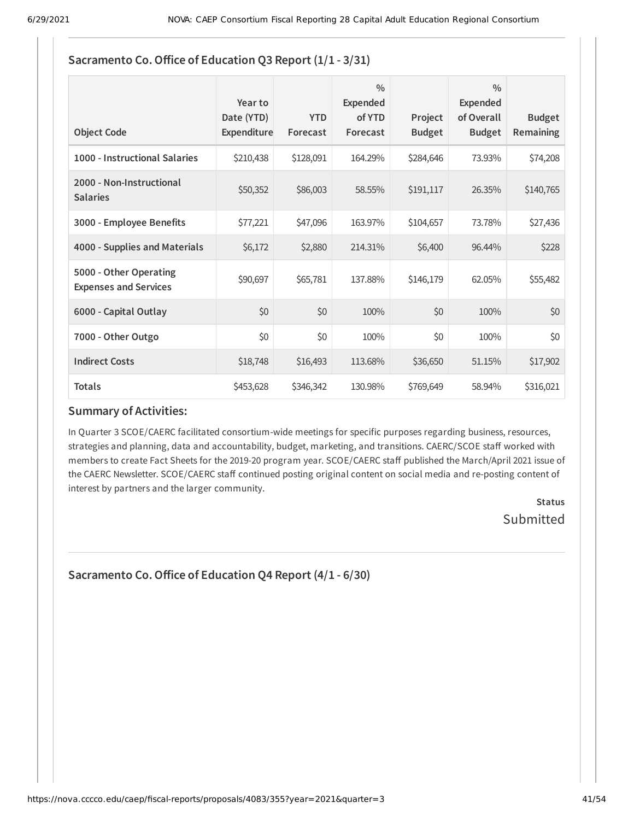| <b>Object Code</b>                                     | Year to<br>Date (YTD)<br>Expenditure | <b>YTD</b><br>Forecast | $\frac{0}{0}$<br>Expended<br>of YTD<br>Forecast | Project<br><b>Budget</b> | $\frac{0}{0}$<br><b>Expended</b><br>of Overall<br><b>Budget</b> | <b>Budget</b><br><b>Remaining</b> |
|--------------------------------------------------------|--------------------------------------|------------------------|-------------------------------------------------|--------------------------|-----------------------------------------------------------------|-----------------------------------|
| 1000 - Instructional Salaries                          | \$210,438                            | \$128,091              | 164.29%                                         | \$284,646                | 73.93%                                                          | \$74,208                          |
| 2000 - Non-Instructional<br><b>Salaries</b>            | \$50,352                             | \$86,003               | 58.55%                                          | \$191,117                | 26.35%                                                          | \$140,765                         |
| 3000 - Employee Benefits                               | \$77,221                             | \$47,096               | 163.97%                                         | \$104,657                | 73.78%                                                          | \$27,436                          |
| 4000 - Supplies and Materials                          | \$6,172                              | \$2,880                | 214.31%                                         | \$6,400                  | 96.44%                                                          | \$228                             |
| 5000 - Other Operating<br><b>Expenses and Services</b> | \$90,697                             | \$65,781               | 137.88%                                         | \$146,179                | 62.05%                                                          | \$55,482                          |
| 6000 - Capital Outlay                                  | \$0                                  | \$0                    | 100%                                            | \$0                      | 100%                                                            | \$0                               |
| 7000 - Other Outgo                                     | \$0                                  | \$0                    | 100%                                            | \$0                      | 100%                                                            | \$0                               |
| <b>Indirect Costs</b>                                  | \$18,748                             | \$16,493               | 113.68%                                         | \$36,650                 | 51.15%                                                          | \$17,902                          |
| <b>Totals</b>                                          | \$453,628                            | \$346,342              | 130.98%                                         | \$769,649                | 58.94%                                                          | \$316,021                         |

# **Sacramento Co.Office of Education Q3 Report (1/1 - 3/31)**

### **Summary of Activities:**

In Quarter 3 SCOE/CAERC facilitated consortium-wide meetings for specific purposes regarding business, resources, strategies and planning, data and accountability, budget, marketing, and transitions. CAERC/SCOE staff worked with members to create Fact Sheets for the 2019-20 program year. SCOE/CAERC staff published the March/April 2021 issue of the CAERC Newsletter. SCOE/CAERC staff continued posting original content on social media and re-posting content of interest by partners and the larger community.

> **Status** Submitted

**Sacramento Co.Office of Education Q4 Report (4/1 - 6/30)**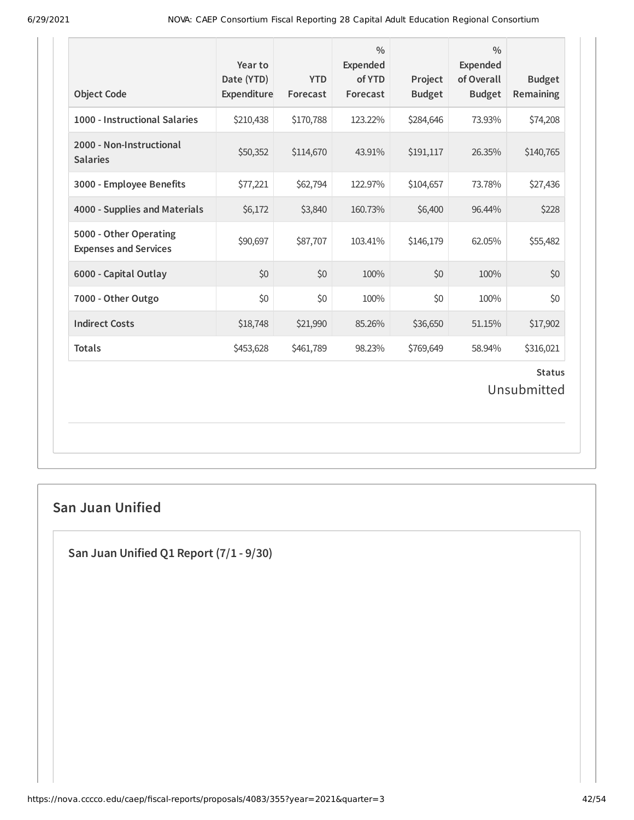| <b>Object Code</b>                                     | Year to<br>Date (YTD)<br>Expenditure | <b>YTD</b><br>Forecast | $\frac{0}{0}$<br><b>Expended</b><br>of YTD<br>Forecast | Project<br><b>Budget</b> | $\frac{0}{0}$<br><b>Expended</b><br>of Overall<br><b>Budget</b> | <b>Budget</b><br>Remaining   |
|--------------------------------------------------------|--------------------------------------|------------------------|--------------------------------------------------------|--------------------------|-----------------------------------------------------------------|------------------------------|
| 1000 - Instructional Salaries                          | \$210,438                            | \$170,788              | 123.22%                                                | \$284,646                | 73.93%                                                          | \$74,208                     |
| 2000 - Non-Instructional<br><b>Salaries</b>            | \$50,352                             | \$114,670              | 43.91%                                                 | \$191,117                | 26.35%                                                          | \$140,765                    |
| 3000 - Employee Benefits                               | \$77,221                             | \$62,794               | 122.97%                                                | \$104,657                | 73.78%                                                          | \$27,436                     |
| 4000 - Supplies and Materials                          | \$6,172                              | \$3,840                | 160.73%                                                | \$6,400                  | 96.44%                                                          | \$228                        |
| 5000 - Other Operating<br><b>Expenses and Services</b> | \$90,697                             | \$87,707               | 103.41%                                                | \$146,179                | 62.05%                                                          | \$55,482                     |
| 6000 - Capital Outlay                                  | \$0                                  | \$0                    | 100%                                                   | \$0                      | 100%                                                            | \$0                          |
| 7000 - Other Outgo                                     | \$0                                  | \$0                    | 100%                                                   | \$0                      | 100%                                                            | \$0                          |
| <b>Indirect Costs</b>                                  | \$18,748                             | \$21,990               | 85.26%                                                 | \$36,650                 | 51.15%                                                          | \$17,902                     |
| <b>Totals</b>                                          | \$453,628                            | \$461,789              | 98.23%                                                 | \$769,649                | 58.94%                                                          | \$316,021                    |
|                                                        |                                      |                        |                                                        |                          |                                                                 | <b>Status</b><br>Unsubmitted |

# **San Juan Unified**

**San Juan Unified Q1 Report (7/1 - 9/30)**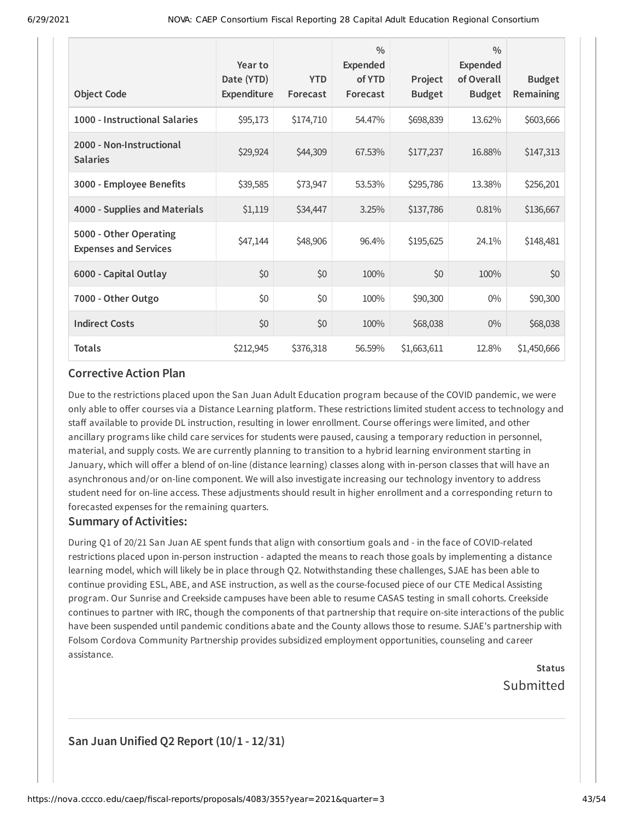| <b>Object Code</b>                                     | Year to<br>Date (YTD)<br><b>Expenditure</b> | <b>YTD</b><br>Forecast | $\frac{0}{0}$<br><b>Expended</b><br>of YTD<br>Forecast | Project<br><b>Budget</b> | $\frac{0}{0}$<br><b>Expended</b><br>of Overall<br><b>Budget</b> | <b>Budget</b><br>Remaining |
|--------------------------------------------------------|---------------------------------------------|------------------------|--------------------------------------------------------|--------------------------|-----------------------------------------------------------------|----------------------------|
| 1000 - Instructional Salaries                          | \$95,173                                    | \$174,710              | 54.47%                                                 | \$698,839                | 13.62%                                                          | \$603,666                  |
| 2000 - Non-Instructional<br><b>Salaries</b>            | \$29,924                                    | \$44,309               | 67.53%                                                 | \$177,237                | 16.88%                                                          | \$147,313                  |
| 3000 - Employee Benefits                               | \$39,585                                    | \$73,947               | 53.53%                                                 | \$295,786                | 13.38%                                                          | \$256,201                  |
| 4000 - Supplies and Materials                          | \$1,119                                     | \$34,447               | 3.25%                                                  | \$137,786                | 0.81%                                                           | \$136,667                  |
| 5000 - Other Operating<br><b>Expenses and Services</b> | \$47,144                                    | \$48,906               | 96.4%                                                  | \$195,625                | 24.1%                                                           | \$148,481                  |
| 6000 - Capital Outlay                                  | \$0                                         | \$0                    | 100%                                                   | \$0                      | 100%                                                            | \$0                        |
| 7000 - Other Outgo                                     | \$0                                         | \$0                    | 100%                                                   | \$90,300                 | $0\%$                                                           | \$90,300                   |
| <b>Indirect Costs</b>                                  | \$0                                         | \$0                    | 100%                                                   | \$68,038                 | $0\%$                                                           | \$68,038                   |
| <b>Totals</b>                                          | \$212,945                                   | \$376,318              | 56.59%                                                 | \$1,663,611              | 12.8%                                                           | \$1,450,666                |

Due to the restrictions placed upon the San Juan Adult Education program because of the COVID pandemic, we were only able to offer courses via a Distance Learning platform. These restrictions limited student access to technology and staff available to provide DL instruction, resulting in lower enrollment. Course offerings were limited, and other ancillary programs like child care services for students were paused, causing a temporary reduction in personnel, material, and supply costs. We are currently planning to transition to a hybrid learning environment starting in January, which will offer a blend of on-line (distance learning) classes along with in-person classes that will have an asynchronous and/or on-line component. We will also investigate increasing our technology inventory to address student need for on-line access. These adjustments should result in higher enrollment and a corresponding return to forecasted expenses for the remaining quarters.

#### **Summary of Activities:**

During Q1 of 20/21 San Juan AE spent funds that align with consortium goals and - in the face of COVID-related restrictions placed upon in-person instruction - adapted the means to reach those goals by implementing a distance learning model, which will likely be in place through Q2. Notwithstanding these challenges, SJAE has been able to continue providing ESL, ABE, and ASE instruction, as well as the course-focused piece of our CTE Medical Assisting program. Our Sunrise and Creekside campuses have been able to resume CASAS testing in small cohorts. Creekside continues to partner with IRC, though the components of that partnership that require on-site interactions of the public have been suspended until pandemic conditions abate and the County allows those to resume. SJAE's partnership with Folsom Cordova Community Partnership provides subsidized employment opportunities, counseling and career assistance.

> **Status** Submitted

# **San Juan Unified Q2 Report (10/1 - 12/31)**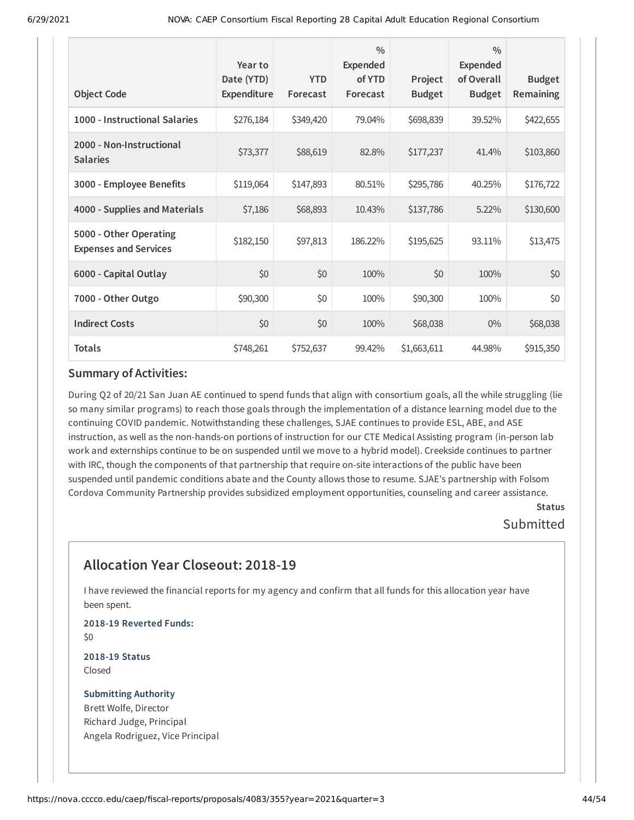| <b>Object Code</b>                                     | Year to<br>Date (YTD)<br>Expenditure | <b>YTD</b><br>Forecast | $\frac{0}{0}$<br><b>Expended</b><br>of YTD<br>Forecast | Project<br><b>Budget</b> | $\frac{0}{0}$<br><b>Expended</b><br>of Overall<br><b>Budget</b> | <b>Budget</b><br><b>Remaining</b> |
|--------------------------------------------------------|--------------------------------------|------------------------|--------------------------------------------------------|--------------------------|-----------------------------------------------------------------|-----------------------------------|
| 1000 - Instructional Salaries                          | \$276,184                            | \$349,420              | 79.04%                                                 | \$698,839                | 39.52%                                                          | \$422,655                         |
| 2000 - Non-Instructional<br><b>Salaries</b>            | \$73,377                             | \$88,619               | 82.8%                                                  | \$177,237                | 41.4%                                                           | \$103,860                         |
| 3000 - Employee Benefits                               | \$119,064                            | \$147,893              | 80.51%                                                 | \$295,786                | 40.25%                                                          | \$176,722                         |
| 4000 - Supplies and Materials                          | \$7,186                              | \$68,893               | 10.43%                                                 | \$137,786                | 5.22%                                                           | \$130,600                         |
| 5000 - Other Operating<br><b>Expenses and Services</b> | \$182,150                            | \$97,813               | 186.22%                                                | \$195,625                | 93.11%                                                          | \$13,475                          |
| 6000 - Capital Outlay                                  | \$0                                  | \$0                    | 100%                                                   | \$0                      | 100%                                                            | \$0                               |
| 7000 - Other Outgo                                     | \$90,300                             | \$0                    | 100%                                                   | \$90,300                 | 100%                                                            | \$0                               |
| <b>Indirect Costs</b>                                  | \$0                                  | \$0                    | 100%                                                   | \$68,038                 | $0\%$                                                           | \$68,038                          |
| <b>Totals</b>                                          | \$748,261                            | \$752,637              | 99.42%                                                 | \$1,663,611              | 44.98%                                                          | \$915,350                         |

During Q2 of 20/21 San Juan AE continued to spend funds that align with consortium goals, all the while struggling (lie so many similar programs) to reach those goals through the implementation of a distance learning model due to the continuing COVID pandemic. Notwithstanding these challenges, SJAE continues to provide ESL, ABE, and ASE instruction, as well as the non-hands-on portions of instruction for our CTE Medical Assisting program (in-person lab work and externships continue to be on suspended until we move to a hybrid model). Creekside continues to partner with IRC, though the components of that partnership that require on-site interactions of the public have been suspended until pandemic conditions abate and the County allows those to resume. SJAE's partnership with Folsom Cordova Community Partnership provides subsidized employment opportunities, counseling and career assistance.

### **Status** Submitted

# **Allocation Year Closeout: 2018-19**

I have reviewed the financial reports for my agency and confirm that all funds for this allocation year have been spent.

**2018-19 Reverted Funds:** \$0

**2018-19 Status** Closed

### **Submitting Authority** Brett Wolfe, Director

Richard Judge, Principal Angela Rodriguez, Vice Principal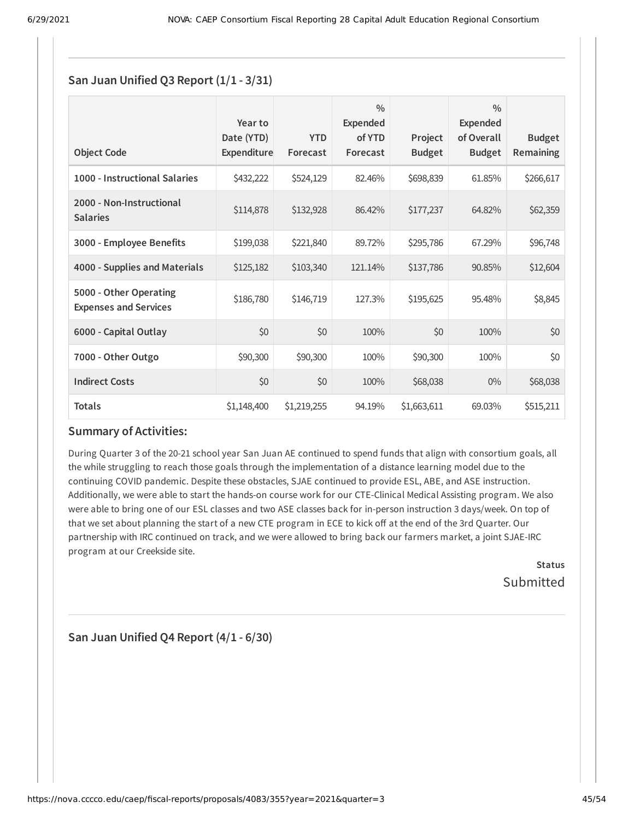### **San Juan Unified Q3 Report (1/1 - 3/31)**

| <b>Object Code</b>                                     | Year to<br>Date (YTD)<br><b>Expenditure</b> | <b>YTD</b><br>Forecast | $\frac{0}{0}$<br>Expended<br>of YTD<br>Forecast | Project<br><b>Budget</b> | $\frac{0}{0}$<br>Expended<br>of Overall<br><b>Budget</b> | <b>Budget</b><br><b>Remaining</b> |
|--------------------------------------------------------|---------------------------------------------|------------------------|-------------------------------------------------|--------------------------|----------------------------------------------------------|-----------------------------------|
| 1000 - Instructional Salaries                          | \$432,222                                   | \$524,129              | 82.46%                                          | \$698,839                | 61.85%                                                   | \$266,617                         |
| 2000 - Non-Instructional<br><b>Salaries</b>            | \$114,878                                   | \$132,928              | 86.42%                                          | \$177,237                | 64.82%                                                   | \$62,359                          |
| 3000 - Employee Benefits                               | \$199,038                                   | \$221,840              | 89.72%                                          | \$295,786                | 67.29%                                                   | \$96,748                          |
| 4000 - Supplies and Materials                          | \$125,182                                   | \$103,340              | 121.14%                                         | \$137,786                | 90.85%                                                   | \$12,604                          |
| 5000 - Other Operating<br><b>Expenses and Services</b> | \$186,780                                   | \$146,719              | 127.3%                                          | \$195,625                | 95.48%                                                   | \$8,845                           |
| 6000 - Capital Outlay                                  | \$0                                         | \$0                    | 100%                                            | \$0                      | 100%                                                     | \$0                               |
| 7000 - Other Outgo                                     | \$90,300                                    | \$90,300               | 100%                                            | \$90,300                 | 100%                                                     | \$0                               |
| <b>Indirect Costs</b>                                  | \$0                                         | \$0                    | 100%                                            | \$68,038                 | $0\%$                                                    | \$68,038                          |
| <b>Totals</b>                                          | \$1,148,400                                 | \$1,219,255            | 94.19%                                          | \$1,663,611              | 69.03%                                                   | \$515,211                         |

### **Summary of Activities:**

During Quarter 3 of the 20-21 school year San Juan AE continued to spend funds that align with consortium goals, all the while struggling to reach those goals through the implementation of a distance learning model due to the continuing COVID pandemic. Despite these obstacles, SJAE continued to provide ESL, ABE, and ASE instruction. Additionally, we were able to start the hands-on course work for our CTE-Clinical Medical Assisting program. We also were able to bring one of our ESL classes and two ASE classes back for in-person instruction 3 days/week. On top of that we set about planning the start of a new CTE program in ECE to kick off at the end of the 3rd Quarter. Our partnership with IRC continued on track, and we were allowed to bring back our farmers market, a joint SJAE-IRC program at our Creekside site.

> **Status** Submitted

**San Juan Unified Q4 Report (4/1 - 6/30)**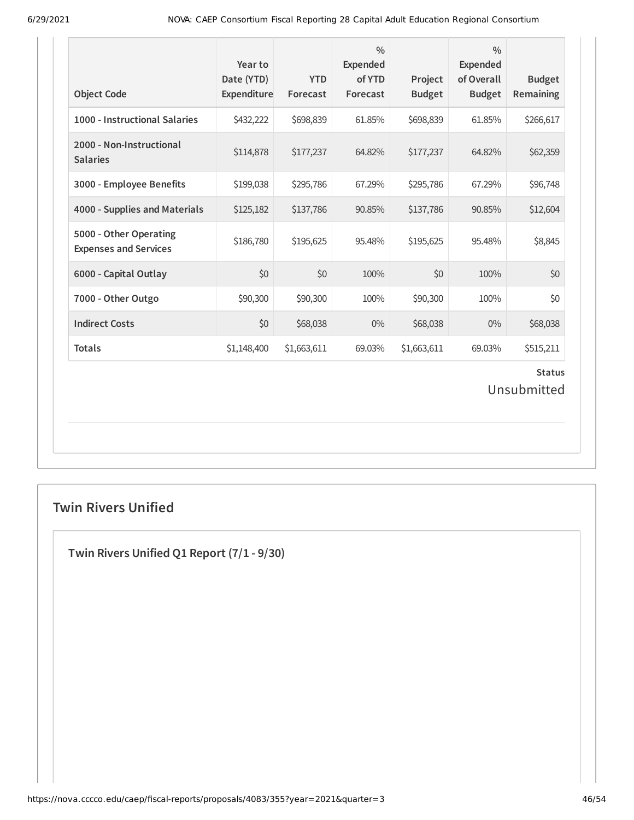| <b>Object Code</b>                                     | Year to<br>Date (YTD)<br>Expenditure | <b>YTD</b><br>Forecast | $\frac{0}{0}$<br><b>Expended</b><br>of YTD<br>Forecast | Project<br><b>Budget</b> | $\frac{0}{0}$<br><b>Expended</b><br>of Overall<br><b>Budget</b> | <b>Budget</b><br>Remaining   |
|--------------------------------------------------------|--------------------------------------|------------------------|--------------------------------------------------------|--------------------------|-----------------------------------------------------------------|------------------------------|
| 1000 - Instructional Salaries                          | \$432,222                            | \$698,839              | 61.85%                                                 | \$698,839                | 61.85%                                                          | \$266,617                    |
| 2000 - Non-Instructional<br><b>Salaries</b>            | \$114,878                            | \$177,237              | 64.82%                                                 | \$177,237                | 64.82%                                                          | \$62,359                     |
| 3000 - Employee Benefits                               | \$199,038                            | \$295,786              | 67.29%                                                 | \$295,786                | 67.29%                                                          | \$96,748                     |
| 4000 - Supplies and Materials                          | \$125,182                            | \$137,786              | 90.85%                                                 | \$137,786                | 90.85%                                                          | \$12,604                     |
| 5000 - Other Operating<br><b>Expenses and Services</b> | \$186,780                            | \$195,625              | 95.48%                                                 | \$195,625                | 95.48%                                                          | \$8,845                      |
| 6000 - Capital Outlay                                  | \$0                                  | \$0                    | 100%                                                   | \$0                      | 100%                                                            | \$0                          |
| 7000 - Other Outgo                                     | \$90,300                             | \$90,300               | 100%                                                   | \$90,300                 | 100%                                                            | \$0                          |
| <b>Indirect Costs</b>                                  | \$0                                  | \$68,038               | $0\%$                                                  | \$68,038                 | 0%                                                              | \$68,038                     |
| <b>Totals</b>                                          | \$1,148,400                          | \$1,663,611            | 69.03%                                                 | \$1,663,611              | 69.03%                                                          | \$515,211                    |
|                                                        |                                      |                        |                                                        |                          |                                                                 | <b>Status</b><br>Unsubmitted |

# **Twin Rivers Unified**

**Twin Rivers Unified Q1 Report (7/1 - 9/30)**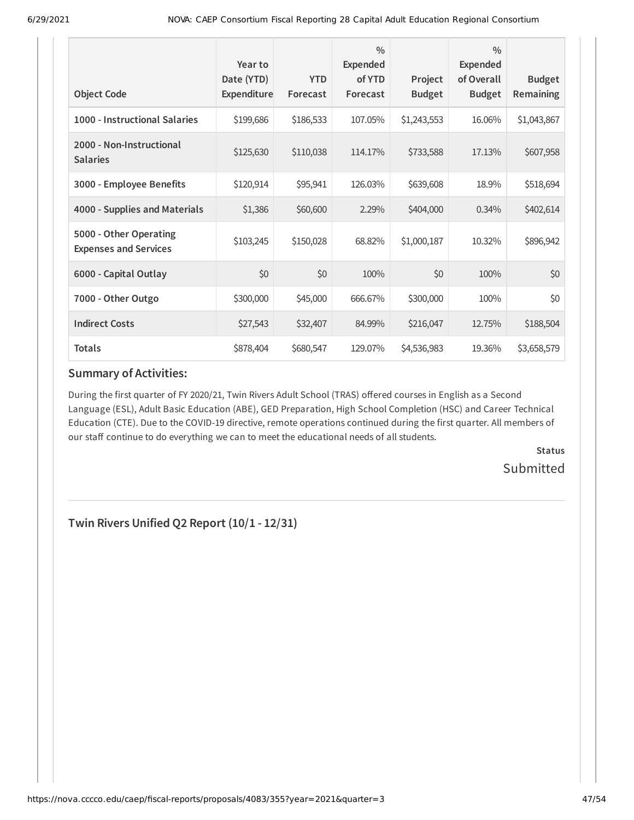| <b>Object Code</b>                                     | Year to<br>Date (YTD)<br>Expenditure | <b>YTD</b><br>Forecast | $\frac{0}{0}$<br>Expended<br>of YTD<br>Forecast | Project<br><b>Budget</b> | $\frac{0}{0}$<br><b>Expended</b><br>of Overall<br><b>Budget</b> | <b>Budget</b><br><b>Remaining</b> |
|--------------------------------------------------------|--------------------------------------|------------------------|-------------------------------------------------|--------------------------|-----------------------------------------------------------------|-----------------------------------|
| 1000 - Instructional Salaries                          | \$199,686                            | \$186,533              | 107.05%                                         | \$1,243,553              | 16.06%                                                          | \$1,043,867                       |
| 2000 - Non-Instructional<br><b>Salaries</b>            | \$125,630                            | \$110,038              | 114.17%                                         | \$733,588                | 17.13%                                                          | \$607,958                         |
| 3000 - Employee Benefits                               | \$120,914                            | \$95,941               | 126.03%                                         | \$639,608                | 18.9%                                                           | \$518,694                         |
| 4000 - Supplies and Materials                          | \$1,386                              | \$60,600               | 2.29%                                           | \$404,000                | $0.34\%$                                                        | \$402,614                         |
| 5000 - Other Operating<br><b>Expenses and Services</b> | \$103,245                            | \$150,028              | 68.82%                                          | \$1,000,187              | 10.32%                                                          | \$896,942                         |
| 6000 - Capital Outlay                                  | \$0                                  | \$0                    | 100%                                            | \$0                      | 100%                                                            | \$0                               |
| 7000 - Other Outgo                                     | \$300,000                            | \$45,000               | 666.67%                                         | \$300,000                | 100%                                                            | \$0                               |
| <b>Indirect Costs</b>                                  | \$27,543                             | \$32,407               | 84.99%                                          | \$216,047                | 12.75%                                                          | \$188,504                         |
| <b>Totals</b>                                          | \$878,404                            | \$680,547              | 129.07%                                         | \$4,536,983              | 19.36%                                                          | \$3,658,579                       |

During the first quarter of FY 2020/21, Twin Rivers Adult School (TRAS) offered courses in English as a Second Language (ESL), Adult Basic Education (ABE), GED Preparation, High School Completion (HSC) and Career Technical Education (CTE). Due to the COVID-19 directive, remote operations continued during the first quarter. All members of our staff continue to do everything we can to meet the educational needs of all students.

> **Status** Submitted

**Twin Rivers Unified Q2 Report (10/1 - 12/31)**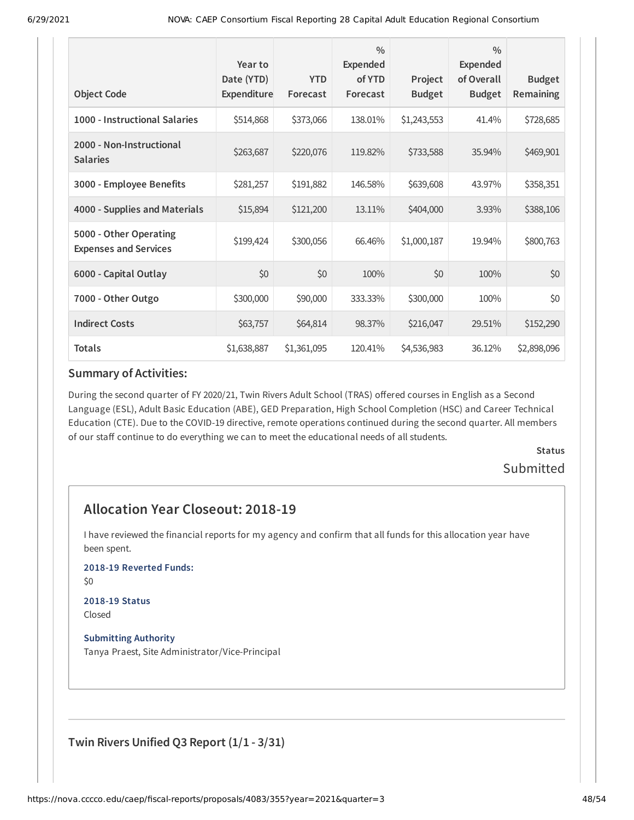| <b>Object Code</b>                                     | Year to<br>Date (YTD)<br>Expenditure | <b>YTD</b><br>Forecast | $\frac{0}{0}$<br><b>Expended</b><br>of YTD<br>Forecast | Project<br><b>Budget</b> | $\frac{0}{0}$<br><b>Expended</b><br>of Overall<br><b>Budget</b> | <b>Budget</b><br>Remaining |
|--------------------------------------------------------|--------------------------------------|------------------------|--------------------------------------------------------|--------------------------|-----------------------------------------------------------------|----------------------------|
| 1000 - Instructional Salaries                          | \$514,868                            | \$373,066              | 138.01%                                                | \$1,243,553              | 41.4%                                                           | \$728,685                  |
| 2000 - Non-Instructional<br><b>Salaries</b>            | \$263,687                            | \$220,076              | 119.82%                                                | \$733,588                | 35.94%                                                          | \$469,901                  |
| 3000 - Employee Benefits                               | \$281,257                            | \$191,882              | 146.58%                                                | \$639,608                | 43.97%                                                          | \$358,351                  |
| 4000 - Supplies and Materials                          | \$15,894                             | \$121,200              | 13.11%                                                 | \$404,000                | 3.93%                                                           | \$388,106                  |
| 5000 - Other Operating<br><b>Expenses and Services</b> | \$199,424                            | \$300,056              | 66.46%                                                 | \$1,000,187              | 19.94%                                                          | \$800,763                  |
| 6000 - Capital Outlay                                  | \$0                                  | \$0                    | 100%                                                   | \$0                      | 100%                                                            | \$0                        |
| 7000 - Other Outgo                                     | \$300,000                            | \$90,000               | 333.33%                                                | \$300,000                | 100%                                                            | \$0                        |
| <b>Indirect Costs</b>                                  | \$63,757                             | \$64,814               | 98.37%                                                 | \$216,047                | 29.51%                                                          | \$152,290                  |
| <b>Totals</b>                                          | \$1,638,887                          | \$1,361,095            | 120.41%                                                | \$4,536,983              | 36.12%                                                          | \$2,898,096                |

During the second quarter of FY 2020/21, Twin Rivers Adult School (TRAS) offered courses in English as a Second Language (ESL), Adult Basic Education (ABE), GED Preparation, High School Completion (HSC) and Career Technical Education (CTE). Due to the COVID-19 directive, remote operations continued during the second quarter. All members of our staff continue to do everything we can to meet the educational needs of all students.

> **Status** Submitted

# **Allocation Year Closeout: 2018-19**

I have reviewed the financial reports for my agency and confirm that all funds for this allocation year have been spent.

**2018-19 Reverted Funds:**

\$0

#### **2018-19 Status** Closed

**Submitting Authority** Tanya Praest, Site Administrator/Vice-Principal

**Twin Rivers Unified Q3 Report (1/1 - 3/31)**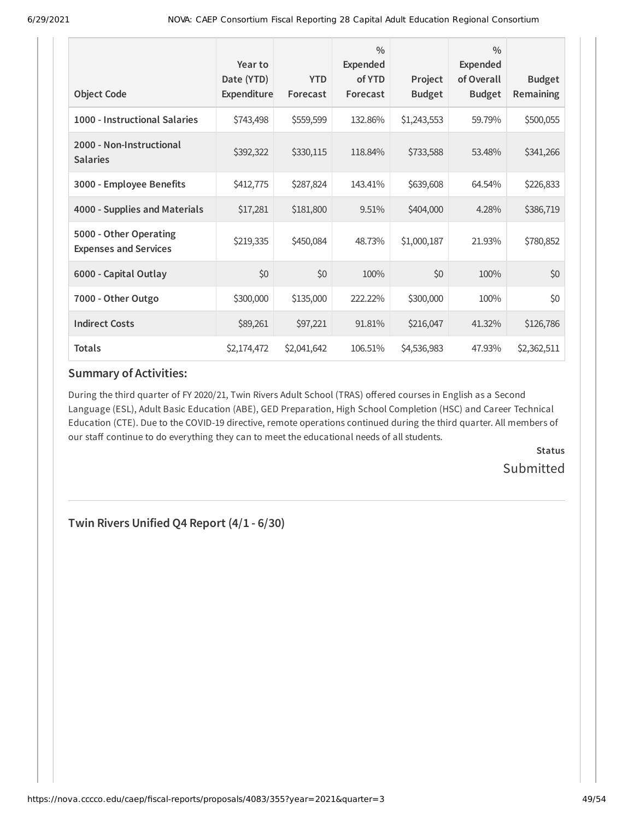| <b>Object Code</b>                                     | Year to<br>Date (YTD)<br><b>Expenditure</b> | <b>YTD</b><br>Forecast | $\frac{0}{0}$<br><b>Expended</b><br>of YTD<br>Forecast | Project<br><b>Budget</b> | $\frac{0}{0}$<br><b>Expended</b><br>of Overall<br><b>Budget</b> | <b>Budget</b><br>Remaining |
|--------------------------------------------------------|---------------------------------------------|------------------------|--------------------------------------------------------|--------------------------|-----------------------------------------------------------------|----------------------------|
| 1000 - Instructional Salaries                          | \$743,498                                   | \$559,599              | 132.86%                                                | \$1,243,553              | 59.79%                                                          | \$500,055                  |
| 2000 - Non-Instructional<br><b>Salaries</b>            | \$392,322                                   | \$330,115              | 118.84%                                                | \$733,588                | 53.48%                                                          | \$341,266                  |
| 3000 - Employee Benefits                               | \$412,775                                   | \$287,824              | 143.41%                                                | \$639,608                | 64.54%                                                          | \$226,833                  |
| 4000 - Supplies and Materials                          | \$17,281                                    | \$181,800              | 9.51%                                                  | \$404,000                | 4.28%                                                           | \$386,719                  |
| 5000 - Other Operating<br><b>Expenses and Services</b> | \$219,335                                   | \$450,084              | 48.73%                                                 | \$1,000,187              | 21.93%                                                          | \$780,852                  |
| 6000 - Capital Outlay                                  | \$0                                         | \$0                    | 100%                                                   | \$0                      | 100%                                                            | \$0                        |
| 7000 - Other Outgo                                     | \$300,000                                   | \$135,000              | 222.22%                                                | \$300,000                | 100%                                                            | \$0                        |
| <b>Indirect Costs</b>                                  | \$89,261                                    | \$97,221               | 91.81%                                                 | \$216,047                | 41.32%                                                          | \$126,786                  |
| <b>Totals</b>                                          | \$2,174,472                                 | \$2,041,642            | 106.51%                                                | \$4,536,983              | 47.93%                                                          | \$2,362,511                |

During the third quarter of FY 2020/21, Twin Rivers Adult School (TRAS) offered courses in English as a Second Language (ESL), Adult Basic Education (ABE), GED Preparation, High School Completion (HSC) and Career Technical Education (CTE). Due to the COVID-19 directive, remote operations continued during the third quarter. All members of our staff continue to do everything they can to meet the educational needs of all students.

> **Status** Submitted

**Twin Rivers Unified Q4 Report (4/1 - 6/30)**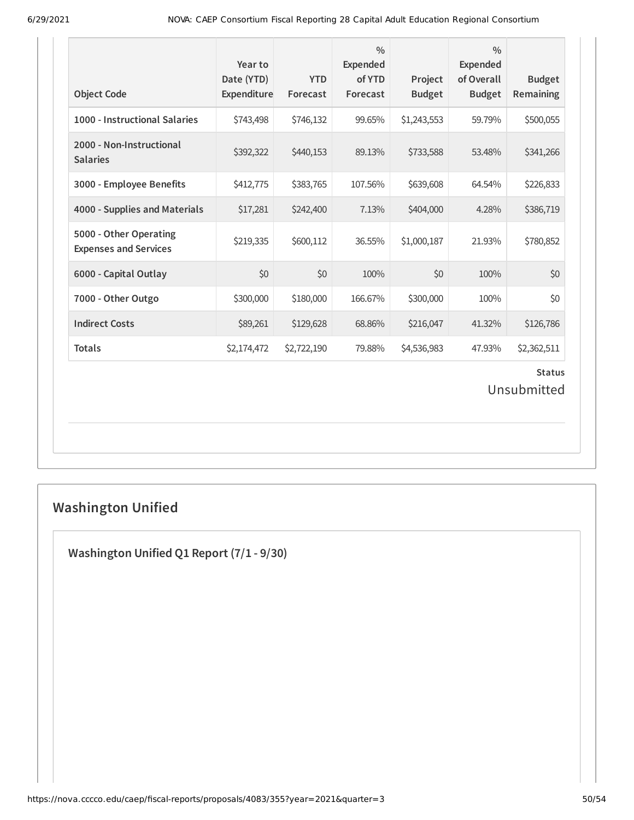| <b>Object Code</b>                                     | Year to<br>Date (YTD)<br>Expenditure | <b>YTD</b><br>Forecast | $\frac{0}{0}$<br><b>Expended</b><br>of YTD<br>Forecast | Project<br><b>Budget</b> | $\frac{0}{0}$<br><b>Expended</b><br>of Overall<br><b>Budget</b> | <b>Budget</b><br>Remaining   |
|--------------------------------------------------------|--------------------------------------|------------------------|--------------------------------------------------------|--------------------------|-----------------------------------------------------------------|------------------------------|
| 1000 - Instructional Salaries                          | \$743,498                            | \$746,132              | 99.65%                                                 | \$1,243,553              | 59.79%                                                          | \$500,055                    |
| 2000 - Non-Instructional<br><b>Salaries</b>            | \$392,322                            | \$440,153              | 89.13%                                                 | \$733,588                | 53.48%                                                          | \$341,266                    |
| 3000 - Employee Benefits                               | \$412,775                            | \$383,765              | 107.56%                                                | \$639,608                | 64.54%                                                          | \$226,833                    |
| 4000 - Supplies and Materials                          | \$17,281                             | \$242,400              | 7.13%                                                  | \$404,000                | 4.28%                                                           | \$386,719                    |
| 5000 - Other Operating<br><b>Expenses and Services</b> | \$219,335                            | \$600,112              | 36.55%                                                 | \$1,000,187              | 21.93%                                                          | \$780,852                    |
| 6000 - Capital Outlay                                  | \$0                                  | \$0                    | 100%                                                   | \$0                      | 100%                                                            | \$0                          |
| 7000 - Other Outgo                                     | \$300,000                            | \$180,000              | 166.67%                                                | \$300,000                | 100%                                                            | \$0                          |
| <b>Indirect Costs</b>                                  | \$89,261                             | \$129,628              | 68.86%                                                 | \$216,047                | 41.32%                                                          | \$126,786                    |
| <b>Totals</b>                                          | \$2,174,472                          | \$2,722,190            | 79.88%                                                 | \$4,536,983              | 47.93%                                                          | \$2,362,511                  |
|                                                        |                                      |                        |                                                        |                          |                                                                 | <b>Status</b><br>Unsubmitted |

# **Washington Unified**

**Washington Unified Q1 Report (7/1 - 9/30)**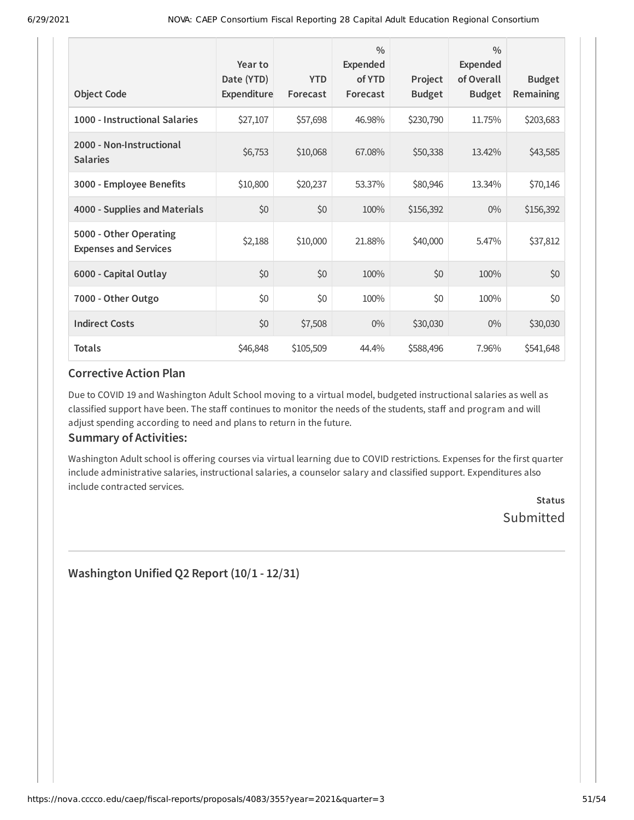| <b>Object Code</b>                                     | Year to<br>Date (YTD)<br><b>Expenditure</b> | <b>YTD</b><br>Forecast | $\frac{0}{0}$<br><b>Expended</b><br>of YTD<br>Forecast | Project<br><b>Budget</b> | $\frac{0}{0}$<br>Expended<br>of Overall<br><b>Budget</b> | <b>Budget</b><br>Remaining |
|--------------------------------------------------------|---------------------------------------------|------------------------|--------------------------------------------------------|--------------------------|----------------------------------------------------------|----------------------------|
| 1000 - Instructional Salaries                          | \$27,107                                    | \$57,698               | 46.98%                                                 | \$230,790                | 11.75%                                                   | \$203,683                  |
| 2000 - Non-Instructional<br><b>Salaries</b>            | \$6,753                                     | \$10,068               | 67.08%                                                 | \$50,338                 | 13.42%                                                   | \$43,585                   |
| 3000 - Employee Benefits                               | \$10,800                                    | \$20,237               | 53.37%                                                 | \$80,946                 | 13.34%                                                   | \$70,146                   |
| 4000 - Supplies and Materials                          | \$0                                         | \$0                    | 100%                                                   | \$156,392                | $0\%$                                                    | \$156,392                  |
| 5000 - Other Operating<br><b>Expenses and Services</b> | \$2,188                                     | \$10,000               | 21.88%                                                 | \$40,000                 | 5.47%                                                    | \$37,812                   |
| 6000 - Capital Outlay                                  | \$0                                         | \$0                    | 100%                                                   | \$0                      | 100%                                                     | \$0                        |
| 7000 - Other Outgo                                     | \$0                                         | \$0                    | 100%                                                   | \$0                      | 100%                                                     | \$0                        |
| <b>Indirect Costs</b>                                  | \$0                                         | \$7,508                | $0\%$                                                  | \$30,030                 | $0\%$                                                    | \$30,030                   |
| <b>Totals</b>                                          | \$46,848                                    | \$105,509              | 44.4%                                                  | \$588,496                | 7.96%                                                    | \$541,648                  |

Due to COVID 19 and Washington Adult School moving to a virtual model, budgeted instructional salaries as well as classified support have been. The staff continues to monitor the needs of the students, staff and program and will adjust spending according to need and plans to return in the future.

### **Summary of Activities:**

Washington Adult school is offering courses via virtual learning due to COVID restrictions. Expenses for the first quarter include administrative salaries, instructional salaries, a counselor salary and classified support. Expenditures also include contracted services.

> **Status** Submitted

**Washington Unified Q2 Report (10/1 - 12/31)**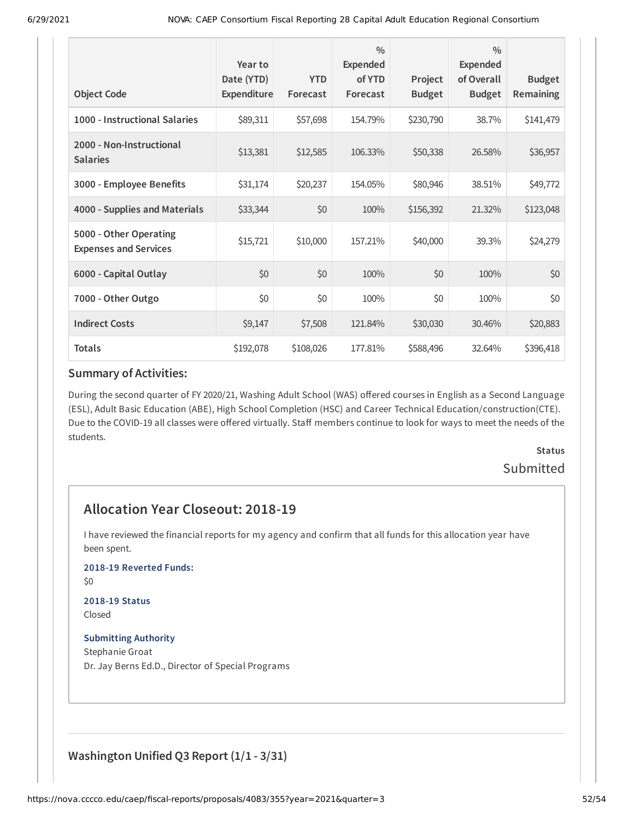| <b>Object Code</b>                                     | Year to<br>Date (YTD)<br>Expenditure | <b>YTD</b><br>Forecast | $\frac{0}{0}$<br><b>Expended</b><br>of YTD<br>Forecast | Project<br><b>Budget</b> | $\frac{0}{0}$<br><b>Expended</b><br>of Overall<br><b>Budget</b> | <b>Budget</b><br>Remaining |
|--------------------------------------------------------|--------------------------------------|------------------------|--------------------------------------------------------|--------------------------|-----------------------------------------------------------------|----------------------------|
| 1000 - Instructional Salaries                          | \$89,311                             | \$57,698               | 154.79%                                                | \$230,790                | 38.7%                                                           | \$141,479                  |
| 2000 - Non-Instructional<br><b>Salaries</b>            | \$13,381                             | \$12,585               | 106.33%                                                | \$50,338                 | 26.58%                                                          | \$36,957                   |
| 3000 - Employee Benefits                               | \$31,174                             | \$20,237               | 154.05%                                                | \$80,946                 | 38.51%                                                          | \$49,772                   |
| 4000 - Supplies and Materials                          | \$33,344                             | \$0                    | 100%                                                   | \$156,392                | 21.32%                                                          | \$123,048                  |
| 5000 - Other Operating<br><b>Expenses and Services</b> | \$15,721                             | \$10,000               | 157.21%                                                | \$40,000                 | 39.3%                                                           | \$24,279                   |
| 6000 - Capital Outlay                                  | \$0                                  | \$0                    | 100%                                                   | \$0                      | 100%                                                            | \$0                        |
| 7000 - Other Outgo                                     | \$0                                  | \$0                    | 100%                                                   | \$0                      | 100%                                                            | \$0                        |
| <b>Indirect Costs</b>                                  | \$9,147                              | \$7,508                | 121.84%                                                | \$30,030                 | 30.46%                                                          | \$20,883                   |
| <b>Totals</b>                                          | \$192,078                            | \$108,026              | 177.81%                                                | \$588,496                | 32.64%                                                          | \$396,418                  |

During the second quarter of FY 2020/21, Washing Adult School (WAS) offered courses in English as a Second Language (ESL), Adult Basic Education (ABE), High School Completion (HSC) and Career Technical Education/construction(CTE). Due to the COVID-19 all classes were offered virtually. Staff members continue to look for ways to meet the needs of the students.

# **Status** Submitted

# **Allocation Year Closeout: 2018-19**

I have reviewed the financial reports for my agency and confirm that all funds for this allocation year have been spent.

#### **2018-19 Reverted Funds:**

\$0

#### **2018-19 Status** Closed

### **Submitting Authority**

Stephanie Groat Dr. Jay Berns Ed.D., Director of Special Programs

### **Washington Unified Q3 Report (1/1 - 3/31)**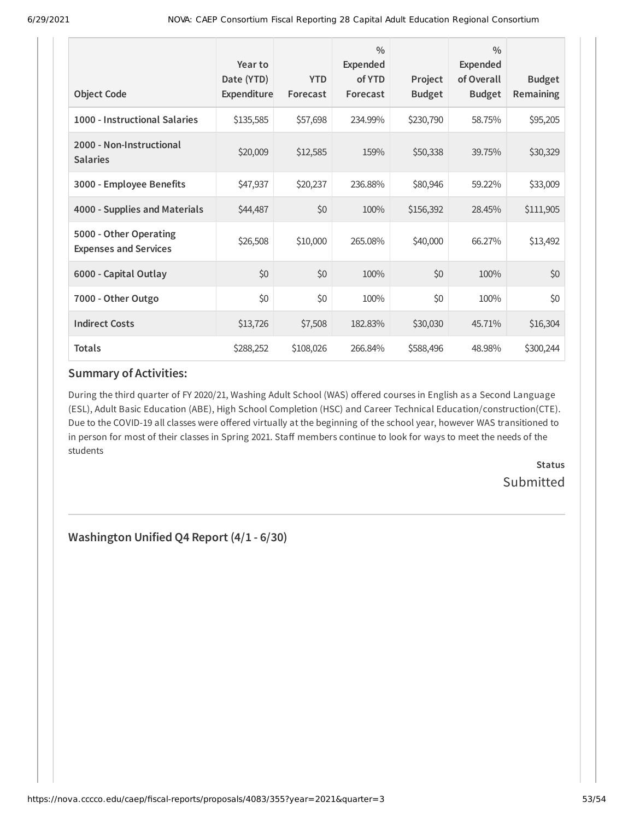| <b>Object Code</b>                                     | Year to<br>Date (YTD)<br>Expenditure | <b>YTD</b><br>Forecast | $\frac{0}{0}$<br><b>Expended</b><br>of YTD<br>Forecast | Project<br><b>Budget</b> | $\frac{0}{0}$<br><b>Expended</b><br>of Overall<br><b>Budget</b> | <b>Budget</b><br><b>Remaining</b> |
|--------------------------------------------------------|--------------------------------------|------------------------|--------------------------------------------------------|--------------------------|-----------------------------------------------------------------|-----------------------------------|
|                                                        |                                      |                        |                                                        |                          |                                                                 |                                   |
| 1000 - Instructional Salaries                          | \$135,585                            | \$57,698               | 234.99%                                                | \$230,790                | 58.75%                                                          | \$95,205                          |
| 2000 - Non-Instructional<br><b>Salaries</b>            | \$20,009                             | \$12,585               | 159%                                                   | \$50,338                 | 39.75%                                                          | \$30,329                          |
| 3000 - Employee Benefits                               | \$47,937                             | \$20,237               | 236.88%                                                | \$80,946                 | 59.22%                                                          | \$33,009                          |
| 4000 - Supplies and Materials                          | \$44,487                             | \$0                    | 100%                                                   | \$156,392                | 28.45%                                                          | \$111,905                         |
| 5000 - Other Operating<br><b>Expenses and Services</b> | \$26,508                             | \$10,000               | 265.08%                                                | \$40,000                 | 66.27%                                                          | \$13,492                          |
| 6000 - Capital Outlay                                  | \$0                                  | \$0                    | 100%                                                   | \$0                      | 100%                                                            | \$0                               |
| 7000 - Other Outgo                                     | \$0                                  | \$0                    | 100%                                                   | \$0                      | 100%                                                            | \$0                               |
| <b>Indirect Costs</b>                                  | \$13,726                             | \$7,508                | 182.83%                                                | \$30,030                 | 45.71%                                                          | \$16,304                          |
| <b>Totals</b>                                          | \$288,252                            | \$108,026              | 266.84%                                                | \$588,496                | 48.98%                                                          | \$300,244                         |

During the third quarter of FY 2020/21, Washing Adult School (WAS) offered courses in English as a Second Language (ESL), Adult Basic Education (ABE), High School Completion (HSC) and Career Technical Education/construction(CTE). Due to the COVID-19 all classes were offered virtually at the beginning of the school year, however WAS transitioned to in person for most of their classes in Spring 2021. Staff members continue to look for ways to meet the needs of the students

> **Status** Submitted

**Washington Unified Q4 Report (4/1 - 6/30)**